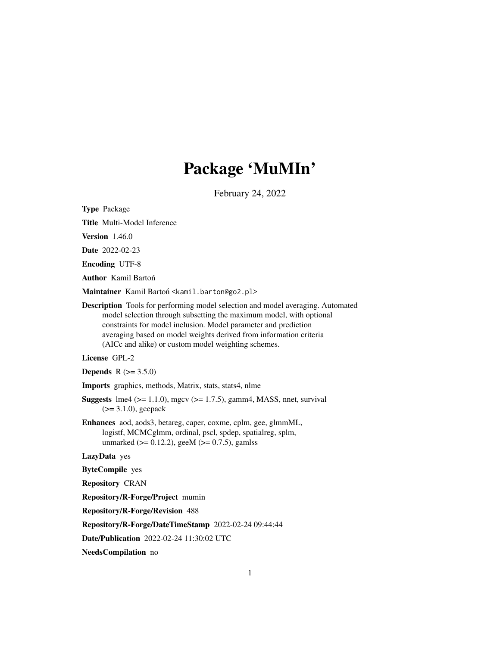# Package 'MuMIn'

February 24, 2022

<span id="page-0-0"></span>Type Package

Title Multi-Model Inference

Version 1.46.0

Date 2022-02-23

Encoding UTF-8

Author Kamil Bartoń

Maintainer Kamil Bartoń <kamil.barton@go2.pl>

Description Tools for performing model selection and model averaging. Automated model selection through subsetting the maximum model, with optional constraints for model inclusion. Model parameter and prediction averaging based on model weights derived from information criteria (AICc and alike) or custom model weighting schemes.

# License GPL-2

**Depends** R  $(>= 3.5.0)$ 

Imports graphics, methods, Matrix, stats, stats4, nlme

**Suggests**  $\text{Im}4$  ( $>= 1.1.0$ ), mgcv ( $>= 1.7.5$ ), gamm4, MASS, nnet, survival (>= 3.1.0), geepack

Enhances aod, aods3, betareg, caper, coxme, cplm, gee, glmmML, logistf, MCMCglmm, ordinal, pscl, spdep, spatialreg, splm, unmarked ( $>= 0.12.2$ ), geeM ( $>= 0.7.5$ ), gamlss

LazyData yes

ByteCompile yes

Repository CRAN

Repository/R-Forge/Project mumin

Repository/R-Forge/Revision 488

Repository/R-Forge/DateTimeStamp 2022-02-24 09:44:44

Date/Publication 2022-02-24 11:30:02 UTC

NeedsCompilation no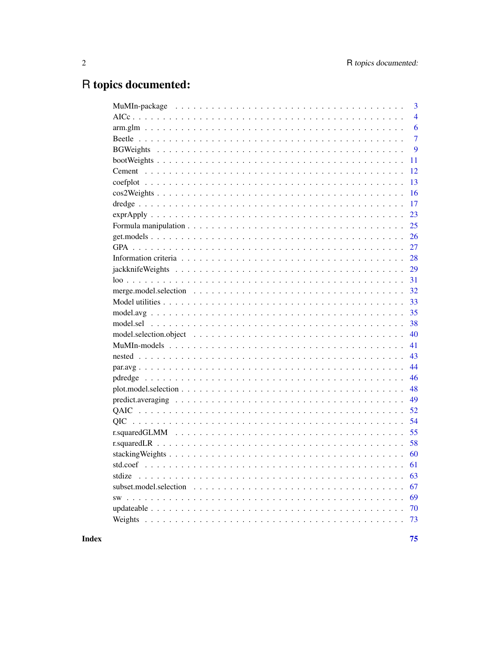# R topics documented:

|        | 3              |
|--------|----------------|
|        | $\overline{4}$ |
|        | 6              |
|        | $\overline{7}$ |
|        | 9              |
|        | 11             |
|        | 12             |
|        | 13             |
|        | 16             |
|        | 17             |
|        | 23             |
|        | 25             |
|        | 26             |
|        | 27             |
|        | 28             |
|        | 29             |
|        | 31             |
|        | 32             |
|        | 33             |
|        | 35             |
|        | 38             |
|        | 40             |
|        | 41             |
|        | 43             |
|        | 44             |
|        | 46             |
|        | 48             |
|        | 49             |
|        | 52             |
|        | 54             |
|        | 55             |
|        | 58             |
|        | 60             |
|        |                |
| stdize | 63             |
|        | 67             |
|        | 69             |
|        | 70             |
|        | 73             |
|        |                |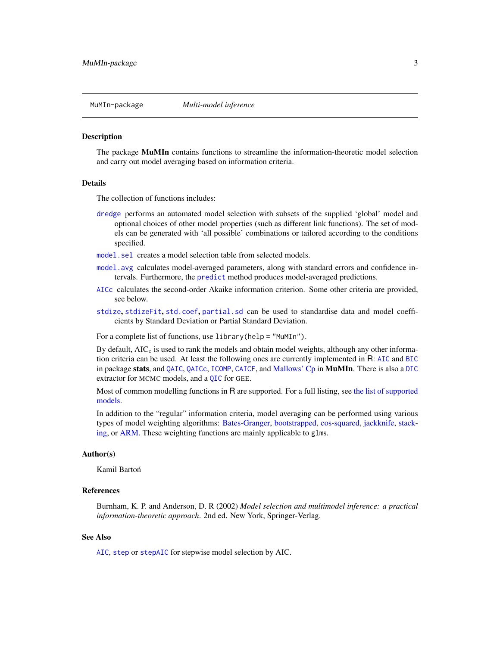<span id="page-2-0"></span>

#### **Description**

The package MuMIn contains functions to streamline the information-theoretic model selection and carry out model averaging based on information criteria.

#### Details

The collection of functions includes:

- [dredge](#page-16-1) performs an automated model selection with subsets of the supplied 'global' model and optional choices of other model properties (such as different link functions). The set of models can be generated with 'all possible' combinations or tailored according to the conditions specified.
- [model.sel](#page-37-1) creates a model selection table from selected models.
- [model.avg](#page-34-1) calculates model-averaged parameters, along with standard errors and confidence intervals. Furthermore, the [predict](#page-48-1) method produces model-averaged predictions.
- [AICc](#page-3-1) calculates the second-order Akaike information criterion. Some other criteria are provided, see below.
- [stdize](#page-62-1), [stdizeFit](#page-62-2), [std.coef](#page-60-1), [partial.sd](#page-60-2) can be used to standardise data and model coefficients by Standard Deviation or Partial Standard Deviation.

For a complete list of functions, use library(help = "MuMIn").

By default,  $AIC<sub>c</sub>$  is used to rank the models and obtain model weights, although any other information criteria can be used. At least the following ones are currently implemented in R: [AIC](#page-0-0) and [BIC](#page-0-0) in package stats, and [QAIC](#page-51-1), [QAICc](#page-51-2), [ICOMP](#page-27-1), [CAICF](#page-27-1), and [Mallows' Cp](#page-27-1) in MuMIn. There is also a [DIC](#page-27-1) extractor for MCMC models, and a [QIC](#page-53-1) for GEE.

Most of common modelling functions in R are supported. For a full listing, see [the list of supported](#page-40-1) [models.](#page-40-1)

In addition to the "regular" information criteria, model averaging can be performed using various types of model weighting algorithms: [Bates-Granger,](#page-8-1) [bootstrapped,](#page-8-1) [cos-squared,](#page-15-1) [jackknife,](#page-28-1) [stack](#page-59-1)[ing,](#page-59-1) or [ARM.](#page-5-1) These weighting functions are mainly applicable to glms.

#### Author(s)

Kamil Bartoń

#### References

Burnham, K. P. and Anderson, D. R (2002) *Model selection and multimodel inference: a practical information-theoretic approach*. 2nd ed. New York, Springer-Verlag.

## See Also

[AIC](#page-0-0), [step](#page-0-0) or [stepAIC](#page-0-0) for stepwise model selection by AIC.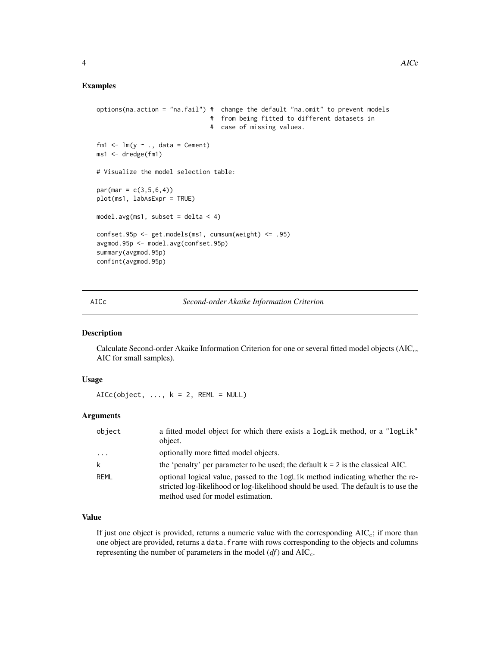```
options(na.action = "na.fail") # change the default "na.omit" to prevent models
                                # from being fitted to different datasets in
                                # case of missing values.
fm1 \leftarrow lm(y \sim ., data = Cement)
ms1 <- dredge(fm1)
# Visualize the model selection table:
par(max = c(3, 5, 6, 4))plot(ms1, labAsExpr = TRUE)
model.argv(ms1, subset = delta < 4)confset.95p <- get.models(ms1, cumsum(weight) <= .95)
avgmod.95p <- model.avg(confset.95p)
summary(avgmod.95p)
confint(avgmod.95p)
```
<span id="page-3-1"></span>AICc *Second-order Akaike Information Criterion*

#### Description

Calculate Second-order Akaike Information Criterion for one or several fitted model objects  $(AIC<sub>c</sub>,$ AIC for small samples).

## Usage

 $AICc(object, ..., k = 2, REML = NULL)$ 

## Arguments

| object                  | a fitted model object for which there exists a logLik method, or a "logLik"<br>object.                                                                                                                     |
|-------------------------|------------------------------------------------------------------------------------------------------------------------------------------------------------------------------------------------------------|
| $\cdot$ $\cdot$ $\cdot$ | optionally more fitted model objects.                                                                                                                                                                      |
|                         | the 'penalty' per parameter to be used; the default $k = 2$ is the classical AIC.                                                                                                                          |
| REML                    | optional logical value, passed to the logLik method indicating whether the re-<br>stricted log-likelihood or log-likelihood should be used. The default is to use the<br>method used for model estimation. |

## Value

If just one object is provided, returns a numeric value with the corresponding  $AIC<sub>c</sub>$ ; if more than one object are provided, returns a data.frame with rows corresponding to the objects and columns representing the number of parameters in the model  $(df)$  and  $AIC_c$ .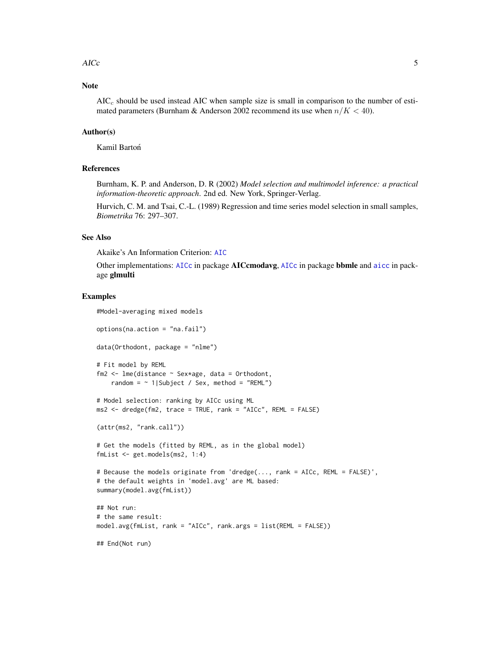#### $\angle$  AICc  $\frac{1}{2}$  5

# Note

 $AIC<sub>c</sub>$  should be used instead AIC when sample size is small in comparison to the number of estimated parameters (Burnham & Anderson 2002 recommend its use when  $n/K < 40$ ).

## Author(s)

Kamil Bartoń

## References

Burnham, K. P. and Anderson, D. R (2002) *Model selection and multimodel inference: a practical information-theoretic approach*. 2nd ed. New York, Springer-Verlag.

Hurvich, C. M. and Tsai, C.-L. (1989) Regression and time series model selection in small samples, *Biometrika* 76: 297–307.

# See Also

Akaike's An Information Criterion: [AIC](#page-0-0)

Other implementations: [AICc](#page-3-1) in package **AICcmodavg**, AICc in package **bbmle** and [aicc](#page-0-0) in package glmulti

#### Examples

```
#Model-averaging mixed models
options(na.action = "na.fail")
data(Orthodont, package = "nlme")
# Fit model by REML
fm2 <- lme(distance ~ Sex*age, data = Orthodont,
    random = \sim 1|Subject / Sex, method = "REML")
# Model selection: ranking by AICc using ML
ms2 < - dredge(fm2, trace = TRUE, rank = "AICc", REML = FALSE)
(attr(ms2, "rank.call"))
# Get the models (fitted by REML, as in the global model)
fmList <- get.models(ms2, 1:4)
# Because the models originate from 'dredge(..., rank = AICc, REML = FALSE)',
# the default weights in 'model.avg' are ML based:
summary(model.avg(fmList))
## Not run:
# the same result:
model.avg(fmList, rank = "AICc", rank.args = list(REML = FALSE))
## End(Not run)
```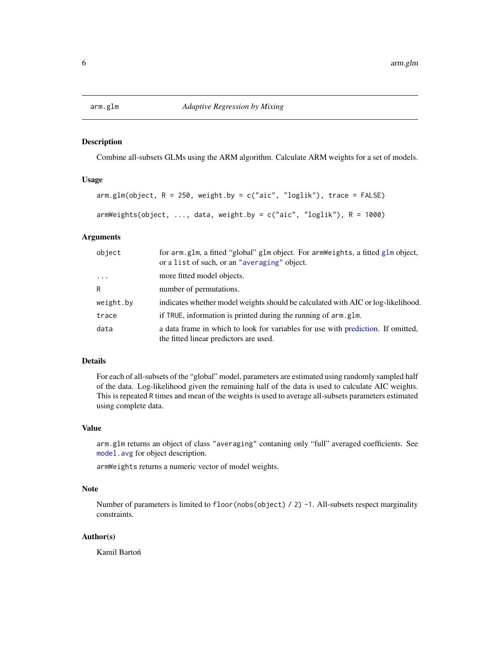<span id="page-5-0"></span>

## <span id="page-5-1"></span>Description

Combine all-subsets GLMs using the ARM algorithm. Calculate ARM weights for a set of models.

# Usage

```
arm.glm(object, R = 250, weight.by = c("aic", "loglik"), trace = FALSE)
armWeights(object, ..., data, weight.by = c("aic", "loglik"), R = 1000)
```
# Arguments

| object    | for arm.glm, a fitted "global" glm object. For armWeights, a fitted glm object,<br>or a list of such, or an "averaging" object. |
|-----------|---------------------------------------------------------------------------------------------------------------------------------|
| $\cdots$  | more fitted model objects.                                                                                                      |
| R         | number of permutations.                                                                                                         |
| weight.by | indicates whether model weights should be calculated with AIC or log-likelihood.                                                |
| trace     | if TRUE, information is printed during the running of arm, glm.                                                                 |
| data      | a data frame in which to look for variables for use with prediction. If omitted,<br>the fitted linear predictors are used.      |

## Details

For each of all-subsets of the "global" model, parameters are estimated using randomly sampled half of the data. Log-likelihood given the remaining half of the data is used to calculate AIC weights. This is repeated R times and mean of the weights is used to average all-subsets parameters estimated using complete data.

#### Value

arm.glm returns an object of class "averaging" contaning only "full" averaged coefficients. See [model.avg](#page-34-1) for object description.

armWeights returns a numeric vector of model weights.

## Note

Number of parameters is limited to floor(nobs(object) / 2) -1. All-subsets respect marginality constraints.

## Author(s)

Kamil Bartoń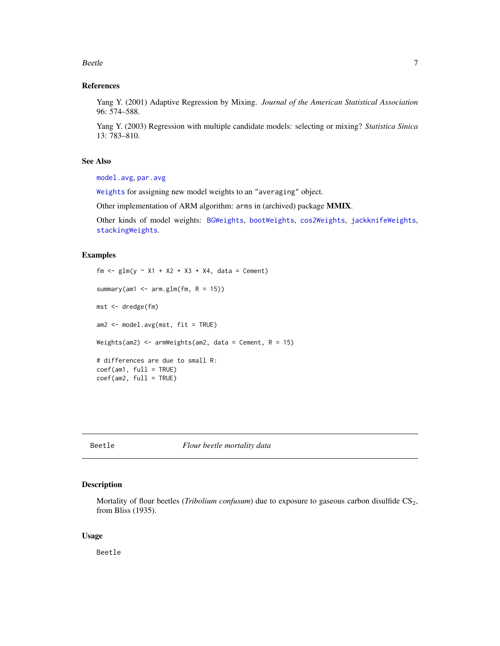#### <span id="page-6-0"></span>Beetle 2008 and 2008 and 2008 and 2008 and 2008 and 2008 and 2008 and 2008 and 2008 and 2008 and 2008 and 2008

## References

Yang Y. (2001) Adaptive Regression by Mixing. *Journal of the American Statistical Association* 96: 574–588.

Yang Y. (2003) Regression with multiple candidate models: selecting or mixing? *Statistica Sinica* 13: 783–810.

## See Also

[model.avg](#page-34-1), [par.avg](#page-43-1)

[Weights](#page-72-1) for assigning new model weights to an "averaging" object.

Other implementation of ARM algorithm: arms in (archived) package MMIX.

Other kinds of model weights: [BGWeights](#page-8-1), [bootWeights](#page-10-1), [cos2Weights](#page-15-1), [jackknifeWeights](#page-28-1), [stackingWeights](#page-59-1).

## Examples

```
fm \leq glm(y \approx X1 + X2 + X3 + X4, data = Cement)summary(am1 \leq - arm.glm(fm, R = 15))
mst <- dredge(fm)
am2 <- model.avg(mst, fit = TRUE)
Weights(am2) \leq armWeights(am2, data = Cement, R = 15)
# differences are due to small R:
coef(am1, full = TRUE)coef(am2, full = TRUE)
```
<span id="page-6-1"></span>Beetle *Flour beetle mortality data*

## Description

Mortality of flour beetles (*Tribolium confusum*) due to exposure to gaseous carbon disulfide CS<sub>2</sub>, from Bliss (1935).

#### Usage

Beetle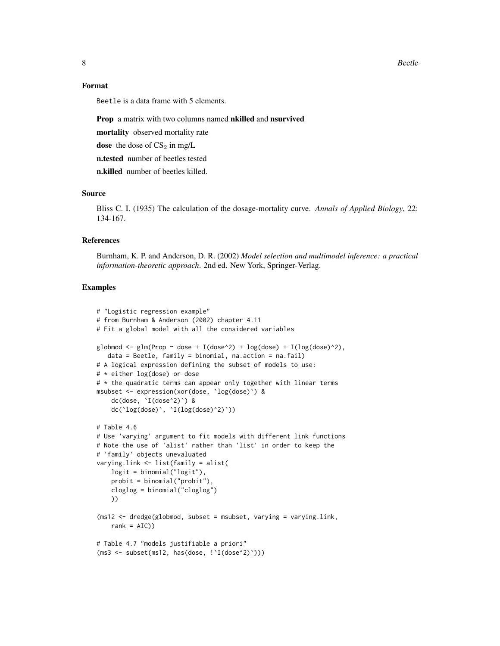8 Beetle

#### Format

Beetle is a data frame with 5 elements.

Prop a matrix with two columns named nkilled and nsurvived

mortality observed mortality rate

dose the dose of  $CS_2$  in mg/L

n.tested number of beetles tested

n.killed number of beetles killed.

## Source

Bliss C. I. (1935) The calculation of the dosage-mortality curve. *Annals of Applied Biology*, 22: 134-167.

#### References

Burnham, K. P. and Anderson, D. R. (2002) *Model selection and multimodel inference: a practical information-theoretic approach*. 2nd ed. New York, Springer-Verlag.

## Examples

```
# "Logistic regression example"
# from Burnham & Anderson (2002) chapter 4.11
# Fit a global model with all the considered variables
globmod \leq glm(Prop \sim dose + I(dose^2) + log(dose) + I(log(dose)^2),
  data = Beetle, family = binomial, na.action = na.fail)
# A logical expression defining the subset of models to use:
# * either log(dose) or dose
# * the quadratic terms can appear only together with linear terms
msubset <- expression(xor(dose, `log(dose)`) &
    dc(dose, `I(dose^2)`) &
   dc(`log(dose)`, `I(log(dose)^2)`))
# Table 4.6
# Use 'varying' argument to fit models with different link functions
# Note the use of 'alist' rather than 'list' in order to keep the
# 'family' objects unevaluated
varying.link <- list(family = alist(
   logit = binomial("logit"),
   probit = binomial("probit"),
   cloglog = binomial("cloglog")
   ))
(ms12 \leq dredge(globmod, subset = msubset, varying = varying.link,rank = AIC)
# Table 4.7 "models justifiable a priori"
(ms3 <- subset(ms12, has(dose, !`I(dose^2)`)))
```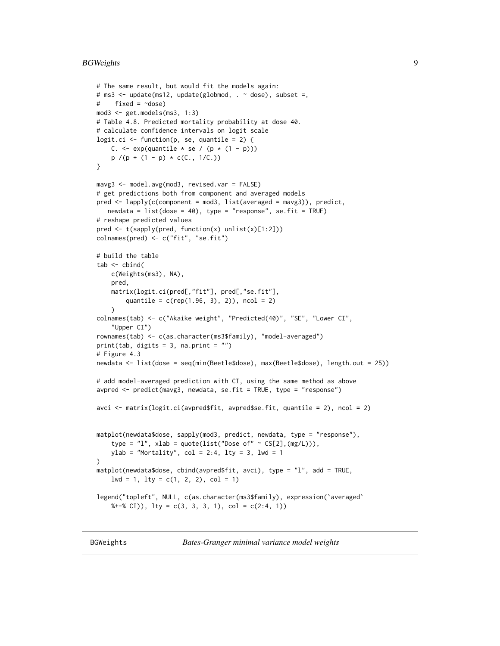## <span id="page-8-0"></span>BGWeights 9

```
# The same result, but would fit the models again:
# ms3 <- update(ms12, update(globmod, . ~ dose), subset =,
# fixed = ~dose)
mod3 <- get.models(ms3, 1:3)
# Table 4.8. Predicted mortality probability at dose 40.
# calculate confidence intervals on logit scale
logit.ci \leq function(p, se, quantile = 2) {
    C. \leq exp(quantile \neq se / (p \neq (1 - p)))
   p / (p + (1 - p) * c(C., 1/C.))}
mavg3 <- model.avg(mod3, revised.var = FALSE)
# get predictions both from component and averaged models
pred <- lapply(c(component = mod3, list(averaged = mavg3)), predict,
   newdata = list(dose = 40), type = "response", se.fit = TRUE)
# reshape predicted values
pred <- t(sapply(pred, function(x) unlist(x)[1:2]))
colnames(pred) <- c("fit", "se.fit")
# build the table
tab < - chind(c(Weights(ms3), NA),
   pred,
   matrix(logit.ci(pred[,"fit"], pred[,"se.fit"],
        quantile = c(rep(1.96, 3), 2), ncol = 2)
    )
colnames(tab) <- c("Akaike weight", "Predicted(40)", "SE", "Lower CI",
    "Upper CI")
rownames(tab) <- c(as.character(ms3$family), "model-averaged")
print(tab, digits = 3, na.print = ")
# Figure 4.3
newdata <- list(dose = seq(min(Beetle$dose), max(Beetle$dose), length.out = 25))
# add model-averaged prediction with CI, using the same method as above
avpred \leq predict(mavg3, newdata, se.fit = TRUE, type = "response")
avci <- matrix(logit.ci(avpred$fit, avpred$se.fit, quantile = 2), ncol = 2)
matplot(newdata$dose, sapply(mod3, predict, newdata, type = "response"),
    type = "l", xlab = quote(list("Dose of" \sim CS[2],(mg/L))),
   ylab = "Mortality", col = 2:4, lty = 3, lwd = 1)
matplot(newdata$dose, cbind(avpred$fit, avci), type = "l", add = TRUE,
    1wd = 1, 1ty = c(1, 2, 2), col = 1)
legend("topleft", NULL, c(as.character(ms3$family), expression(`averaged`
    %+-% CI, lty = c(3, 3, 3, 1), col = c(2:4, 1)
```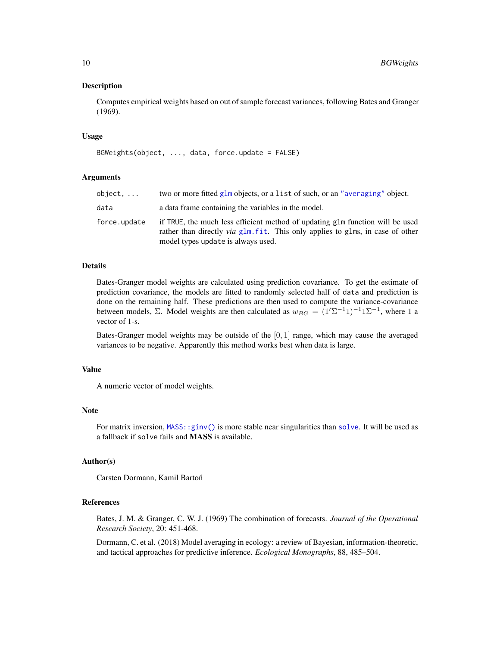#### Description

Computes empirical weights based on out of sample forecast variances, following Bates and Granger (1969).

#### Usage

```
BGWeights(object, ..., data, force.update = FALSE)
```
## Arguments

| object.      | two or more fitted glm objects, or a list of such, or an "averaging" object.                                                                                                                                 |
|--------------|--------------------------------------------------------------------------------------------------------------------------------------------------------------------------------------------------------------|
| data         | a data frame containing the variables in the model.                                                                                                                                                          |
| force.update | if TRUE, the much less efficient method of updating glm function will be used<br>rather than directly <i>via</i> glm, fit. This only applies to glms, in case of other<br>model types update is always used. |

## Details

Bates-Granger model weights are calculated using prediction covariance. To get the estimate of prediction covariance, the models are fitted to randomly selected half of data and prediction is done on the remaining half. These predictions are then used to compute the variance-covariance between models,  $\Sigma$ . Model weights are then calculated as  $w_{BG} = (1'\Sigma^{-1}1)^{-1}1\Sigma^{-1}$ , where 1 a vector of 1-s.

Bates-Granger model weights may be outside of the  $[0, 1]$  range, which may cause the averaged variances to be negative. Apparently this method works best when data is large.

#### Value

A numeric vector of model weights.

#### **Note**

For matrix inversion, [MASS::ginv\(\)](#page-0-0) is more stable near singularities than [solve](#page-0-0). It will be used as a fallback if solve fails and MASS is available.

# Author(s)

Carsten Dormann, Kamil Barton´

# References

Bates, J. M. & Granger, C. W. J. (1969) The combination of forecasts. *Journal of the Operational Research Society*, 20: 451-468.

Dormann, C. et al. (2018) Model averaging in ecology: a review of Bayesian, information-theoretic, and tactical approaches for predictive inference. *Ecological Monographs*, 88, 485–504.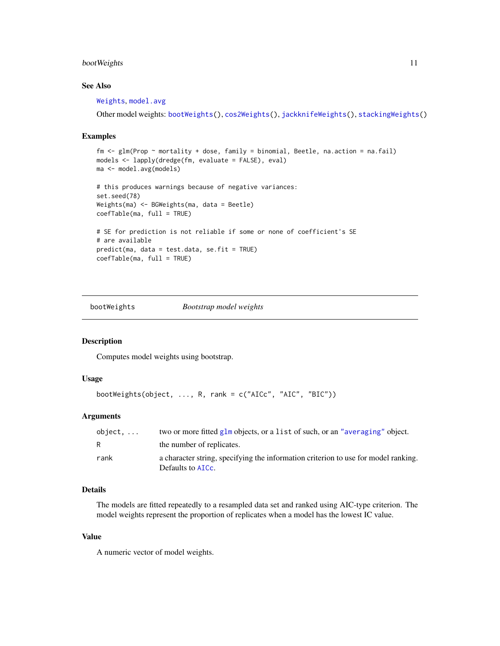## <span id="page-10-0"></span>bootWeights 11

# See Also

[Weights](#page-72-1), [model.avg](#page-34-1)

Other model weights: [bootWeights\(](#page-10-1)), [cos2Weights\(](#page-15-1)), [jackknifeWeights\(](#page-28-1)), [stackingWeights\(](#page-59-1))

#### Examples

```
fm <- glm(Prop ~ mortality + dose, family = binomial, Beetle, na.action = na.fail)
models <- lapply(dredge(fm, evaluate = FALSE), eval)
ma <- model.avg(models)
# this produces warnings because of negative variances:
set.seed(78)
Weights(ma) <- BGWeights(ma, data = Beetle)
coefTable(ma, full = TRUE)
# SE for prediction is not reliable if some or none of coefficient's SE
# are available
predict(ma, data = test.data, se.fit = TRUE)
coefTable(ma, full = TRUE)
```
<span id="page-10-1"></span>bootWeights *Bootstrap model weights*

# Description

Computes model weights using bootstrap.

## Usage

```
bootWeights(object, ..., R, rank = c("AICc", "AIC", "BIC"))
```
# Arguments

| $object. \ldots$ | two or more fitted $g1m$ objects, or a list of such, or an "averaging" object.                          |
|------------------|---------------------------------------------------------------------------------------------------------|
| R.               | the number of replicates.                                                                               |
| rank             | a character string, specifying the information criterion to use for model ranking.<br>Defaults to AICC. |

# Details

The models are fitted repeatedly to a resampled data set and ranked using AIC-type criterion. The model weights represent the proportion of replicates when a model has the lowest IC value.

## Value

A numeric vector of model weights.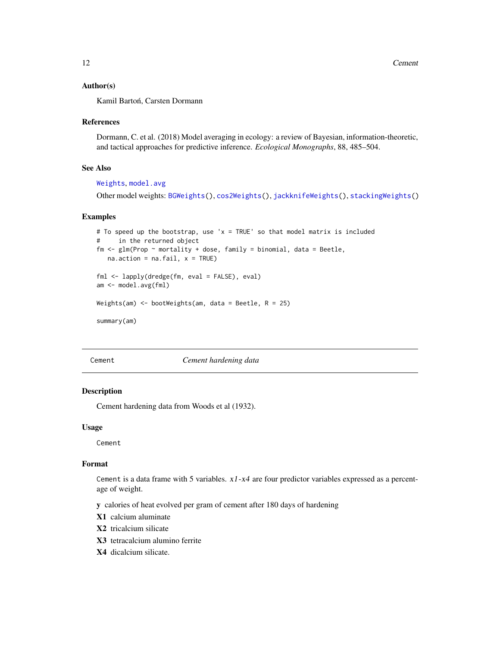## <span id="page-11-0"></span>Author(s)

Kamil Bartoń, Carsten Dormann

#### References

Dormann, C. et al. (2018) Model averaging in ecology: a review of Bayesian, information-theoretic, and tactical approaches for predictive inference. *Ecological Monographs*, 88, 485–504.

#### See Also

## [Weights](#page-72-1), [model.avg](#page-34-1)

Other model weights: [BGWeights\(](#page-8-1)), [cos2Weights\(](#page-15-1)), [jackknifeWeights\(](#page-28-1)), [stackingWeights\(](#page-59-1))

#### Examples

```
# To speed up the bootstrap, use 'x = TRUE' so that model matrix is included
# in the returned object
fm \leq glm(Prop \sim mortality + dose, family = binomial, data = Beetle,na.action = na.fail, x = TRUE)
fml <- lapply(dredge(fm, eval = FALSE), eval)
am <- model.avg(fml)
```
Weights(am) <- bootWeights(am, data = Beetle,  $R = 25$ )

summary(am)

Cement *Cement hardening data*

#### **Description**

Cement hardening data from Woods et al (1932).

#### Usage

Cement

## Format

Cement is a data frame with 5 variables.  $x1-x4$  are four predictor variables expressed as a percentage of weight.

y calories of heat evolved per gram of cement after 180 days of hardening

- X1 calcium aluminate
- X2 tricalcium silicate
- X3 tetracalcium alumino ferrite
- X4 dicalcium silicate.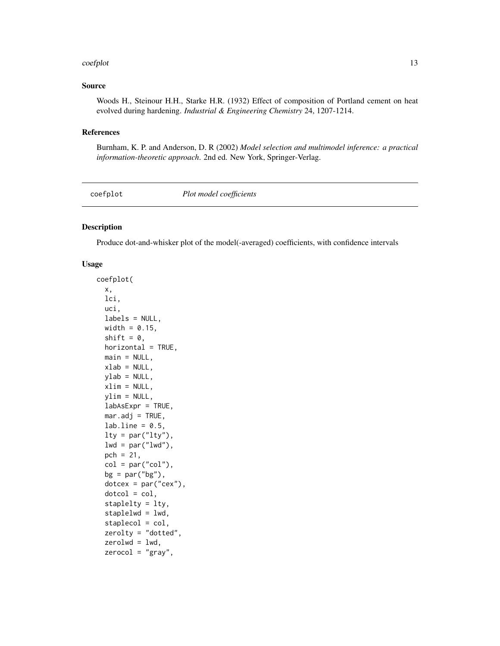#### <span id="page-12-0"></span>coefplot that the coefplot that the coefplot that the coefplot that the coefplot that the coefplot that the coefplot that the coefplot that the coefplot that the coefplot that the coefplot that the coefplot that the coefpl

## Source

Woods H., Steinour H.H., Starke H.R. (1932) Effect of composition of Portland cement on heat evolved during hardening. *Industrial & Engineering Chemistry* 24, 1207-1214.

#### References

Burnham, K. P. and Anderson, D. R (2002) *Model selection and multimodel inference: a practical information-theoretic approach*. 2nd ed. New York, Springer-Verlag.

coefplot *Plot model coefficients*

#### Description

Produce dot-and-whisker plot of the model(-averaged) coefficients, with confidence intervals

## Usage

```
coefplot(
 x,
  lci,
  uci,
  labels = NULL,
 width = 0.15,
  shift = 0,
 horizontal = TRUE,
 main = NULL,
 xlab = NULL,
 ylab = NULL,
 xlim = NULL,ylim = NULL,
  labAsExpr = TRUE,
 mar.addj = TRUE,lab.line = 0.5,lty = par("lty"),
  lwd = par("lwd"),
 pch = 21,
  col = par("col"),bg = par("bg"),
  dotcex = par("cex"),
  dotcol = col,staplelty = lty,
  staplelwd = lwd,
  staplecol = col,
  zerolty = "dotted",
  zerolwd = lwd,zerocol = "gray",
```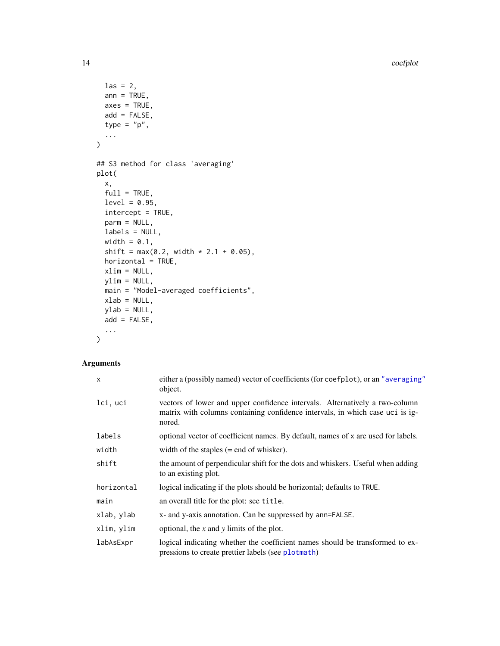14 coefplot

```
\text{las} = 2,
  ann = TRUE,axes = TRUE,add = FALSE,
  type = "p",...
\mathcal{L}## S3 method for class 'averaging'
plot(
  x,
  full = TRUE,level = 0.95,intercept = TRUE,
  parm = NULL,
  labels = NULL,
  width = 0.1,
  shift = max(0.2, width * 2.1 + 0.05),
  horizontal = TRUE,
  xlim = NULL,ylim = NULL,
  main = "Model-averaged coefficients",
  xlab = NULL,ylab = NULL,
  add = FALSE,...
\mathcal{L}
```
# Arguments

| $\mathsf{x}$ | either a (possibly named) vector of coefficients (for coefplot), or an "averaging"<br>object.                                                                          |
|--------------|------------------------------------------------------------------------------------------------------------------------------------------------------------------------|
| lci, uci     | vectors of lower and upper confidence intervals. Alternatively a two-column<br>matrix with columns containing confidence intervals, in which case uci is ig-<br>nored. |
| labels       | optional vector of coefficient names. By default, names of x are used for labels.                                                                                      |
| width        | width of the staples $(=$ end of whisker).                                                                                                                             |
| shift        | the amount of perpendicular shift for the dots and whiskers. Useful when adding<br>to an existing plot.                                                                |
| horizontal   | logical indicating if the plots should be horizontal; defaults to TRUE.                                                                                                |
| main         | an overall title for the plot: see title.                                                                                                                              |
| xlab, ylab   | x- and y-axis annotation. Can be suppressed by ann=FALSE.                                                                                                              |
| xlim, ylim   | optional, the x and y limits of the plot.                                                                                                                              |
| labAsExpr    | logical indicating whether the coefficient names should be transformed to ex-<br>pressions to create prettier labels (see plotmath)                                    |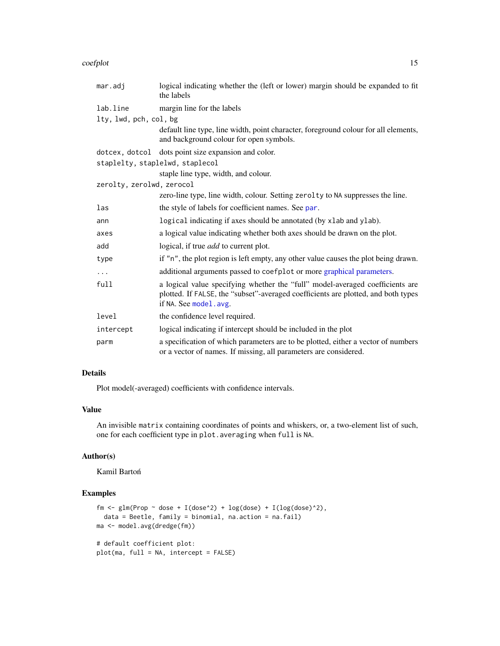#### coefplot that the coefplot that the coefplot that the coefplot that the coefplot that the coefplot that the coefplot that the coefplot that the coefplot that the coefplot that the coefplot that the coefplot that the coefpl

| mar.adj                   | logical indicating whether the (left or lower) margin should be expanded to fit<br>the labels                                                                                                |
|---------------------------|----------------------------------------------------------------------------------------------------------------------------------------------------------------------------------------------|
| lab.line                  | margin line for the labels                                                                                                                                                                   |
| lty, lwd, pch, col, bg    |                                                                                                                                                                                              |
|                           | default line type, line width, point character, foreground colour for all elements,<br>and background colour for open symbols.                                                               |
|                           | dotcex, dotcol dots point size expansion and color.                                                                                                                                          |
|                           | staplelty, staplelwd, staplecol                                                                                                                                                              |
|                           | staple line type, width, and colour.                                                                                                                                                         |
| zerolty, zerolwd, zerocol |                                                                                                                                                                                              |
|                           | zero-line type, line width, colour. Setting zerolty to NA suppresses the line.                                                                                                               |
| las                       | the style of labels for coefficient names. See par.                                                                                                                                          |
| ann                       | logical indicating if axes should be annotated (by xlab and ylab).                                                                                                                           |
| axes                      | a logical value indicating whether both axes should be drawn on the plot.                                                                                                                    |
| add                       | logical, if true <i>add</i> to current plot.                                                                                                                                                 |
| type                      | if "n", the plot region is left empty, any other value causes the plot being drawn.                                                                                                          |
| $\ddots$                  | additional arguments passed to coefplot or more graphical parameters.                                                                                                                        |
| full                      | a logical value specifying whether the "full" model-averaged coefficients are<br>plotted. If FALSE, the "subset"-averaged coefficients are plotted, and both types<br>if NA. See model. avg. |
| level                     | the confidence level required.                                                                                                                                                               |
| intercept                 | logical indicating if intercept should be included in the plot                                                                                                                               |
| parm                      | a specification of which parameters are to be plotted, either a vector of numbers<br>or a vector of names. If missing, all parameters are considered.                                        |

## Details

Plot model(-averaged) coefficients with confidence intervals.

## Value

An invisible matrix containing coordinates of points and whiskers, or, a two-element list of such, one for each coefficient type in plot.averaging when full is NA.

# Author(s)

Kamil Bartoń

## Examples

```
fm \leq glm(Prop \sim dose + I(dose^2) + log(dose) + I(log(dose)^2),data = Beetle, family = binomial, na.action = na.fail)
ma <- model.avg(dredge(fm))
# default coefficient plot:
plot(ma, full = NA, intercept = FALSE)
```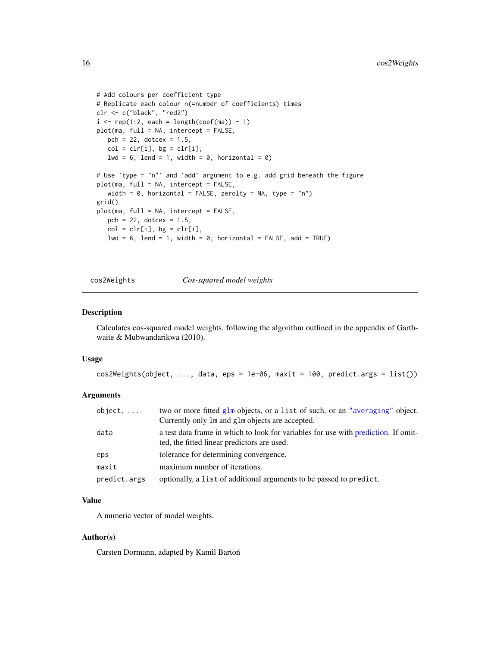```
# Add colours per coefficient type
# Replicate each colour n(=number of coefficients) times
clr <- c("black", "red2")
i \leq rep(1:2, each = length(coef(ma)) - 1)
plot(ma, full = NA, intercept = FALSE,
  pch = 22, dotcex = 1.5,
  col = clr[i], bg = clr[i],1wd = 6, lend = 1, width = 0, horizontal = 0)
# Use 'type = "n"' and 'add' argument to e.g. add grid beneath the figure
plot(ma, full = NA, intercept = FALSE,
   width = 0, horizontal = FALSE, zerolty = NA, type = "n")
grid()
plot(ma, full = NA, intercept = FALSE,
   pch = 22, dotcex = 1.5,
  col = clr[i], bg = clr[i],lwd = 6, lend = 1, width = 0, horizontal = FALSE, add = TRUE)
```
cos2Weights *Cos-squared model weights*

#### Description

Calculates cos-squared model weights, following the algorithm outlined in the appendix of Garthwaite & Mubwandarikwa (2010).

#### Usage

 $cos2Weights (object, ..., data,eps = 1e-06, maxit = 100, predict. args = list())$ 

# Arguments

| object,      | two or more fitted glm objects, or a list of such, or an "averaging" object.<br>Currently only 1m and g1m objects are accepted.   |
|--------------|-----------------------------------------------------------------------------------------------------------------------------------|
| data         | a test data frame in which to look for variables for use with prediction. If omit-<br>ted, the fitted linear predictors are used. |
| eps          | tolerance for determining convergence.                                                                                            |
| maxit        | maximum number of iterations.                                                                                                     |
| predict.args | optionally, a list of additional arguments to be passed to predict.                                                               |

## Value

A numeric vector of model weights.

#### Author(s)

Carsten Dormann, adapted by Kamil Barton´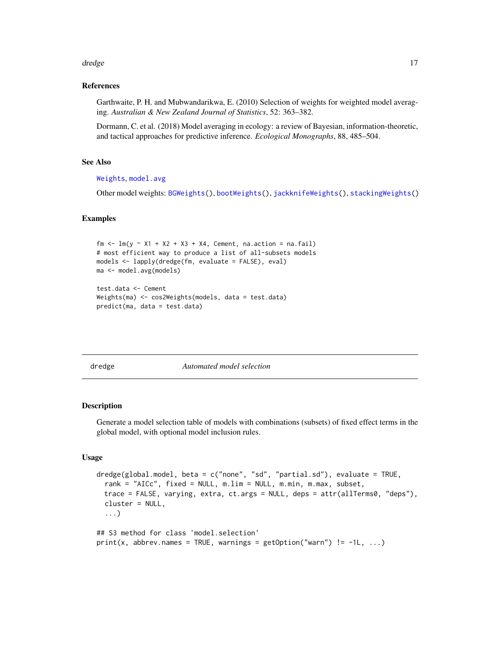#### <span id="page-16-0"></span>dredge the control of the control of the control of the control of the control of the control of the control of the control of the control of the control of the control of the control of the control of the control of the c

## References

Garthwaite, P. H. and Mubwandarikwa, E. (2010) Selection of weights for weighted model averaging. *Australian & New Zealand Journal of Statistics*, 52: 363–382.

Dormann, C. et al. (2018) Model averaging in ecology: a review of Bayesian, information-theoretic, and tactical approaches for predictive inference. *Ecological Monographs*, 88, 485–504.

# See Also

[Weights](#page-72-1), [model.avg](#page-34-1)

Other model weights: [BGWeights\(](#page-8-1)), [bootWeights\(](#page-10-1)), [jackknifeWeights\(](#page-28-1)), [stackingWeights\(](#page-59-1))

#### Examples

```
fm \leq \text{lm}(y \approx \text{X1} + \text{X2} + \text{X3} + \text{X4}, Cement, na.action = na.fail)
# most efficient way to produce a list of all-subsets models
models <- lapply(dredge(fm, evaluate = FALSE), eval)
ma <- model.avg(models)
test.data <- Cement
Weights(ma) <- cos2Weights(models, data = test.data)
predict(ma, data = test.data)
```
<span id="page-16-1"></span>dredge *Automated model selection*

#### **Description**

Generate a model selection table of models with combinations (subsets) of fixed effect terms in the global model, with optional model inclusion rules.

#### Usage

```
dredge(global.model, beta = c("none", "sd", "partial.sd"), evaluate = TRUE,
 rank = "AICc", fixed = NULL, m.lim = NULL, m.min, m.max, subset,
 trace = FALSE, varying, extra, ct.args = NULL, deps = attr(allTerms0, "deps"),
 cluster = NULL,
  ...)
## S3 method for class 'model.selection'
print(x, abbrev.names = TRUE, warnings = getOption("warn") != -1L, ...)
```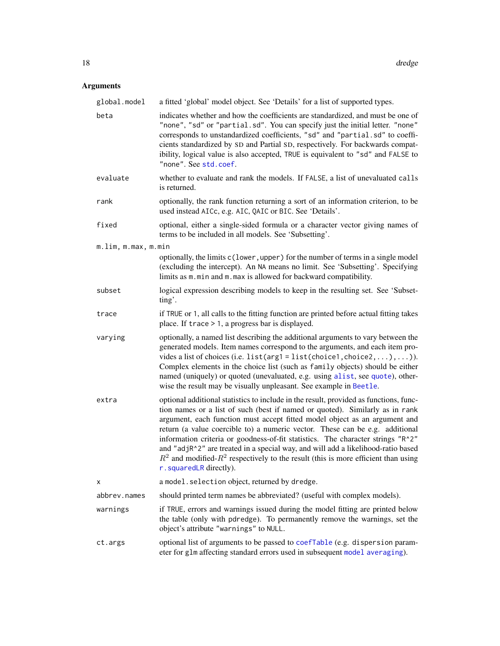# Arguments

| global.model        | a fitted 'global' model object. See 'Details' for a list of supported types.                                                                                                                                                                                                                                                                                                                                                                                                                                                                                                                                                     |
|---------------------|----------------------------------------------------------------------------------------------------------------------------------------------------------------------------------------------------------------------------------------------------------------------------------------------------------------------------------------------------------------------------------------------------------------------------------------------------------------------------------------------------------------------------------------------------------------------------------------------------------------------------------|
| beta                | indicates whether and how the coefficients are standardized, and must be one of<br>"none", "sd" or "partial.sd". You can specify just the initial letter. "none"<br>corresponds to unstandardized coefficients, "sd" and "partial.sd" to coeffi-<br>cients standardized by SD and Partial SD, respectively. For backwards compat-<br>ibility, logical value is also accepted, TRUE is equivalent to "sd" and FALSE to<br>"none". See std.coef.                                                                                                                                                                                   |
| evaluate            | whether to evaluate and rank the models. If FALSE, a list of unevaluated calls<br>is returned.                                                                                                                                                                                                                                                                                                                                                                                                                                                                                                                                   |
| rank                | optionally, the rank function returning a sort of an information criterion, to be<br>used instead AICc, e.g. AIC, QAIC or BIC. See 'Details'.                                                                                                                                                                                                                                                                                                                                                                                                                                                                                    |
| fixed               | optional, either a single-sided formula or a character vector giving names of<br>terms to be included in all models. See 'Subsetting'.                                                                                                                                                                                                                                                                                                                                                                                                                                                                                           |
| m.lim, m.max, m.min |                                                                                                                                                                                                                                                                                                                                                                                                                                                                                                                                                                                                                                  |
|                     | optionally, the limits c(lower, upper) for the number of terms in a single model<br>(excluding the intercept). An NA means no limit. See 'Subsetting'. Specifying<br>limits as m.min and m.max is allowed for backward compatibility.                                                                                                                                                                                                                                                                                                                                                                                            |
| subset              | logical expression describing models to keep in the resulting set. See 'Subset-<br>ting'.                                                                                                                                                                                                                                                                                                                                                                                                                                                                                                                                        |
| trace               | if TRUE or 1, all calls to the fitting function are printed before actual fitting takes<br>place. If $trace > 1$ , a progress bar is displayed.                                                                                                                                                                                                                                                                                                                                                                                                                                                                                  |
| varying             | optionally, a named list describing the additional arguments to vary between the<br>generated models. Item names correspond to the arguments, and each item pro-<br>vides a list of choices (i.e. list (arg1 = list (choice1, choice2,  ),  )).<br>Complex elements in the choice list (such as family objects) should be either<br>named (uniquely) or quoted (unevaluated, e.g. using alist, see quote), other-<br>wise the result may be visually unpleasant. See example in Beetle.                                                                                                                                          |
| extra               | optional additional statistics to include in the result, provided as functions, func-<br>tion names or a list of such (best if named or quoted). Similarly as in rank<br>argument, each function must accept fitted model object as an argument and<br>return (a value coercible to) a numeric vector. These can be e.g. additional<br>information criteria or goodness-of-fit statistics. The character strings "R^2"<br>and "adjR^2" are treated in a special way, and will add a likelihood-ratio based<br>$R^2$ and modified- $R^2$ respectively to the result (this is more efficient than using<br>r. squaredLR directly). |
| х                   | a model. selection object, returned by dredge.                                                                                                                                                                                                                                                                                                                                                                                                                                                                                                                                                                                   |
| abbrev.names        | should printed term names be abbreviated? (useful with complex models).                                                                                                                                                                                                                                                                                                                                                                                                                                                                                                                                                          |
| warnings            | if TRUE, errors and warnings issued during the model fitting are printed below<br>the table (only with pdredge). To permanently remove the warnings, set the<br>object's attribute "warnings" to NULL.                                                                                                                                                                                                                                                                                                                                                                                                                           |
| ct.args             | optional list of arguments to be passed to coefTable (e.g. dispersion param-<br>eter for glm affecting standard errors used in subsequent model averaging).                                                                                                                                                                                                                                                                                                                                                                                                                                                                      |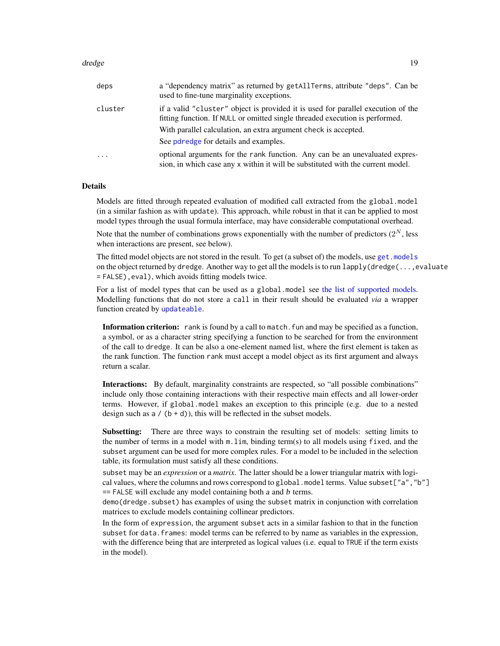#### dredge the control of the control of the control of the control of the control of the control of the control of the control of the control of the control of the control of the control of the control of the control of the c

| deps     | a "dependency matrix" as returned by getAllTerms, attribute "deps". Can be<br>used to fine-tune marginality exceptions.                                                                                                                                                      |
|----------|------------------------------------------------------------------------------------------------------------------------------------------------------------------------------------------------------------------------------------------------------------------------------|
| cluster  | if a valid "cluster" object is provided it is used for parallel execution of the<br>fitting function. If NULL or omitted single threaded execution is performed.<br>With parallel calculation, an extra argument check is accepted.<br>See pdredge for details and examples. |
| $\cdots$ | optional arguments for the rank function. Any can be an unevaluated expres-<br>sion, in which case any x within it will be substituted with the current model.                                                                                                               |

## **Details**

Models are fitted through repeated evaluation of modified call extracted from the global.model (in a similar fashion as with update). This approach, while robust in that it can be applied to most model types through the usual formula interface, may have considerable computational overhead.

Note that the number of combinations grows exponentially with the number of predictors  $(2^N, \text{less})$ when interactions are present, see below).

The fitted model objects are not stored in the result. To get (a subset of) the models, use get. models on the object returned by dredge. Another way to get all the models is to run lapply(dredge(...,evaluate = FALSE),eval), which avoids fitting models twice.

For a list of model types that can be used as a global.model see [the list of supported models.](#page-40-1) Modelling functions that do not store a call in their result should be evaluated *via* a wrapper function created by [updateable](#page-69-1).

Information criterion: rank is found by a call to match. fun and may be specified as a function, a symbol, or as a character string specifying a function to be searched for from the environment of the call to dredge. It can be also a one-element named list, where the first element is taken as the rank function. The function rank must accept a model object as its first argument and always return a scalar.

Interactions: By default, marginality constraints are respected, so "all possible combinations" include only those containing interactions with their respective main effects and all lower-order terms. However, if global.model makes an exception to this principle (e.g. due to a nested design such as  $a / (b + d)$ , this will be reflected in the subset models.

Subsetting: There are three ways to constrain the resulting set of models: setting limits to the number of terms in a model with  $m$ .  $\lim$ , binding term(s) to all models using fixed, and the subset argument can be used for more complex rules. For a model to be included in the selection table, its formulation must satisfy all these conditions.

subset may be an *expression* or a *matrix*. The latter should be a lower triangular matrix with logical values, where the columns and rows correspond to global. model terms. Value subset["a", "b"]  $=$  FALSE will exclude any model containing both a and b terms.

demo(dredge.subset) has examples of using the subset matrix in conjunction with correlation matrices to exclude models containing collinear predictors.

In the form of expression, the argument subset acts in a similar fashion to that in the function subset for data.frames: model terms can be referred to by name as variables in the expression, with the difference being that are interpreted as logical values (i.e. equal to TRUE if the term exists in the model).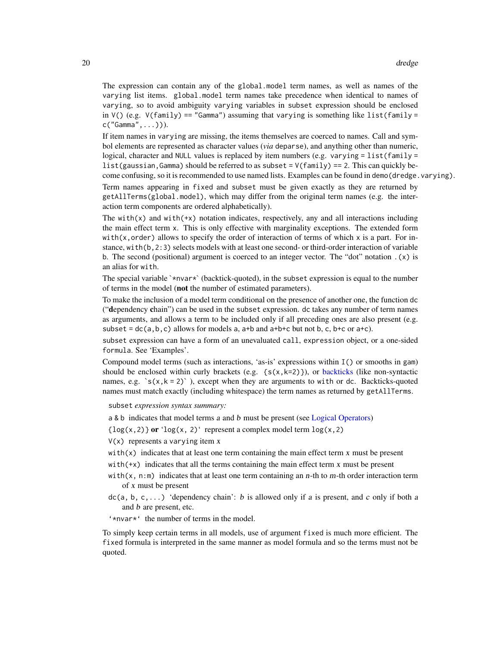The expression can contain any of the global.model term names, as well as names of the varying list items. global.model term names take precedence when identical to names of varying, so to avoid ambiguity varying variables in subset expression should be enclosed in  $V()$  (e.g.  $V(family) == "Gamma"$ ) assuming that varying is something like list(family = c("Gamma",...))).

If item names in varying are missing, the items themselves are coerced to names. Call and symbol elements are represented as character values (*via* deparse), and anything other than numeric, logical, character and NULL values is replaced by item numbers (e.g. varying = list(family = list(gaussian, Gamma) should be referred to as subset =  $V(family)$  == 2. This can quickly become confusing, so it is recommended to use named lists. Examples can be found in demo(dredge.varying).

Term names appearing in fixed and subset must be given exactly as they are returned by getAllTerms(global.model), which may differ from the original term names (e.g. the interaction term components are ordered alphabetically).

The with( $x$ ) and with( $+x$ ) notation indicates, respectively, any and all interactions including the main effect term x. This is only effective with marginality exceptions. The extended form with(x,order) allows to specify the order of interaction of terms of which  $x$  is a part. For instance, with(b,2:3) selects models with at least one second- or third-order interaction of variable b. The second (positional) argument is coerced to an integer vector. The "dot" notation  $(x)$  is an alias for with.

The special variable  $\star$ nvar $\star$  (backtick-quoted), in the subset expression is equal to the number of terms in the model (not the number of estimated parameters).

To make the inclusion of a model term conditional on the presence of another one, the function dc ("dependency chain") can be used in the subset expression. dc takes any number of term names as arguments, and allows a term to be included only if all preceding ones are also present (e.g. subset =  $dc(a, b, c)$  allows for models a, a+b and a+b+c but not b, c, b+c or a+c).

subset expression can have a form of an unevaluated call, expression object, or a one-sided formula. See 'Examples'.

Compound model terms (such as interactions, 'as-is' expressions within I() or smooths in gam) should be enclosed within curly brackets (e.g.  $\{s(x,k=2)\}\)$ , or [backticks](#page-0-0) (like non-syntactic names, e.g.  $\text{S}(x, k = 2)$ , except when they are arguments to with or dc. Backticks-quoted names must match exactly (including whitespace) the term names as returned by getAllTerms.

subset *expression syntax summary:*

a & b indicates that model terms a and b must be present (see [Logical Operators\)](#page-0-0)

- $\{log(x, 2)\}\$  or ' $log(x, 2)$ ' represent a complex model term  $log(x, 2)$
- $V(x)$  represents a varying item x
- with $(x)$  indicates that at least one term containing the main effect term  $x$  must be present
- with(+x) indicates that all the terms containing the main effect term x must be present
- with(x,  $n: m$ ) indicates that at least one term containing an n-th to m-th order interaction term of x must be present
- $dc(a, b, c, \ldots)$  'dependency chain': b is allowed only if a is present, and c only if both a and b are present, etc.
- '\*nvar\*' the number of terms in the model.

To simply keep certain terms in all models, use of argument fixed is much more efficient. The fixed formula is interpreted in the same manner as model formula and so the terms must not be quoted.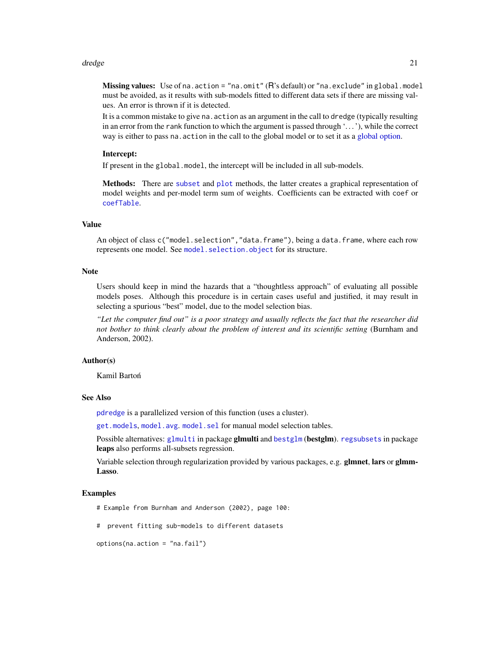#### dredge 21 and 22 and 22 and 22 and 22 and 22 and 22 and 22 and 22 and 22 and 22 and 22 and 22 and 22 and 22 and 22 and 22 and 22 and 22 and 22 and 22 and 22 and 22 and 22 and 22 and 22 and 22 and 22 and 22 and 22 and 22 an

Missing values: Use of na.action = "na.omit" (R's default) or "na.exclude" in global.model must be avoided, as it results with sub-models fitted to different data sets if there are missing values. An error is thrown if it is detected.

It is a common mistake to give na.action as an argument in the call to dredge (typically resulting in an error from the rank function to which the argument is passed through '. . . '), while the correct way is either to pass na.action in the call to the global model or to set it as a [global option.](#page-0-0)

#### Intercept:

If present in the global.model, the intercept will be included in all sub-models.

Methods: There are [subset](#page-66-1) and [plot](#page-47-1) methods, the latter creates a graphical representation of model weights and per-model term sum of weights. Coefficients can be extracted with coef or [coefTable](#page-32-1).

## Value

An object of class c("model.selection", "data.frame"), being a data.frame, where each row represents one model. See model. selection. object for its structure.

#### Note

Users should keep in mind the hazards that a "thoughtless approach" of evaluating all possible models poses. Although this procedure is in certain cases useful and justified, it may result in selecting a spurious "best" model, due to the model selection bias.

*"Let the computer find out" is a poor strategy and usually reflects the fact that the researcher did not bother to think clearly about the problem of interest and its scientific setting* (Burnham and Anderson, 2002).

## Author(s)

Kamil Bartoń

## See Also

[pdredge](#page-45-1) is a parallelized version of this function (uses a cluster).

[get.models](#page-25-1), [model.avg](#page-34-1). [model.sel](#page-37-1) for manual model selection tables.

Possible alternatives: [glmulti](#page-0-0) in package glmulti and [bestglm](#page-0-0) (bestglm). [regsubsets](#page-0-0) in package leaps also performs all-subsets regression.

Variable selection through regularization provided by various packages, e.g. glmnet, lars or glmm-Lasso.

#### Examples

- # Example from Burnham and Anderson (2002), page 100:
- # prevent fitting sub-models to different datasets

```
options(na.action = "na.fail")
```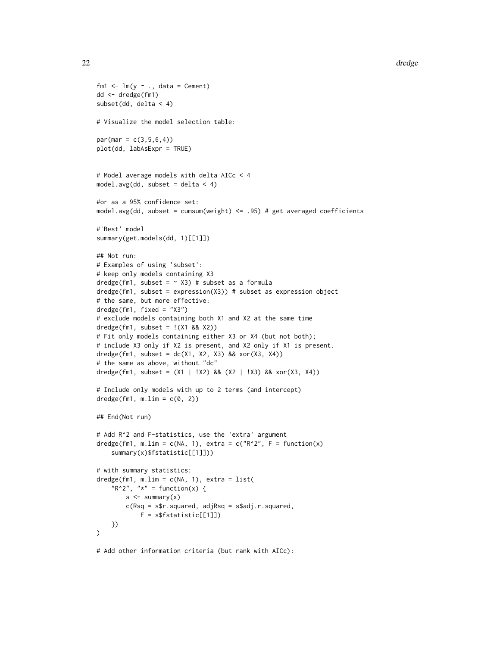```
fm1 \leftarrow lm(y \sim ., data = Cement)
dd <- dredge(fm1)
subset(dd, delta < 4)
# Visualize the model selection table:
par(max = c(3, 5, 6, 4))plot(dd, labAsExpr = TRUE)
# Model average models with delta AICc < 4
model.avg(dd, subset = delta < 4)
#or as a 95% confidence set:
model.avg(dd, subset = cumsum(weight) \le .95) # get averaged coefficients
#'Best' model
summary(get.models(dd, 1)[[1]])
## Not run:
# Examples of using 'subset':
# keep only models containing X3
dredge(fm1, subset = \sim X3) # subset as a formula
dredge(fm1, subset = expression(X3)) # subset as expression object
# the same, but more effective:
dredge(fm1, fixed = "X3")
# exclude models containing both X1 and X2 at the same time
dredge(fm1, subset = !(X1 88 X2))# Fit only models containing either X3 or X4 (but not both);
# include X3 only if X2 is present, and X2 only if X1 is present.
dredge(fm1, subset = dc(X1, X2, X3) && xor(X3, X4))
# the same as above, without "dc"
dredge(fm1, subset = (X1 | !X2) && (X2 | !X3) && xor(X3, X4))
# Include only models with up to 2 terms (and intercept)
dredge(fm1, m.lim = c(0, 2))
## End(Not run)
# Add R^2 and F-statistics, use the 'extra' argument
dredge(fm1, m.lim = c(NA, 1), extra = c("R^2", F = function(x)summary(x)$fstatistic[[1]]))
# with summary statistics:
dredge(fm1, m.lim = c(NA, 1), extra = list(
    "R^2", "x" = function(x)s < - summary(x)c(Rsq = s$r.squared, adjRsq = s$adj.r.squared,
            F = s$fstatistic[[1]])
   })
\mathcal{L}
```
# Add other information criteria (but rank with AICc):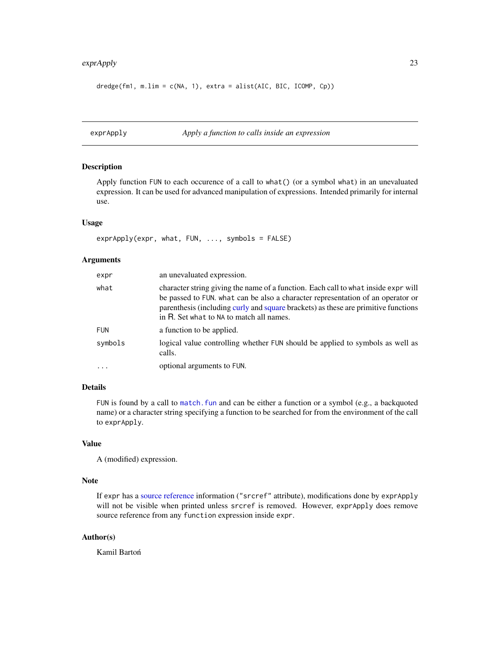# <span id="page-22-0"></span>exprApply 23

```
dredge(fm1, m.lim = c(NA, 1), extra = alist(AIC, BIC, ICOMP, Cp))
```

```
exprApply Apply a function to calls inside an expression
```
# Description

Apply function FUN to each occurence of a call to what() (or a symbol what) in an unevaluated expression. It can be used for advanced manipulation of expressions. Intended primarily for internal use.

#### Usage

```
exprApply(expr, what, FUN, ..., symbols = FALSE)
```
# Arguments

| expr       | an unevaluated expression.                                                                                                                                                                                                                                                                              |
|------------|---------------------------------------------------------------------------------------------------------------------------------------------------------------------------------------------------------------------------------------------------------------------------------------------------------|
| what       | character string giving the name of a function. Each call to what inside expr will<br>be passed to FUN. what can be also a character representation of an operator or<br>parenthesis (including curly and square brackets) as these are primitive functions<br>in R. Set what to NA to match all names. |
| <b>FUN</b> | a function to be applied.                                                                                                                                                                                                                                                                               |
| symbols    | logical value controlling whether FUN should be applied to symbols as well as<br>calls.                                                                                                                                                                                                                 |
| $\ddotsc$  | optional arguments to FUN.                                                                                                                                                                                                                                                                              |

## Details

FUN is found by a call to match. fun and can be either a function or a symbol (e.g., a backquoted name) or a character string specifying a function to be searched for from the environment of the call to exprApply.

## Value

A (modified) expression.

## Note

If expr has a [source reference](#page-0-0) information ("srcref" attribute), modifications done by exprApply will not be visible when printed unless srcref is removed. However, exprApply does remove source reference from any function expression inside expr.

## Author(s)

Kamil Bartoń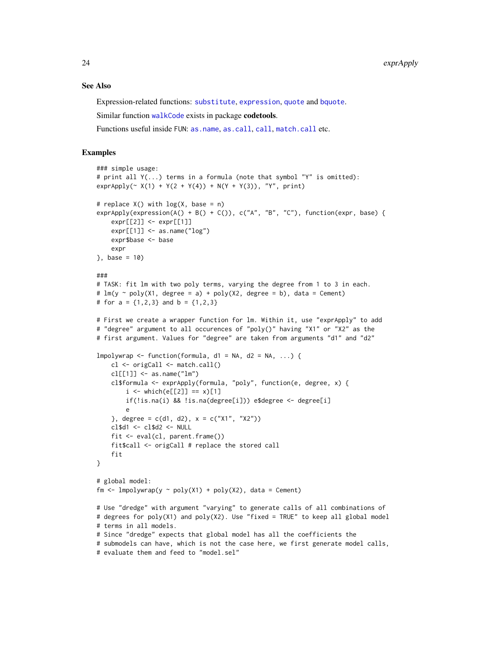#### See Also

Expression-related functions: [substitute](#page-0-0), [expression](#page-0-0), [quote](#page-0-0) and [bquote](#page-0-0).

Similar function [walkCode](#page-0-0) exists in package codetools.

Functions useful inside FUN: [as.name](#page-0-0), [as.call](#page-0-0), [call](#page-0-0), [match.call](#page-0-0) etc.

## Examples

```
### simple usage:
# print all Y(...) terms in a formula (note that symbol "Y" is omitted):
exprApply (~ X(1) + Y(2 + Y(4)) + N(Y + Y(3)), "Y", print)# replace X() with log(X, base = n)
exprApply(expression(A() + B() + C()), c("A", "B", "C"), function(expr, base) {
    expr[[2]] \le -expr[[1]]expr[[1]] \le - as.name("log")
    expr$base <- base
    expr
\}, base = 10)
###
# TASK: fit lm with two poly terms, varying the degree from 1 to 3 in each.
# lm(y \sim poly(X1, \text{degree} = a) + poly(X2, \text{degree} = b), data = Cement)
# for a = \{1,2,3\} and b = \{1,2,3\}# First we create a wrapper function for lm. Within it, use "exprApply" to add
# "degree" argument to all occurences of "poly()" having "X1" or "X2" as the
# first argument. Values for "degree" are taken from arguments "d1" and "d2"
lmpolywrap \leq function(formula, d1 = NA, d2 = NA, ...) {
   cl <- origCall <- match.call()
   cl[[1]] \leftarrow as.name("lm")cl$formula <- exprApply(formula, "poly", function(e, degree, x) {
        i \le which(e[[2]] == x)[1]
        if(!is.na(i) && !is.na(degree[i])) e$degree <- degree[i]
        e
    }, degree = c(d1, d2), x = c("X1", "X2"))cl$d1 <- cl$d2 <- NULL
    fit <- eval(cl, parent.frame())
    fit$call <- origCall # replace the stored call
    fit
}
# global model:
fm <- lmpolywrap(y ~ poly(X1) + poly(X2), data = Cement)
# Use "dredge" with argument "varying" to generate calls of all combinations of
# degrees for poly(X1) and poly(X2). Use "fixed = TRUE" to keep all global model
# terms in all models.
# Since "dredge" expects that global model has all the coefficients the
# submodels can have, which is not the case here, we first generate model calls,
# evaluate them and feed to "model.sel"
```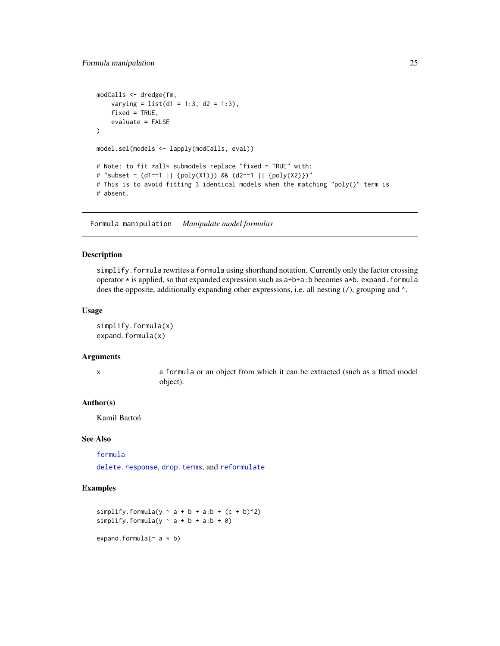```
modCalls <- dredge(fm,
    varying = list(d1 = 1:3, d2 = 1:3),
   fixed = TRUE,evaluate = FALSE
)
model.sel(models <- lapply(modCalls, eval))
# Note: to fit *all* submodels replace "fixed = TRUE" with:
# "subset = (d1==1 || {poly(X1)}) && (d2==1 || {poly(X2)})"
# This is to avoid fitting 3 identical models when the matching "poly()" term is
# absent.
```
Formula manipulation *Manipulate model formulas*

## Description

simplify.formula rewrites a formula using shorthand notation. Currently only the factor crossing operator  $*$  is applied, so that expanded expression such as  $a+b+a:b$  becomes  $a*b$ . expand. formula does the opposite, additionally expanding other expressions, i.e. all nesting (/), grouping and  $\wedge$ .

#### Usage

simplify.formula(x) expand.formula(x)

#### Arguments

x a formula or an object from which it can be extracted (such as a fitted model object).

## Author(s)

Kamil Bartoń

## See Also

[formula](#page-0-0) [delete.response](#page-0-0), [drop.terms](#page-0-0), and [reformulate](#page-0-0)

### Examples

```
simplify.formula(y \sim a + b + a:b + (c + b)^2)
simplify.formula(y \sim a + b + a:b + 0)
expand.formula(\sim a * b)
```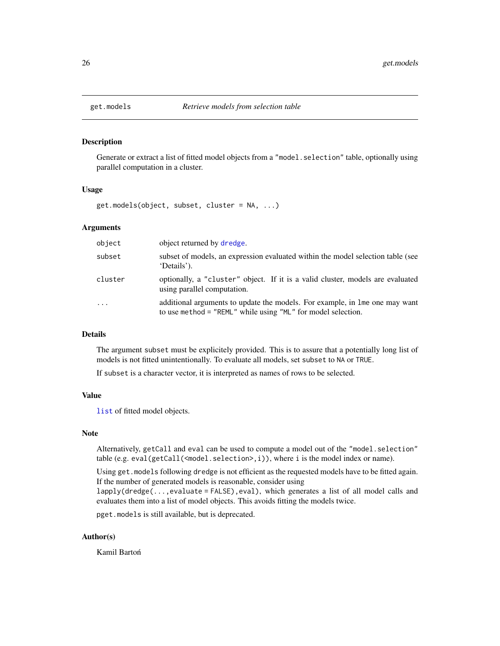<span id="page-25-1"></span><span id="page-25-0"></span>

#### Description

Generate or extract a list of fitted model objects from a "model. selection" table, optionally using parallel computation in a cluster.

#### Usage

get.models(object, subset, cluster = NA, ...)

## Arguments

| object     | object returned by dredge.                                                                                                                  |
|------------|---------------------------------------------------------------------------------------------------------------------------------------------|
| subset     | subset of models, an expression evaluated within the model selection table (see<br>'Details').                                              |
| cluster    | optionally, a "cluster" object. If it is a valid cluster, models are evaluated<br>using parallel computation.                               |
| $\ddots$ . | additional arguments to update the models. For example, in lme one may want<br>to use method = "REML" while using "ML" for model selection. |

## Details

The argument subset must be explicitely provided. This is to assure that a potentially long list of models is not fitted unintentionally. To evaluate all models, set subset to NA or TRUE.

If subset is a character vector, it is interpreted as names of rows to be selected.

## Value

[list](#page-0-0) of fitted model objects.

#### Note

Alternatively, getCall and eval can be used to compute a model out of the "model.selection" table (e.g. eval(getCall(<model.selection>,i)), where i is the model index or name).

Using get.models following dredge is not efficient as the requested models have to be fitted again. If the number of generated models is reasonable, consider using

lapply(dredge(...,evaluate = FALSE),eval), which generates a list of all model calls and evaluates them into a list of model objects. This avoids fitting the models twice.

pget.models is still available, but is deprecated.

## Author(s)

Kamil Bartoń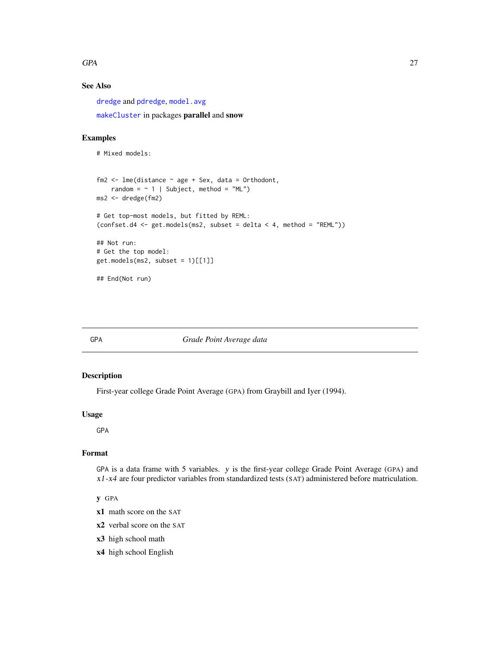#### <span id="page-26-0"></span> $GPA$  27

# See Also

[dredge](#page-16-1) and [pdredge](#page-45-1), [model.avg](#page-34-1)

[makeCluster](#page-0-0) in packages parallel and snow

## Examples

```
# Mixed models:
fm2 \leq -\text{Im}e(\text{distance} \leq \text{age} + \text{Sex}, \text{data} = \text{Orthodont},random = \sim 1 | Subject, method = "ML")
ms2 <- dredge(fm2)
# Get top-most models, but fitted by REML:
(confset.d4 <- get.models(ms2, subset = delta < 4, method = "REML"))
## Not run:
# Get the top model:
get.models(ms2, subset = 1)[[1]]## End(Not run)
```
## GPA *Grade Point Average data*

#### Description

First-year college Grade Point Average (GPA) from Graybill and Iyer (1994).

#### Usage

GPA

# Format

GPA is a data frame with 5 variables. y is the first-year college Grade Point Average (GPA) and x1-x4 are four predictor variables from standardized tests (SAT) administered before matriculation.

## y GPA

- x1 math score on the SAT
- x2 verbal score on the SAT
- x3 high school math
- x4 high school English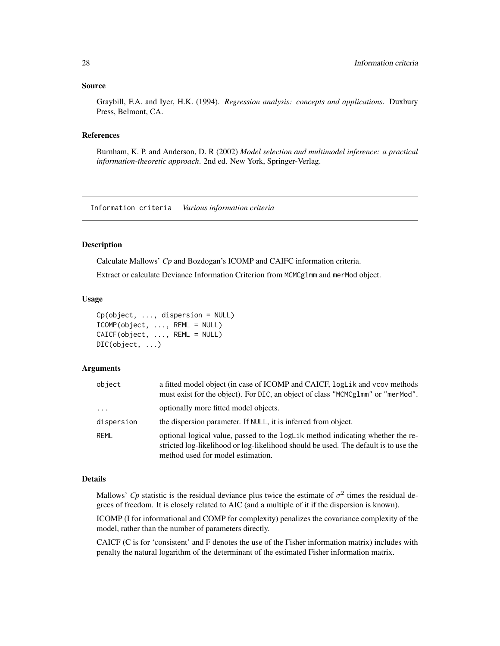#### <span id="page-27-0"></span>Source

Graybill, F.A. and Iyer, H.K. (1994). *Regression analysis: concepts and applications*. Duxbury Press, Belmont, CA.

#### References

Burnham, K. P. and Anderson, D. R (2002) *Model selection and multimodel inference: a practical information-theoretic approach*. 2nd ed. New York, Springer-Verlag.

Information criteria *Various information criteria*

#### <span id="page-27-1"></span>Description

Calculate Mallows' *Cp* and Bozdogan's ICOMP and CAIFC information criteria.

Extract or calculate Deviance Information Criterion from MCMCglmm and merMod object.

#### Usage

```
Cp(object, ..., dispersion = NULL)
ICOMP(object, ..., REML = NULL)
CAICF(object, ..., REML = NULL)
DIC(object, ...)
```
## Arguments

| object     | a fitted model object (in case of ICOMP and CAICF, logLik and vcov methods<br>must exist for the object). For DIC, an object of class "MCMCg1mm" or "merMod".                                              |
|------------|------------------------------------------------------------------------------------------------------------------------------------------------------------------------------------------------------------|
| $\cdots$   | optionally more fitted model objects.                                                                                                                                                                      |
| dispersion | the dispersion parameter. If NULL, it is inferred from object.                                                                                                                                             |
| REML       | optional logical value, passed to the logLik method indicating whether the re-<br>stricted log-likelihood or log-likelihood should be used. The default is to use the<br>method used for model estimation. |

## Details

Mallows' *Cp* statistic is the residual deviance plus twice the estimate of  $\sigma^2$  times the residual degrees of freedom. It is closely related to AIC (and a multiple of it if the dispersion is known).

ICOMP (I for informational and COMP for complexity) penalizes the covariance complexity of the model, rather than the number of parameters directly.

CAICF (C is for 'consistent' and F denotes the use of the Fisher information matrix) includes with penalty the natural logarithm of the determinant of the estimated Fisher information matrix.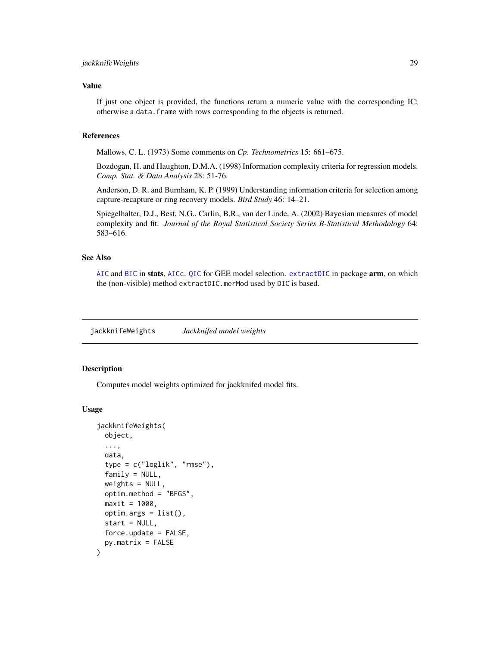## <span id="page-28-0"></span>jackknifeWeights 29

## Value

If just one object is provided, the functions return a numeric value with the corresponding IC; otherwise a data.frame with rows corresponding to the objects is returned.

#### References

Mallows, C. L. (1973) Some comments on *Cp*. *Technometrics* 15: 661–675.

Bozdogan, H. and Haughton, D.M.A. (1998) Information complexity criteria for regression models. *Comp. Stat. & Data Analysis* 28: 51-76.

Anderson, D. R. and Burnham, K. P. (1999) Understanding information criteria for selection among capture-recapture or ring recovery models. *Bird Study* 46: 14–21.

Spiegelhalter, D.J., Best, N.G., Carlin, B.R., van der Linde, A. (2002) Bayesian measures of model complexity and fit. *Journal of the Royal Statistical Society Series B-Statistical Methodology* 64: 583–616.

## See Also

[AIC](#page-0-0) and [BIC](#page-0-0) in stats, [AICc](#page-3-1). [QIC](#page-53-1) for GEE model selection. [extractDIC](#page-0-0) in package arm, on which the (non-visible) method extractDIC.merMod used by DIC is based.

<span id="page-28-1"></span>jackknifeWeights *Jackknifed model weights*

# **Description**

Computes model weights optimized for jackknifed model fits.

#### Usage

```
jackknifeWeights(
 object,
  ...,
  data,
  type = c("loglik", "rmse"),family = NULL,weights = NULL,optim.method = "BFGS",
 maxit = 1000.
 optim.args = list(),
  start = NULL,force.update = FALSE,py.matrix = FALSE
)
```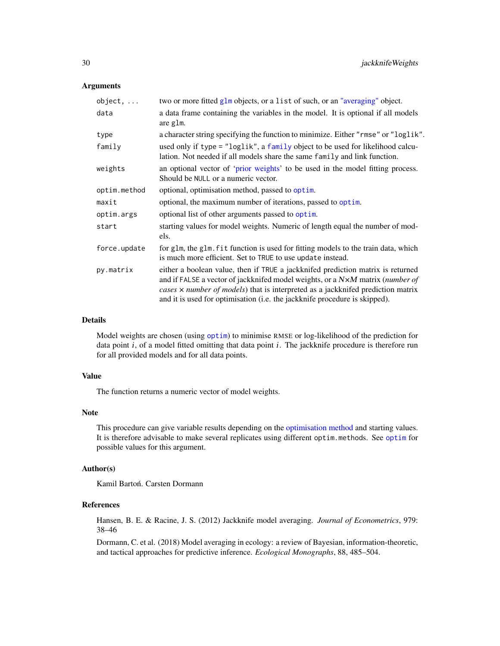## Arguments

| $object, \ldots$ | two or more fitted glm objects, or a list of such, or an "averaging" object.                                                                                                                                                                                                                                                      |
|------------------|-----------------------------------------------------------------------------------------------------------------------------------------------------------------------------------------------------------------------------------------------------------------------------------------------------------------------------------|
| data             | a data frame containing the variables in the model. It is optional if all models<br>are glm.                                                                                                                                                                                                                                      |
| type             | a character string specifying the function to minimize. Either "rmse" or "loglik".                                                                                                                                                                                                                                                |
| family           | used only if type = "loglik", a family object to be used for likelihood calcu-<br>lation. Not needed if all models share the same family and link function.                                                                                                                                                                       |
| weights          | an optional vector of 'prior weights' to be used in the model fitting process.<br>Should be NULL or a numeric vector.                                                                                                                                                                                                             |
| optim.method     | optional, optimisation method, passed to optim.                                                                                                                                                                                                                                                                                   |
| maxit            | optional, the maximum number of iterations, passed to optim.                                                                                                                                                                                                                                                                      |
| optim.args       | optional list of other arguments passed to optim.                                                                                                                                                                                                                                                                                 |
| start            | starting values for model weights. Numeric of length equal the number of mod-<br>els.                                                                                                                                                                                                                                             |
| force.update     | for glm, the glm. fit function is used for fitting models to the train data, which<br>is much more efficient. Set to TRUE to use update instead.                                                                                                                                                                                  |
| py.matrix        | either a boolean value, then if TRUE a jackknifed prediction matrix is returned<br>and if FALSE a vector of jackknifed model weights, or a N×M matrix (number of<br>cases x number of models) that is interpreted as a jackknifed prediction matrix<br>and it is used for optimisation (i.e. the jackknife procedure is skipped). |

#### Details

Model weights are chosen (using [optim](#page-0-0)) to minimise RMSE or log-likelihood of the prediction for data point i, of a model fitted omitting that data point i. The jackknife procedure is therefore run for all provided models and for all data points.

## Value

The function returns a numeric vector of model weights.

## Note

This procedure can give variable results depending on the [optimisation method](#page-0-0) and starting values. It is therefore advisable to make several replicates using different optim.methods. See [optim](#page-0-0) for possible values for this argument.

## Author(s)

Kamil Bartoń. Carsten Dormann

# References

Hansen, B. E. & Racine, J. S. (2012) Jackknife model averaging. *Journal of Econometrics*, 979: 38–46

Dormann, C. et al. (2018) Model averaging in ecology: a review of Bayesian, information-theoretic, and tactical approaches for predictive inference. *Ecological Monographs*, 88, 485–504.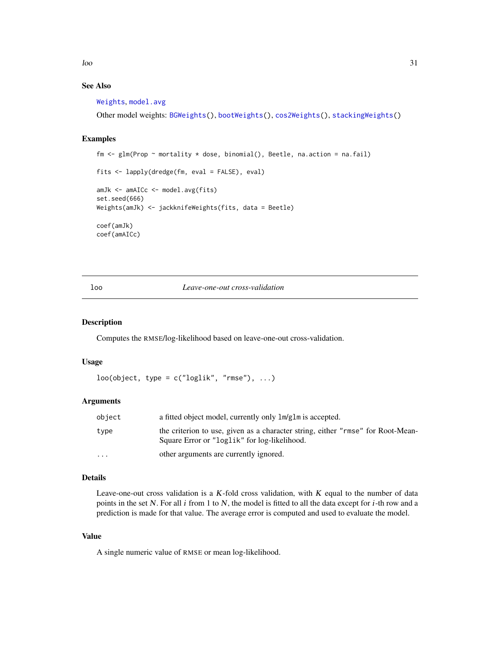<span id="page-30-0"></span> $l$ oo  $31$ 

# See Also

[Weights](#page-72-1), [model.avg](#page-34-1)

Other model weights: [BGWeights\(](#page-8-1)), [bootWeights\(](#page-10-1)), [cos2Weights\(](#page-15-1)), [stackingWeights\(](#page-59-1))

# Examples

```
fm <- glm(Prop ~ mortality * dose, binomial(), Beetle, na.action = na.fail)
fits <- lapply(dredge(fm, eval = FALSE), eval)
amJk <- amAICc <- model.avg(fits)
set.seed(666)
Weights(amJk) <- jackknifeWeights(fits, data = Beetle)
coef(amJk)
coef(amAICc)
```
loo *Leave-one-out cross-validation*

## Description

Computes the RMSE/log-likelihood based on leave-one-out cross-validation.

## Usage

```
loo(object, type = c("loglik", "rmse"), ...)
```
## Arguments

| object                  | a fitted object model, currently only $lm/glm$ is accepted.                                                                     |
|-------------------------|---------------------------------------------------------------------------------------------------------------------------------|
| type                    | the criterion to use, given as a character string, either "rmse" for Root-Mean-<br>Square Error or "loglik" for log-likelihood. |
| $\cdot$ $\cdot$ $\cdot$ | other arguments are currently ignored.                                                                                          |

#### Details

Leave-one-out cross validation is a  $K$ -fold cross validation, with  $K$  equal to the number of data points in the set N. For all  $i$  from 1 to N, the model is fitted to all the data except for  $i$ -th row and a prediction is made for that value. The average error is computed and used to evaluate the model.

#### Value

A single numeric value of RMSE or mean log-likelihood.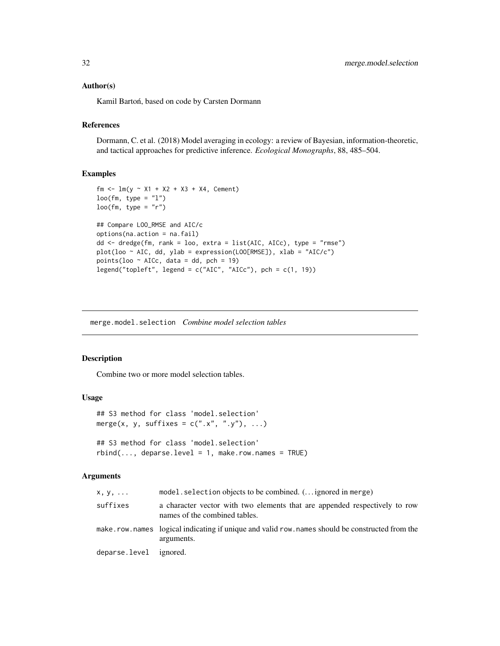## <span id="page-31-0"></span>Author(s)

Kamil Bartoń, based on code by Carsten Dormann

## References

Dormann, C. et al. (2018) Model averaging in ecology: a review of Bayesian, information-theoretic, and tactical approaches for predictive inference. *Ecological Monographs*, 88, 485–504.

## Examples

```
fm <- lm(y \sim X1 + X2 + X3 + X4, Cement)
loop(fm, type = "l")loo(fm, type = "r")## Compare LOO_RMSE and AIC/c
options(na.action = na.fail)
dd <- dredge(fm, rank = loo, extra = list(AIC, AICc), type = "rmse")
plot(loo ~ AIC, dd, ylab = expression(LOO[RMSE]), xlab = "AIC/c")points(loo ~ AICc, data = dd, pch = 19)
legend("topleft", legend = c("AIC", "AICc"), pch = c(1, 19))
```
merge.model.selection *Combine model selection tables*

## Description

Combine two or more model selection tables.

#### Usage

```
## S3 method for class 'model.selection'
merge(x, y, suffixes = c("x", "y"), ...)
```
## S3 method for class 'model.selection'  $rbind(..., deparse.level = 1, make.row.names = TRUE)$ 

#### Arguments

| x, y,                  | model. selection objects to be combined. $($ ignored in merge)                                               |
|------------------------|--------------------------------------------------------------------------------------------------------------|
| suffixes               | a character vector with two elements that are appended respectively to row<br>names of the combined tables.  |
|                        | make.row.names logical indicating if unique and valid row.names should be constructed from the<br>arguments. |
| deparse.level ignored. |                                                                                                              |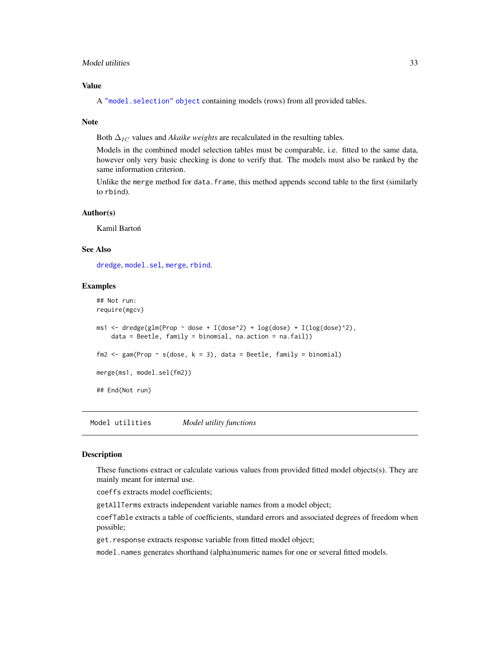## <span id="page-32-0"></span>Model utilities 33

## Value

A ["model.selection" object](#page-39-1) containing models (rows) from all provided tables.

### Note

Both  $\Delta_{IC}$  values and *Akaike weights* are recalculated in the resulting tables.

Models in the combined model selection tables must be comparable, i.e. fitted to the same data, however only very basic checking is done to verify that. The models must also be ranked by the same information criterion.

Unlike the merge method for data. frame, this method appends second table to the first (similarly to rbind).

#### Author(s)

Kamil Bartoń

## See Also

[dredge](#page-16-1), [model.sel](#page-37-1), [merge](#page-0-0), [rbind](#page-0-0).

## Examples

```
## Not run:
require(mgcv)
ms1 <- dredge(glm(Prop ~ dose + I(dose^2) + log(dose) + I(log(dose)^2),
    data = Beetle, family = binomial, na.action = na.fail))
fm2 <- gam(Prop ~ s(dose, k = 3), data = Beetle, family = binomial)
merge(ms1, model.sel(fm2))
## End(Not run)
```
Model utilities *Model utility functions*

#### <span id="page-32-1"></span>Description

These functions extract or calculate various values from provided fitted model objects(s). They are mainly meant for internal use.

coeffs extracts model coefficients;

getAllTerms extracts independent variable names from a model object;

coefTable extracts a table of coefficients, standard errors and associated degrees of freedom when possible;

get.response extracts response variable from fitted model object;

model.names generates shorthand (alpha)numeric names for one or several fitted models.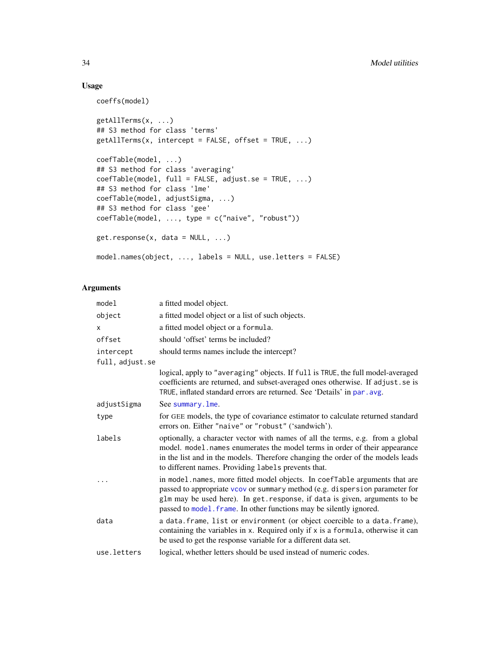# Usage

coeffs(model)

```
getAllTerms(x, ...)
## S3 method for class 'terms'
getAllTerms(x, intercept = FALSE, offset = TRUE, ...)
coefTable(model, ...)
## S3 method for class 'averaging'
coefTable(model, full = FALSE, adjust.se = TRUE, ...)
## S3 method for class 'lme'
coefTable(model, adjustSigma, ...)
## S3 method for class 'gee'
coefTable(model, ..., type = c("naive", "robust"))
get.response(x, data = NULL, ...)
model.names(object, ..., labels = NULL, use.letters = FALSE)
```
## Arguments

| model           | a fitted model object.                                                                                                                                                                                                                                                                                         |
|-----------------|----------------------------------------------------------------------------------------------------------------------------------------------------------------------------------------------------------------------------------------------------------------------------------------------------------------|
| object          | a fitted model object or a list of such objects.                                                                                                                                                                                                                                                               |
| X               | a fitted model object or a formula.                                                                                                                                                                                                                                                                            |
| offset          | should 'offset' terms be included?                                                                                                                                                                                                                                                                             |
| intercept       | should terms names include the intercept?                                                                                                                                                                                                                                                                      |
| full, adjust.se |                                                                                                                                                                                                                                                                                                                |
|                 | logical, apply to "averaging" objects. If full is TRUE, the full model-averaged<br>coefficients are returned, and subset-averaged ones otherwise. If adjust.se is<br>TRUE, inflated standard errors are returned. See 'Details' in par. avg.                                                                   |
| adjustSigma     | See summary. Ime.                                                                                                                                                                                                                                                                                              |
| type            | for GEE models, the type of covariance estimator to calculate returned standard<br>errors on. Either "naive" or "robust" ('sandwich').                                                                                                                                                                         |
| labels          | optionally, a character vector with names of all the terms, e.g. from a global<br>model. model.names enumerates the model terms in order of their appearance<br>in the list and in the models. Therefore changing the order of the models leads<br>to different names. Providing labels prevents that.         |
|                 | in model.names, more fitted model objects. In coefTable arguments that are<br>passed to appropriate vcov or summary method (e.g. dispersion parameter for<br>glm may be used here). In get. response, if data is given, arguments to be<br>passed to model. frame. In other functions may be silently ignored. |
| data            | a data. frame, list or environment (or object coercible to a data. frame),<br>containing the variables in x. Required only if x is a formula, otherwise it can<br>be used to get the response variable for a different data set.                                                                               |
| use.letters     | logical, whether letters should be used instead of numeric codes.                                                                                                                                                                                                                                              |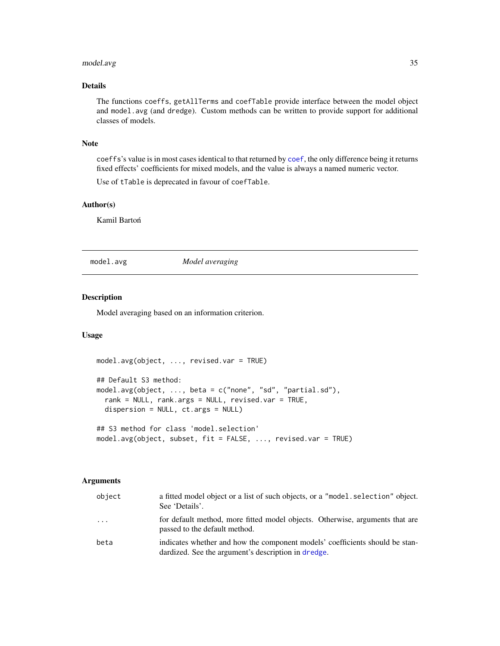# <span id="page-34-0"></span>model.avg 35

## Details

The functions coeffs, getAllTerms and coefTable provide interface between the model object and model.avg (and dredge). Custom methods can be written to provide support for additional classes of models.

# Note

coeffs's value is in most cases identical to that returned by [coef](#page-0-0), the only difference being it returns fixed effects' coefficients for mixed models, and the value is always a named numeric vector.

Use of tTable is deprecated in favour of coefTable.

# Author(s)

Kamil Bartoń

<span id="page-34-1"></span>model.avg *Model averaging*

#### Description

Model averaging based on an information criterion.

#### Usage

```
model.avg(object, ..., revised.var = TRUE)
## Default S3 method:
model.avg(object, ..., beta = c("none", "sd", "partial.sd"),
  rank = NULL, rank.args = NULL, revised.var = TRUE,
 dispersion = NULL, ct.args = NULL)
## S3 method for class 'model.selection'
```
model.avg(object, subset, fit = FALSE, ..., revised.var = TRUE)

## Arguments

| object | a fitted model object or a list of such objects, or a "model. selection" object.<br>See 'Details'.                                  |
|--------|-------------------------------------------------------------------------------------------------------------------------------------|
| .      | for default method, more fitted model objects. Otherwise, arguments that are<br>passed to the default method.                       |
| beta   | indicates whether and how the component models' coefficients should be stan-<br>dardized. See the argument's description in dredge. |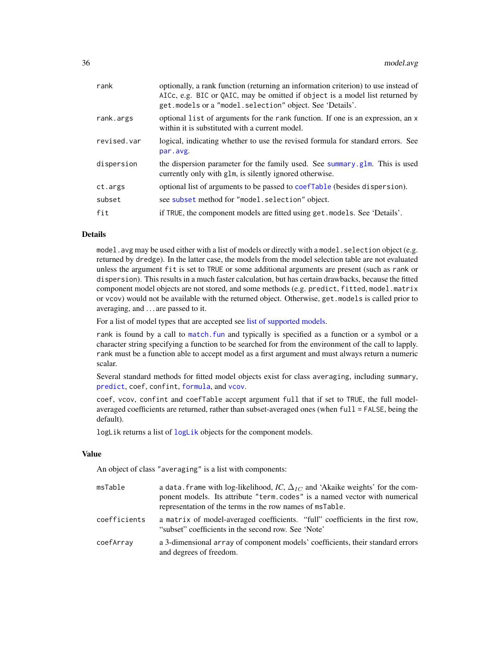| rank        | optionally, a rank function (returning an information criterion) to use instead of<br>AICc, e.g. BIC or QAIC, may be omitted if object is a model list returned by<br>get. models or a "model. selection" object. See 'Details'. |
|-------------|----------------------------------------------------------------------------------------------------------------------------------------------------------------------------------------------------------------------------------|
| rank.args   | optional list of arguments for the rank function. If one is an expression, an x<br>within it is substituted with a current model.                                                                                                |
| revised.var | logical, indicating whether to use the revised formula for standard errors. See<br>par.avg.                                                                                                                                      |
| dispersion  | the dispersion parameter for the family used. See summary glm. This is used<br>currently only with glm, is silently ignored otherwise.                                                                                           |
| ct.args     | optional list of arguments to be passed to coef Table (besides dispersion).                                                                                                                                                      |
| subset      | see subset method for "model.selection" object.                                                                                                                                                                                  |
| fit         | if TRUE, the component models are fitted using get. models. See 'Details'.                                                                                                                                                       |

#### Details

model.avg may be used either with a list of models or directly with a model. selection object (e.g. returned by dredge). In the latter case, the models from the model selection table are not evaluated unless the argument fit is set to TRUE or some additional arguments are present (such as rank or dispersion). This results in a much faster calculation, but has certain drawbacks, because the fitted component model objects are not stored, and some methods (e.g. predict, fitted, model.matrix or vcov) would not be available with the returned object. Otherwise, get.models is called prior to averaging, and . . . are passed to it.

For a list of model types that are accepted see [list of supported models.](#page-40-1)

rank is found by a call to [match.fun](#page-0-0) and typically is specified as a function or a symbol or a character string specifying a function to be searched for from the environment of the call to lapply. rank must be a function able to accept model as a first argument and must always return a numeric scalar.

Several standard methods for fitted model objects exist for class averaging, including summary, [predict](#page-48-1), coef, confint, [formula](#page-0-0), and [vcov](#page-0-0).

coef, vcov, confint and coefTable accept argument full that if set to TRUE, the full modelaveraged coefficients are returned, rather than subset-averaged ones (when full = FALSE, being the default).

logLik returns a list of [logLik](#page-0-0) objects for the component models.

## Value

An object of class "averaging" is a list with components:

| msTable      | a data. frame with log-likelihood, IC, $\Delta_{IC}$ and 'Akaike weights' for the com-<br>ponent models. Its attribute "term.codes" is a named vector with numerical<br>representation of the terms in the row names of msTable. |
|--------------|----------------------------------------------------------------------------------------------------------------------------------------------------------------------------------------------------------------------------------|
| coefficients | a matrix of model-averaged coefficients. "full" coefficients in the first row,<br>"subset" coefficients in the second row. See 'Note'                                                                                            |
| coefArray    | a 3-dimensional array of component models' coefficients, their standard errors<br>and degrees of freedom.                                                                                                                        |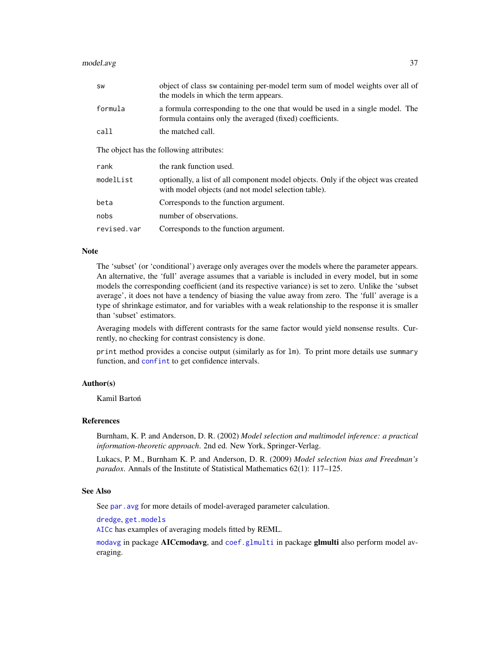| SW                                       | object of class sw containing per-model term sum of model weights over all of<br>the models in which the term appears.                   |  |
|------------------------------------------|------------------------------------------------------------------------------------------------------------------------------------------|--|
| formula                                  | a formula corresponding to the one that would be used in a single model. The<br>formula contains only the averaged (fixed) coefficients. |  |
| call                                     | the matched call.                                                                                                                        |  |
| The object has the following attributes: |                                                                                                                                          |  |
|                                          |                                                                                                                                          |  |
| rank                                     | the rank function used.                                                                                                                  |  |
| modelList                                | optionally, a list of all component model objects. Only if the object was created<br>with model objects (and not model selection table). |  |
| beta                                     | Corresponds to the function argument.                                                                                                    |  |
| nobs                                     | number of observations.                                                                                                                  |  |

#### Note

The 'subset' (or 'conditional') average only averages over the models where the parameter appears. An alternative, the 'full' average assumes that a variable is included in every model, but in some models the corresponding coefficient (and its respective variance) is set to zero. Unlike the 'subset average', it does not have a tendency of biasing the value away from zero. The 'full' average is a type of shrinkage estimator, and for variables with a weak relationship to the response it is smaller than 'subset' estimators.

Averaging models with different contrasts for the same factor would yield nonsense results. Currently, no checking for contrast consistency is done.

print method provides a concise output (similarly as for lm). To print more details use summary function, and [confint](#page-0-0) to get confidence intervals.

## Author(s)

Kamil Bartoń

## References

Burnham, K. P. and Anderson, D. R. (2002) *Model selection and multimodel inference: a practical information-theoretic approach*. 2nd ed. New York, Springer-Verlag.

Lukacs, P. M., Burnham K. P. and Anderson, D. R. (2009) *Model selection bias and Freedman's paradox*. Annals of the Institute of Statistical Mathematics 62(1): 117–125.

#### See Also

See par. avg for more details of model-averaged parameter calculation.

[dredge](#page-16-0), [get.models](#page-25-0)

[AICc](#page-3-0) has examples of averaging models fitted by REML.

[modavg](#page-0-0) in package AICcmodavg, and [coef.glmulti](#page-0-0) in package glmulti also perform model averaging.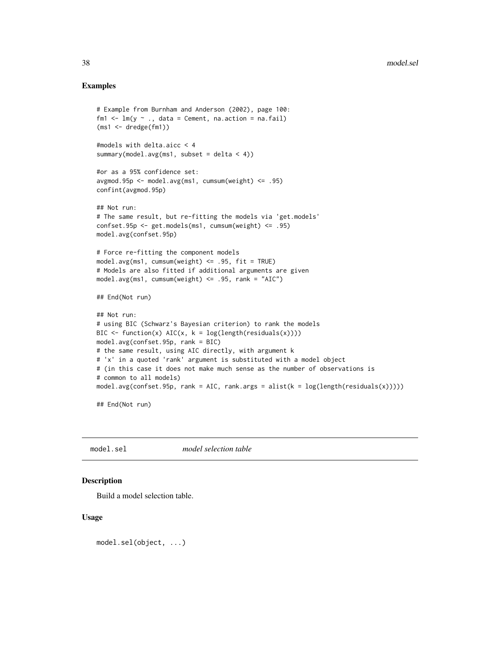# Examples

```
# Example from Burnham and Anderson (2002), page 100:
fm1 \leftarrow lm(y \sim ., data = Cement, na.action = na.fail)
(ms1 <- dredge(fm1))
#models with delta.aicc < 4
summary(model.avg(ms1, subset = delta < 4))
#or as a 95% confidence set:
avgmod.95p <- model.avg(ms1, cumsum(weight) <= .95)
confint(avgmod.95p)
## Not run:
# The same result, but re-fitting the models via 'get.models'
confset.95p <- get.models(ms1, cumsum(weight) <= .95)
model.avg(confset.95p)
# Force re-fitting the component models
model.argv(ms1, cumsum(weight) \le .95, fit = TRUE)# Models are also fitted if additional arguments are given
model.argv(ms1, cumsum(weight) \le .95, rank = "AIC")## End(Not run)
## Not run:
# using BIC (Schwarz's Bayesian criterion) to rank the models
BIC \le function(x) AIC(x, k = log(length(residuals(x))))model.avg(confset.95p, rank = BIC)
# the same result, using AIC directly, with argument k
# 'x' in a quoted 'rank' argument is substituted with a model object
# (in this case it does not make much sense as the number of observations is
# common to all models)
model.avg(confset.95p, rank = AIC, rank.args = alist(k = log(length(residuals(x)))))
## End(Not run)
```
<span id="page-37-0"></span>model.sel *model selection table*

# Description

Build a model selection table.

#### Usage

model.sel(object, ...)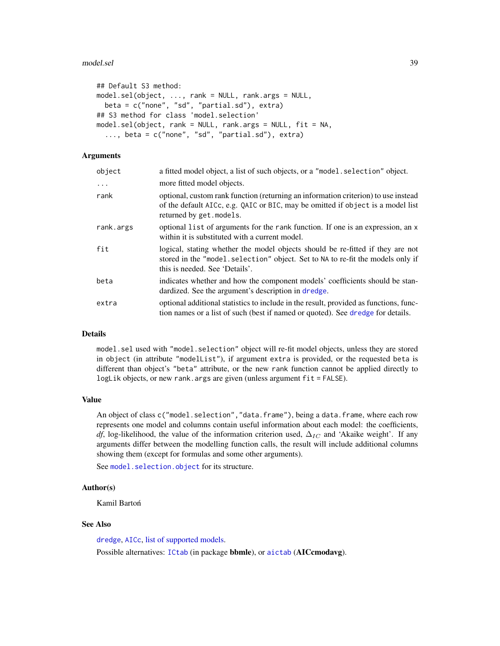#### model.sel 39

```
## Default S3 method:
model.sel(object, ..., rank = NULL, rank.args = NULL,
 beta = c("none", "sd", "partial.sd"), extra)
## S3 method for class 'model.selection'
model.sel(object, rank = NULL, rank.args = NULL, fit = NA,
  ..., beta = c("none", "sd", "partial.sd"), extra)
```
# Arguments

| object     | a fitted model object, a list of such objects, or a "model. selection" object.                                                                                                                      |
|------------|-----------------------------------------------------------------------------------------------------------------------------------------------------------------------------------------------------|
| $\ddots$ . | more fitted model objects.                                                                                                                                                                          |
| rank       | optional, custom rank function (returning an information criterion) to use instead<br>of the default AICc, e.g. QAIC or BIC, may be omitted if object is a model list<br>returned by get. models.   |
| rank.args  | optional list of arguments for the rank function. If one is an expression, an x<br>within it is substituted with a current model.                                                                   |
| fit        | logical, stating whether the model objects should be re-fitted if they are not<br>stored in the "model. selection" object. Set to NA to re-fit the models only if<br>this is needed. See 'Details'. |
| beta       | indicates whether and how the component models' coefficients should be stan-<br>dardized. See the argument's description in dredge.                                                                 |
| extra      | optional additional statistics to include in the result, provided as functions, func-<br>tion names or a list of such (best if named or quoted). See dredge for details.                            |

## Details

model.sel used with "model.selection" object will re-fit model objects, unless they are stored in object (in attribute "modelList"), if argument extra is provided, or the requested beta is different than object's "beta" attribute, or the new rank function cannot be applied directly to logLik objects, or new rank.args are given (unless argument fit = FALSE).

# Value

An object of class c("model.selection","data.frame"), being a data.frame, where each row represents one model and columns contain useful information about each model: the coefficients, *df*, log-likelihood, the value of the information criterion used,  $\Delta_{IC}$  and 'Akaike weight'. If any arguments differ between the modelling function calls, the result will include additional columns showing them (except for formulas and some other arguments).

See [model.selection.object](#page-39-0) for its structure.

# Author(s)

Kamil Bartoń

# See Also

[dredge](#page-16-0), [AICc](#page-3-0), [list of supported models.](#page-40-0)

Possible alternatives: [ICtab](#page-0-0) (in package bbmle), or [aictab](#page-0-0) (AICcmodavg).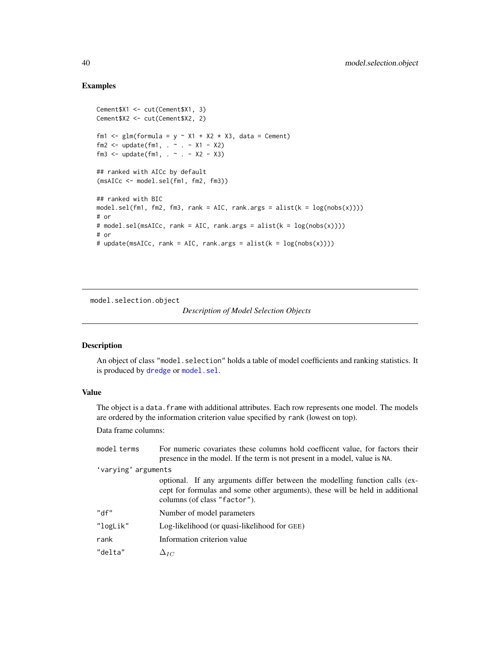# Examples

```
Cement$X1 <- cut(Cement$X1, 3)
Cement$X2 <- cut(Cement$X2, 2)
fm1 <- glm(formula = y \sim X1 + X2 \star X3, data = Cement)
fm2 \leq update(fm1, . ~ ~ ~ ~ ~ ~ ~ ~ x1 - X2)fm3 <- update(fm1, . ~ . - X2 - X3)
## ranked with AICc by default
(msAICc <- model.sel(fm1, fm2, fm3))
## ranked with BIC
model.sel(fm1, fm2, fm3, rank = AIC, rank.args = alist(k = log(nobs(x)))))
# or
# model.sel(msAICc, rank = AIC, rank.args = alist(k = log(nobs(x))))
# or
# update(msAICc, rank = AIC, rank.args = alist(k = log(nobs(x)))))
```
<span id="page-39-0"></span>model.selection.object

# *Description of Model Selection Objects*

# Description

An object of class "model.selection" holds a table of model coefficients and ranking statistics. It is produced by [dredge](#page-16-0) or [model.sel](#page-37-0).

# Value

The object is a data. frame with additional attributes. Each row represents one model. The models are ordered by the information criterion value specified by rank (lowest on top).

Data frame columns:

| model terms | For numeric covariates these columns hold coefficent value, for factors their<br>presence in the model. If the term is not present in a model, value is NA.                                  |  |
|-------------|----------------------------------------------------------------------------------------------------------------------------------------------------------------------------------------------|--|
|             | 'varying' arguments                                                                                                                                                                          |  |
|             | optional. If any arguments differ between the modelling function calls (ex-<br>cept for formulas and some other arguments), these will be held in additional<br>columns (of class "factor"). |  |
| "df"        | Number of model parameters                                                                                                                                                                   |  |
| "logLik"    | Log-likelihood (or quasi-likelihood for GEE)                                                                                                                                                 |  |
| rank        | Information criterion value                                                                                                                                                                  |  |
| "delta"     | $\Delta_{IC}$                                                                                                                                                                                |  |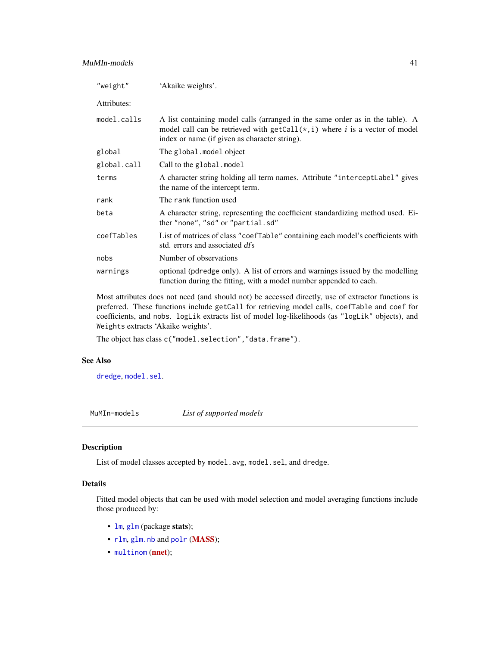| "weight"    | 'Akaike weights'.                                                                                                                                                                                              |
|-------------|----------------------------------------------------------------------------------------------------------------------------------------------------------------------------------------------------------------|
| Attributes: |                                                                                                                                                                                                                |
| model.calls | A list containing model calls (arranged in the same order as in the table). A<br>model call can be retrieved with $getCall(*,i)$ where i is a vector of model<br>index or name (if given as character string). |
| global      | The global.model object                                                                                                                                                                                        |
| global.call | Call to the global. model                                                                                                                                                                                      |
| terms       | A character string holding all term names. Attribute "interceptLabel" gives<br>the name of the intercept term.                                                                                                 |
| rank        | The rank function used                                                                                                                                                                                         |
| beta        | A character string, representing the coefficient standardizing method used. Ei-<br>ther "none", "sd" or "partial.sd"                                                                                           |
| coefTables  | List of matrices of class "coefTable" containing each model's coefficients with<br>std. errors and associated dfs                                                                                              |
| nobs        | Number of observations                                                                                                                                                                                         |
| warnings    | optional (pdredge only). A list of errors and warnings issued by the modelling<br>function during the fitting, with a model number appended to each.                                                           |

Most attributes does not need (and should not) be accessed directly, use of extractor functions is preferred. These functions include getCall for retrieving model calls, coefTable and coef for coefficients, and nobs. logLik extracts list of model log-likelihoods (as "logLik" objects), and Weights extracts 'Akaike weights'.

The object has class c("model.selection", "data.frame").

# See Also

[dredge](#page-16-0), [model.sel](#page-37-0).

<span id="page-40-0"></span>MuMIn-models *List of supported models*

# Description

List of model classes accepted by model.avg, model.sel, and dredge.

# Details

Fitted model objects that can be used with model selection and model averaging functions include those produced by:

- [lm](#page-0-0), [glm](#page-0-0) (package stats);
- [rlm](#page-0-0), [glm.nb](#page-0-0) and [polr](#page-0-0) ([MASS](https://cran.r-project.org/package=MASS));
- [multinom](#page-0-0) ([nnet](https://cran.r-project.org/package=nnet));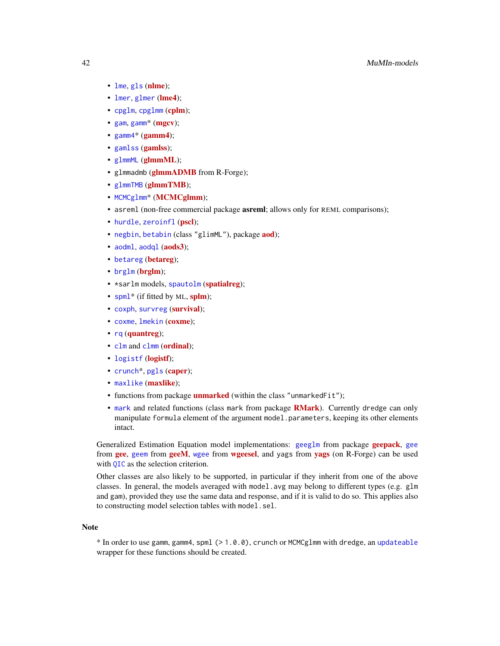# 42 MuMIn-models

- [lme](#page-0-0), [gls](#page-0-0) ([nlme](https://cran.r-project.org/package=nlme));
- [lmer](#page-0-0), [glmer](#page-0-0) ([lme4](https://cran.r-project.org/package=lme4));
- [cpglm](#page-0-0), [cpglmm](#page-0-0) ([cplm](https://cran.r-project.org/package=cplm));
- [gam](#page-0-0), [gamm](#page-0-0)<sup>\*</sup> ([mgcv](https://cran.r-project.org/package=mgcv));
- $gamma^*(gamma)$ ;
- [gamlss](https://cran.r-project.org/package=gamlss) (gamlss);
- [glmmML](https://cran.r-project.org/package=glmmML) (glmmML);
- glmmadmb (**[glmmADMB](http://glmmadmb.r-forge.r-project.org/)** from R-Forge);
- [glmmTMB](https://cran.r-project.org/package=glmmTMB) (glmmTMB);
- [MCMCglmm](https://cran.r-project.org/package=MCMCglmm)\* (MCMCglmm);
- asreml (non-free commercial package **asreml**; allows only for REML comparisons);
- [hurdle](#page-0-0) [zeroinfl](#page-0-0) ([pscl](https://cran.r-project.org/package=pscl));
- [negbin](#page-0-0), [betabin](#page-0-0) (class "glimML"), package **[aod](https://cran.r-project.org/package=aod)**);
- [aodml](#page-0-0), [aodql](#page-0-0) ([aods3](https://cran.r-project.org/package=aods3));
- [betareg](#page-0-0) ([betareg](https://cran.r-project.org/package=betareg));
- [brglm](https://cran.r-project.org/package=brglm) (brglm);
- \*sarlm models, [spautolm](#page-0-0) ([spatialreg](https://cran.r-project.org/package=spatialreg));
- [spml](#page-0-0)<sup>\*</sup> (if fitted by ML, [splm](https://cran.r-project.org/package=splm));
- [coxph](#page-0-0), [survreg](#page-0-0) ([survival](https://cran.r-project.org/package=survival));
- [coxme](#page-0-0), [lmekin](#page-0-0) ([coxme](https://cran.r-project.org/package=coxme));
- [rq](#page-0-0) ([quantreg](https://cran.r-project.org/package=quantreg));
- [clm](#page-0-0) and [clmm](#page-0-0) ([ordinal](https://cran.r-project.org/package=ordinal));
- [logistf](https://cran.r-project.org/package=logistf) (logistf);
- [crunch](#page-0-0)<sup>\*</sup>, [pgls](#page-0-0) ([caper](https://cran.r-project.org/package=caper));
- [maxlike](https://cran.r-project.org/package=maxlike) (maxlike);
- functions from package **[unmarked](https://cran.r-project.org/package=unmarked)** (within the class "unmarkedFit");
- [mark](#page-0-0) and related functions (class mark from package **[RMark](https://cran.r-project.org/package=RMark)**). Currently dredge can only manipulate formula element of the argument model.parameters, keeping its other elements intact.

Generalized Estimation Equation model implementations: [geeglm](#page-0-0) from package [geepack](https://cran.r-project.org/package=geepack), [gee](#page-0-0) from **[gee](https://cran.r-project.org/package=gee)**, [geem](#page-0-0) from **[geeM](https://cran.r-project.org/package=geeM)**, [wgee](#page-0-0) from **[wgeesel](https://cran.r-project.org/package=wgeesel)**, and [yags](http://yags.r-forge.r-project.org/) from **yags** (on R-Forge) can be used with [QIC](#page-53-0) as the selection criterion.

Other classes are also likely to be supported, in particular if they inherit from one of the above classes. In general, the models averaged with model, avg may belong to different types (e.g. glm and gam), provided they use the same data and response, and if it is valid to do so. This applies also to constructing model selection tables with model.sel.

#### Note

\* In order to use gamm, gamm4, spml (> 1.0.0), crunch or MCMCglmm with dredge, an [updateable](#page-69-0) wrapper for these functions should be created.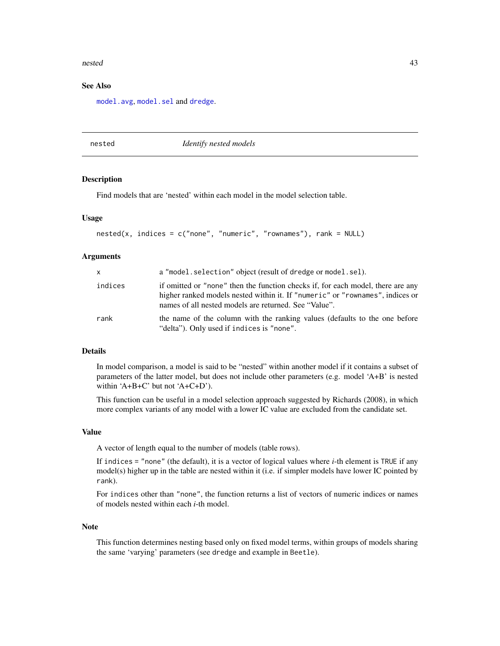#### nested the contract of the contract of the contract of the contract of the contract of the contract of the contract of the contract of the contract of the contract of the contract of the contract of the contract of the con

# See Also

[model.avg](#page-34-0), [model.sel](#page-37-0) and [dredge](#page-16-0).

## nested *Identify nested models*

# **Description**

Find models that are 'nested' within each model in the model selection table.

## Usage

```
nested(x, indices = c("none", "numeric", "rownames"), rank = NULL)
```
# **Arguments**

| $\mathsf{x}$ | a "model.selection" object (result of dredge or model.sel).                                                                                                                                                               |
|--------------|---------------------------------------------------------------------------------------------------------------------------------------------------------------------------------------------------------------------------|
| indices      | if omitted or "none" then the function checks if, for each model, there are any<br>higher ranked models nested within it. If "numeric" or "rownames", indices or<br>names of all nested models are returned. See "Value". |
| rank         | the name of the column with the ranking values (defaults to the one before<br>"delta"). Only used if indices is "none".                                                                                                   |

# Details

In model comparison, a model is said to be "nested" within another model if it contains a subset of parameters of the latter model, but does not include other parameters (e.g. model 'A+B' is nested within 'A+B+C' but not 'A+C+D').

This function can be useful in a model selection approach suggested by Richards (2008), in which more complex variants of any model with a lower IC value are excluded from the candidate set.

#### Value

A vector of length equal to the number of models (table rows).

If indices = "none" (the default), it is a vector of logical values where *i*-th element is TRUE if any model(s) higher up in the table are nested within it (i.e. if simpler models have lower IC pointed by rank).

For indices other than "none", the function returns a list of vectors of numeric indices or names of models nested within each *i*-th model.

#### Note

This function determines nesting based only on fixed model terms, within groups of models sharing the same 'varying' parameters (see dredge and example in Beetle).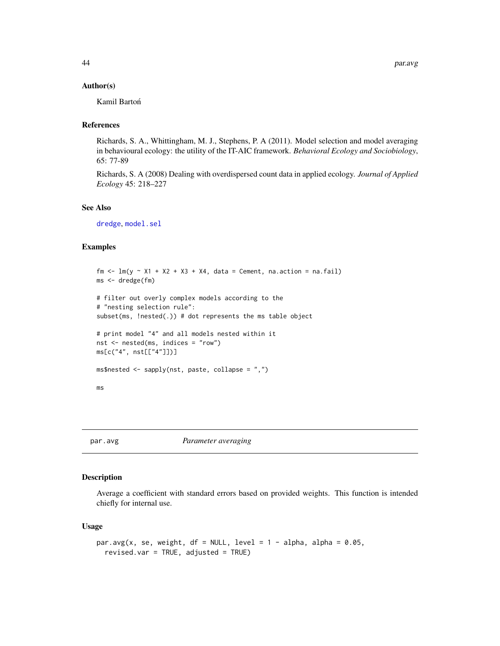#### Author(s)

Kamil Bartoń

# References

Richards, S. A., Whittingham, M. J., Stephens, P. A (2011). Model selection and model averaging in behavioural ecology: the utility of the IT-AIC framework. *Behavioral Ecology and Sociobiology*, 65: 77-89

Richards, S. A (2008) Dealing with overdispersed count data in applied ecology. *Journal of Applied Ecology* 45: 218–227

### See Also

[dredge](#page-16-0), [model.sel](#page-37-0)

# Examples

```
fm \leq \text{lm}(y \sim X1 + X2 + X3 + X4, \text{ data} = \text{Cement}, \text{ na.action} = \text{na.fail})ms <- dredge(fm)
# filter out overly complex models according to the
# "nesting selection rule":
subset(ms, !nested(.)) # dot represents the ms table object
# print model "4" and all models nested within it
nst <- nested(ms, indices = "row")
ms[c("4", nst[["4"]])]
ms$nested <- sapply(nst, paste, collapse = ",")
ms
```
<span id="page-43-0"></span>par.avg *Parameter averaging*

# Description

Average a coefficient with standard errors based on provided weights. This function is intended chiefly for internal use.

#### Usage

```
par.avg(x, se, weight, df = NULL, level = 1 - alpha, alpha = 0.05,
  revised.var = TRUE, adjusted = TRUE)
```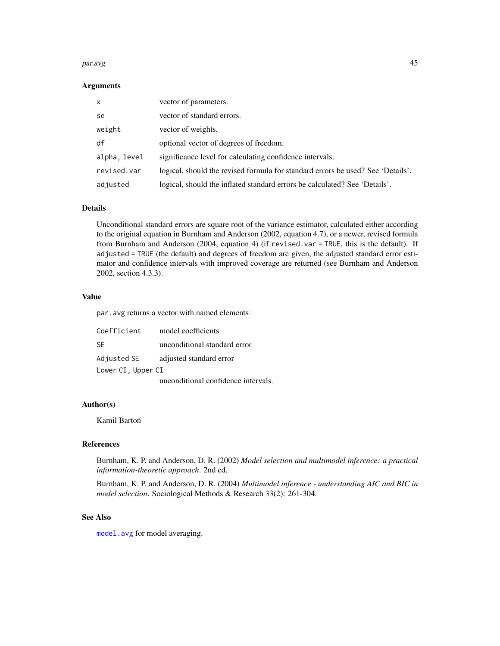#### par.avg and the contract of the contract of the contract of the contract of the contract of the contract of the contract of the contract of the contract of the contract of the contract of the contract of the contract of th

#### Arguments

| $\mathsf{x}$ | vector of parameters.                                                           |
|--------------|---------------------------------------------------------------------------------|
| se           | vector of standard errors.                                                      |
| weight       | vector of weights.                                                              |
| df           | optional vector of degrees of freedom.                                          |
| alpha, level | significance level for calculating confidence intervals.                        |
| revised.var  | logical, should the revised formula for standard errors be used? See 'Details'. |
| adjusted     | logical, should the inflated standard errors be calculated? See 'Details'.      |

#### Details

Unconditional standard errors are square root of the variance estimator, calculated either according to the original equation in Burnham and Anderson (2002, equation 4.7), or a newer, revised formula from Burnham and Anderson (2004, equation 4) (if revised.var = TRUE, this is the default). If adjusted = TRUE (the default) and degrees of freedom are given, the adjusted standard error estimator and confidence intervals with improved coverage are returned (see Burnham and Anderson 2002, section 4.3.3).

# Value

par.avg returns a vector with named elements:

| Coefficient        | model coefficients                  |
|--------------------|-------------------------------------|
| -SE                | unconditional standard error        |
| Adjusted SE        | adjusted standard error             |
| Lower CI, Upper CI |                                     |
|                    | unconditional confidence intervals. |

## Author(s)

Kamil Bartoń

# References

Burnham, K. P. and Anderson, D. R. (2002) *Model selection and multimodel inference: a practical information-theoretic approach*. 2nd ed.

Burnham, K. P. and Anderson, D. R. (2004) *Multimodel inference - understanding AIC and BIC in model selection*. Sociological Methods & Research 33(2): 261-304.

# See Also

[model.avg](#page-34-0) for model averaging.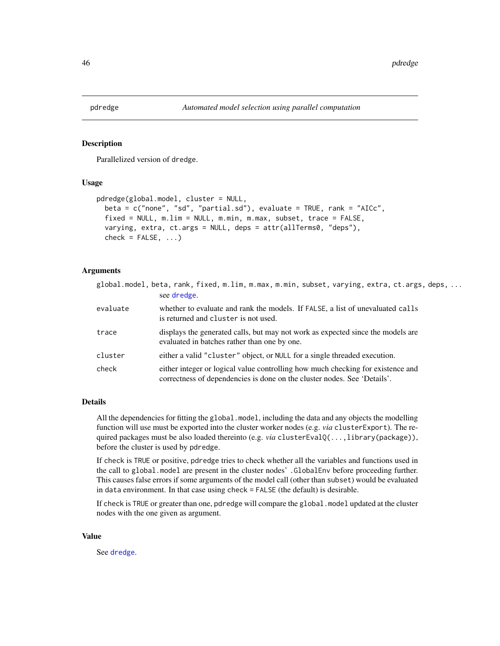# Description

Parallelized version of dredge.

# Usage

```
pdredge(global.model, cluster = NULL,
 beta = c("none", "sd", "partial.sd"), evaluate = TRUE, rank = "AICc",
  fixed = NULL, m.lim = NULL, m.min, m.max, subset, trace = FALSE,
  varying, extra, ct.args = NULL, deps = attr(allTerms0, "deps"),
  check = FALSE, ...)
```
## Arguments

|          | global.model, beta, rank, fixed, m.lim, m.max, m.min, subset, varying, extra, ct.args, deps,<br>see dredge.                                                 |
|----------|-------------------------------------------------------------------------------------------------------------------------------------------------------------|
| evaluate | whether to evaluate and rank the models. If FALSE, a list of unevaluated calls<br>is returned and cluster is not used.                                      |
| trace    | displays the generated calls, but may not work as expected since the models are<br>evaluated in batches rather than one by one.                             |
| cluster  | either a valid "cluster" object, or NULL for a single threaded execution.                                                                                   |
| check    | either integer or logical value controlling how much checking for existence and<br>correctness of dependencies is done on the cluster nodes. See 'Details'. |

# Details

All the dependencies for fitting the global.model, including the data and any objects the modelling function will use must be exported into the cluster worker nodes (e.g. *via* clusterExport). The required packages must be also loaded thereinto (e.g. *via* clusterEvalQ(...,library(package)), before the cluster is used by pdredge.

If check is TRUE or positive, pdredge tries to check whether all the variables and functions used in the call to global.model are present in the cluster nodes' .GlobalEnv before proceeding further. This causes false errors if some arguments of the model call (other than subset) would be evaluated in data environment. In that case using check = FALSE (the default) is desirable.

If check is TRUE or greater than one, pdredge will compare the global.model updated at the cluster nodes with the one given as argument.

#### Value

See [dredge](#page-16-0).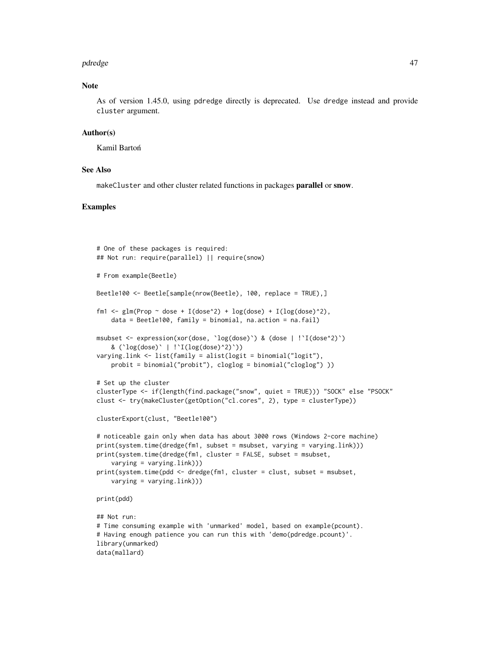#### pdredge 47

# Note

As of version 1.45.0, using pdredge directly is deprecated. Use dredge instead and provide cluster argument.

#### Author(s)

Kamil Bartoń

#### See Also

makeCluster and other cluster related functions in packages parallel or snow.

# Examples

```
# One of these packages is required:
## Not run: require(parallel) || require(snow)
# From example(Beetle)
Beetle100 <- Beetle[sample(nrow(Beetle), 100, replace = TRUE),]
fm1 <- glm(Prop ~ dose + I(dose^2) + log(dose) + I(log(dose)^2),
    data = Beetle100, family = binomial, na.action = na.fail)
msubset <- expression(xor(dose, `log(dose)`) & (dose | !`I(dose^2)`)
    & (\text{log(dose)} \mid \text{log(dose)}^2))
varying.link <- list(family = alist(logit = binomial("logit"),
   probit = binomial("probit"), cloglog = binomial("cloglog") ))
# Set up the cluster
clusterType <- if(length(find.package("snow", quiet = TRUE))) "SOCK" else "PSOCK"
clust <- try(makeCluster(getOption("cl.cores", 2), type = clusterType))
clusterExport(clust, "Beetle100")
# noticeable gain only when data has about 3000 rows (Windows 2-core machine)
print(system.time(dredge(fm1, subset = msubset, varying = varying.link)))
print(system.time(dredge(fm1, cluster = FALSE, subset = msubset,
    varying = varying.link)))
print(system.time(pdd <- dredge(fm1, cluster = clust, subset = msubset,
    varying = varying.link)))
print(pdd)
## Not run:
# Time consuming example with 'unmarked' model, based on example(pcount).
# Having enough patience you can run this with 'demo(pdredge.pcount)'.
library(unmarked)
data(mallard)
```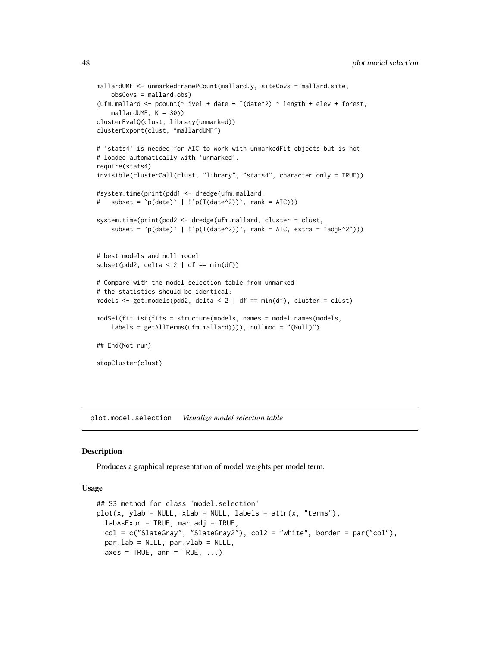```
mallardUMF <- unmarkedFramePCount(mallard.y, siteCovs = mallard.site,
    obsCovs = mallard.obs)
(ufm.mallard <- pcount(\sim ivel + date + I(date\textdegree2) \sim length + elev + forest,
    mallardUMF, K = 30)clusterEvalQ(clust, library(unmarked))
clusterExport(clust, "mallardUMF")
# 'stats4' is needed for AIC to work with unmarkedFit objects but is not
# loaded automatically with 'unmarked'.
require(stats4)
invisible(clusterCall(clust, "library", "stats4", character.only = TRUE))
#system.time(print(pdd1 <- dredge(ufm.mallard,
# subset = \pi(\text{date})' | \pi(\text{date}^2)), rank = AIC)))
system.time(print(pdd2 <- dredge(ufm.mallard, cluster = clust,
    subset = \pi(\text{date}) \mid \text{!`p(I(date^2))`}, \text{rank} = \text{AIC}, \text{extra} = \text{"adjR^2"))}# best models and null model
subset(pdd2, delta < 2 | df == min(df))# Compare with the model selection table from unmarked
# the statistics should be identical:
models \leq get.models(pdd2, delta \leq 2 | df == min(df), cluster = clust)
modSel(fitList(fits = structure(models, names = model.names(models,
    labels = getAllTerms(ufm.mallard)))), nullmod = "(Null)")
## End(Not run)
stopCluster(clust)
```
plot.model.selection *Visualize model selection table*

#### Description

Produces a graphical representation of model weights per model term.

# Usage

```
## S3 method for class 'model.selection'
plot(x, ylab = NULL, xlab = NULL, labels = attr(x, "terms"),labASExpr = TRUE, mar.add = TRUE,col = c("SlateGray", "SlateGray2"), col2 = "white", border = par("col"),par.lab = NULL, par.vlab = NULL,
  axes = TRUE, ann = TRUE, ...
```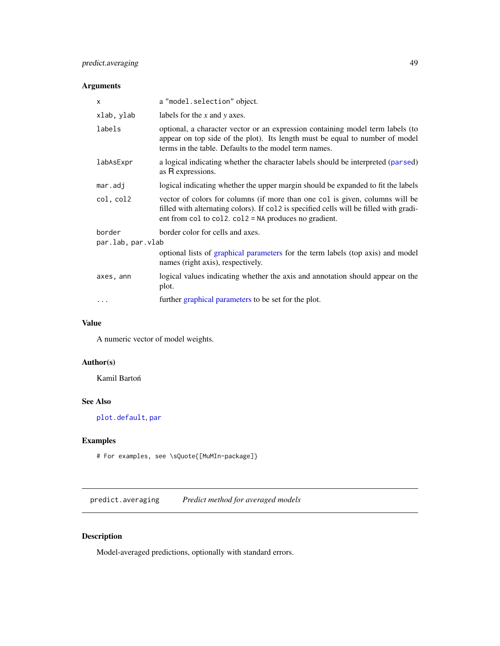# predict.averaging 49

# Arguments

| X                 | a "model.selection" object.                                                                                                                                                                                                       |  |
|-------------------|-----------------------------------------------------------------------------------------------------------------------------------------------------------------------------------------------------------------------------------|--|
| xlab, ylab        | labels for the $x$ and $y$ axes.                                                                                                                                                                                                  |  |
| labels            | optional, a character vector or an expression containing model term labels (to<br>appear on top side of the plot). Its length must be equal to number of model<br>terms in the table. Defaults to the model term names.           |  |
| labAsExpr         | a logical indicating whether the character labels should be interpreted (parsed)<br>as R expressions.                                                                                                                             |  |
| mar.addj          | logical indicating whether the upper margin should be expanded to fit the labels                                                                                                                                                  |  |
| col, col2         | vector of colors for columns (if more than one col is given, columns will be<br>filled with alternating colors). If col2 is specified cells will be filled with gradi-<br>ent from col to col2. $col2 = NA$ produces no gradient. |  |
| border            | border color for cells and axes.                                                                                                                                                                                                  |  |
| par.lab, par.vlab |                                                                                                                                                                                                                                   |  |
|                   | optional lists of graphical parameters for the term labels (top axis) and model<br>names (right axis), respectively.                                                                                                              |  |
| axes, ann         | logical values indicating whether the axis and annotation should appear on the<br>plot.                                                                                                                                           |  |
| $\cdots$          | further graphical parameters to be set for the plot.                                                                                                                                                                              |  |

# Value

A numeric vector of model weights.

# Author(s)

Kamil Bartoń

# See Also

[plot.default](#page-0-0), [par](#page-0-0)

# Examples

# For examples, see \sQuote{[MuMIn-package]}

predict.averaging *Predict method for averaged models*

# Description

Model-averaged predictions, optionally with standard errors.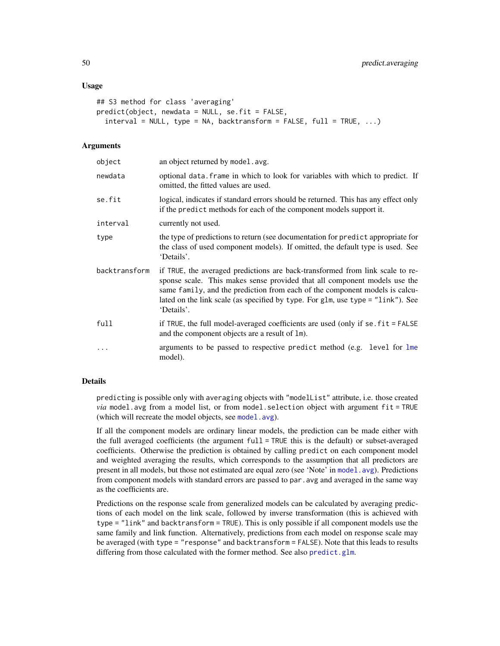#### Usage

```
## S3 method for class 'averaging'
predict(object, newdata = NULL, se.fit = FALSE,
  interval = NULL, type = NA, backtransform = FALSE, full = TRUE, ...)
```
#### **Arguments**

| object        | an object returned by model. avg.                                                                                                                                                                                                                                                                                                          |
|---------------|--------------------------------------------------------------------------------------------------------------------------------------------------------------------------------------------------------------------------------------------------------------------------------------------------------------------------------------------|
| newdata       | optional data. frame in which to look for variables with which to predict. If<br>omitted, the fitted values are used.                                                                                                                                                                                                                      |
| se.fit        | logical, indicates if standard errors should be returned. This has any effect only<br>if the predict methods for each of the component models support it.                                                                                                                                                                                  |
| interval      | currently not used.                                                                                                                                                                                                                                                                                                                        |
| type          | the type of predictions to return (see documentation for predict appropriate for<br>the class of used component models). If omitted, the default type is used. See<br>'Details'.                                                                                                                                                           |
| backtransform | if TRUE, the averaged predictions are back-transformed from link scale to re-<br>sponse scale. This makes sense provided that all component models use the<br>same family, and the prediction from each of the component models is calcu-<br>lated on the link scale (as specified by type. For glm, use type = "link"). See<br>'Details'. |
| full          | if TRUE, the full model-averaged coefficients are used (only if se. $fit = FALSE$<br>and the component objects are a result of 1m).                                                                                                                                                                                                        |
| $\cdots$      | arguments to be passed to respective predict method (e.g. level for lme<br>model).                                                                                                                                                                                                                                                         |

# Details

predicting is possible only with averaging objects with "modelList" attribute, i.e. those created *via* model.avg from a model list, or from model.selection object with argument fit = TRUE (which will recreate the model objects, see [model.avg](#page-34-0)).

If all the component models are ordinary linear models, the prediction can be made either with the full averaged coefficients (the argument full = TRUE this is the default) or subset-averaged coefficients. Otherwise the prediction is obtained by calling predict on each component model and weighted averaging the results, which corresponds to the assumption that all predictors are present in all models, but those not estimated are equal zero (see 'Note' in [model.avg](#page-34-0)). Predictions from component models with standard errors are passed to par.avg and averaged in the same way as the coefficients are.

Predictions on the response scale from generalized models can be calculated by averaging predictions of each model on the link scale, followed by inverse transformation (this is achieved with type = "link" and backtransform = TRUE). This is only possible if all component models use the same family and link function. Alternatively, predictions from each model on response scale may be averaged (with type = "response" and backtransform = FALSE). Note that this leads to results differing from those calculated with the former method. See also [predict.glm](#page-0-0).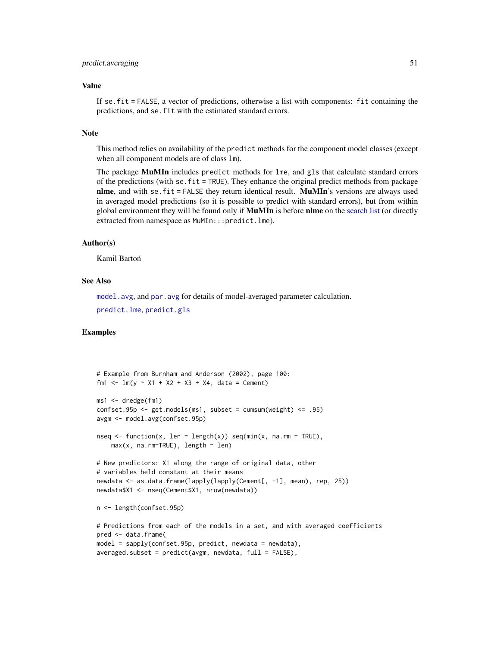# predict.averaging 51

#### Value

If se.fit = FALSE, a vector of predictions, otherwise a list with components: fit containing the predictions, and se.fit with the estimated standard errors.

## **Note**

This method relies on availability of the predict methods for the component model classes (except when all component models are of class lm).

The package MuMIn includes predict methods for lme, and gls that calculate standard errors of the predictions (with se.  $fit = TRUE$ ). They enhance the original predict methods from package **nlme**, and with se.  $fit = FALSE$  they return identical result. **MuMIn**'s versions are always used in averaged model predictions (so it is possible to predict with standard errors), but from within global environment they will be found only if **MuMIn** is before nlme on the [search list](#page-0-0) (or directly extracted from namespace as MuMIn:::predict.lme).

#### Author(s)

Kamil Bartoń

# See Also

[model.avg](#page-34-0), and [par.avg](#page-43-0) for details of model-averaged parameter calculation. [predict.lme](#page-0-0), [predict.gls](#page-0-0)

# Examples

```
# Example from Burnham and Anderson (2002), page 100:
fm1 <- lm(y \sim X1 + X2 + X3 + X4, data = Cement)
ms1 <- dredge(fm1)
confset.95p \leq get.models(ms1, subset = cumsum(weight) \leq .95)
avgm <- model.avg(confset.95p)
nseq \leq function(x, len = length(x)) seq(min(x, na.rm = TRUE),
    max(x, na.rm=TRUE), length = len)
# New predictors: X1 along the range of original data, other
# variables held constant at their means
newdata <- as.data.frame(lapply(lapply(Cement[, -1], mean), rep, 25))
newdata$X1 <- nseq(Cement$X1, nrow(newdata))
n <- length(confset.95p)
# Predictions from each of the models in a set, and with averaged coefficients
pred <- data.frame(
model = sapply(confset.95p, predict, newdata = newdata),
```

```
averaged.subset = predict(avgm, newdata, full = FALSE),
```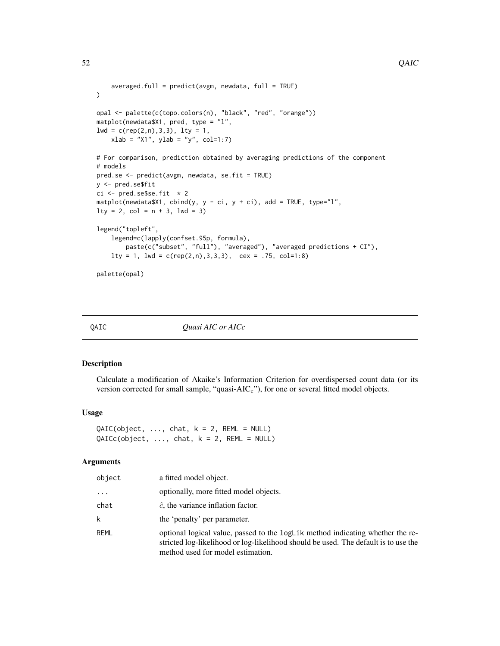```
averaged.full = predict(avgm, newdata, full = TRUE)\mathcal{L}opal <- palette(c(topo.colors(n), "black", "red", "orange"))
matplot(newdata$X1, pred, type = "l",
lwd = c(rep(2, n), 3, 3), lty = 1,xlab = "X1", ylab = "y", col=1:7)# For comparison, prediction obtained by averaging predictions of the component
# models
pred.se <- predict(avgm, newdata, se.fit = TRUE)
y <- pred.se$fit
ci \leq pred.se$se.fit \neq 2
matplot(newdata$X1, cbind(y, y - ci, y + ci), add = TRUE, type="l",
lty = 2, col = n + 3, lwd = 3)
legend("topleft",
    legend=c(lapply(confset.95p, formula),
        paste(c("subset", "full"), "averaged"), "averaged predictions + CI"),
    lty = 1, lwd = c(rep(2, n), 3, 3, 3), cex = .75, col=1:8)palette(opal)
```
QAIC *Quasi AIC or AICc*

## Description

Calculate a modification of Akaike's Information Criterion for overdispersed count data (or its version corrected for small sample, "quasi- $AIC<sub>c</sub>$ "), for one or several fitted model objects.

#### Usage

 $QAIC(object, ..., char, k = 2, REML = NULL)$  $QAICc(object, ..., chat, k = 2, REML = NULL)$ 

## Arguments

| object   | a fitted model object.                                                                                                                                                                                     |
|----------|------------------------------------------------------------------------------------------------------------------------------------------------------------------------------------------------------------|
| $\cdots$ | optionally, more fitted model objects.                                                                                                                                                                     |
| chat     | $\hat{c}$ , the variance inflation factor.                                                                                                                                                                 |
| k        | the 'penalty' per parameter.                                                                                                                                                                               |
| RFMI     | optional logical value, passed to the logLik method indicating whether the re-<br>stricted log-likelihood or log-likelihood should be used. The default is to use the<br>method used for model estimation. |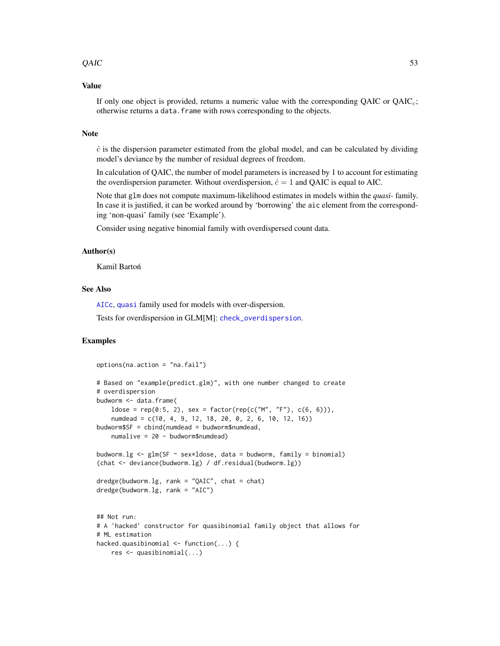### $QAIC$  53

# Value

If only one object is provided, returns a numeric value with the corresponding  $QAIC$  or  $QAIC<sub>c</sub>$ ; otherwise returns a data.frame with rows corresponding to the objects.

# Note

 $\hat{c}$  is the dispersion parameter estimated from the global model, and can be calculated by dividing model's deviance by the number of residual degrees of freedom.

In calculation of QAIC, the number of model parameters is increased by 1 to account for estimating the overdispersion parameter. Without overdispersion,  $\hat{c} = 1$  and QAIC is equal to AIC.

Note that glm does not compute maximum-likelihood estimates in models within the *quasi-* family. In case it is justified, it can be worked around by 'borrowing' the aic element from the corresponding 'non-quasi' family (see 'Example').

Consider using negative binomial family with overdispersed count data.

# Author(s)

Kamil Bartoń

# See Also

[AICc](#page-3-0), [quasi](#page-0-0) family used for models with over-dispersion.

Tests for overdispersion in GLM[M]: [check\\_overdispersion](#page-0-0).

# Examples

```
options(na.action = "na.fail")
# Based on "example(predict.glm)", with one number changed to create
# overdispersion
budworm <- data.frame(
    ldose = rep(0:5, 2), sex = factor(rep(c("M", "F"), c(6, 6))),numdead = c(10, 4, 9, 12, 18, 20, 0, 2, 6, 10, 12, 16))
budworm$SF = cbind(numdead = budworm$numdead,
    numalive = 20 - budworm$numdead)
budworm.lg \leq glm(SF \sim sex*ldose, data = budworm, family = binomial)
(chat <- deviance(budworm.lg) / df.residual(budworm.lg))
dredge(budworm.lg, rank = "QAIC", chat = chat)
dredge(budworm.lg, rank = "AIC")
## Not run:
# A 'hacked' constructor for quasibinomial family object that allows for
# ML estimation
hacked.quasibinomial \leq function(...) {
   res <- quasibinomial(...)
```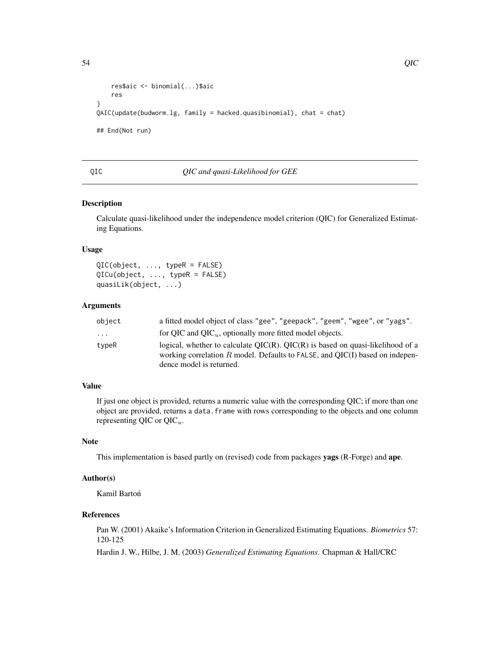```
res$aic <- binomial(...)$aic
    res
}
QAIC(update(budworm.lg, family = hacked.quasibinomial), chat = chat)
## End(Not run)
```
#### <span id="page-53-0"></span>QIC *QIC and quasi-Likelihood for GEE*

# Description

Calculate quasi-likelihood under the independence model criterion (QIC) for Generalized Estimating Equations.

## Usage

QIC(object, ..., typeR = FALSE) QICu(object, ..., typeR = FALSE) quasiLik(object, ...)

# Arguments

| object                  | a fitted model object of class "gee", "geepack", "geem", "wgee", or "yags".         |
|-------------------------|-------------------------------------------------------------------------------------|
| $\cdot$ $\cdot$ $\cdot$ | for QIC and QIC $_u$ , optionally more fitted model objects.                        |
| typeR                   | logical, whether to calculate $QIC(R)$ . $QIC(R)$ is based on quasi-likelihood of a |
|                         | working correlation $R$ model. Defaults to FALSE, and QIC(I) based on indepen-      |
|                         | dence model is returned.                                                            |

# Value

If just one object is provided, returns a numeric value with the corresponding QIC; if more than one object are provided, returns a data.frame with rows corresponding to the objects and one column representing QIC or  $QIC_u$ .

## Note

This implementation is based partly on (revised) code from packages yags (R-Forge) and ape.

# Author(s)

Kamil Bartoń

# References

Pan W. (2001) Akaike's Information Criterion in Generalized Estimating Equations. *Biometrics* 57: 120-125

Hardin J. W., Hilbe, J. M. (2003) *Generalized Estimating Equations*. Chapman & Hall/CRC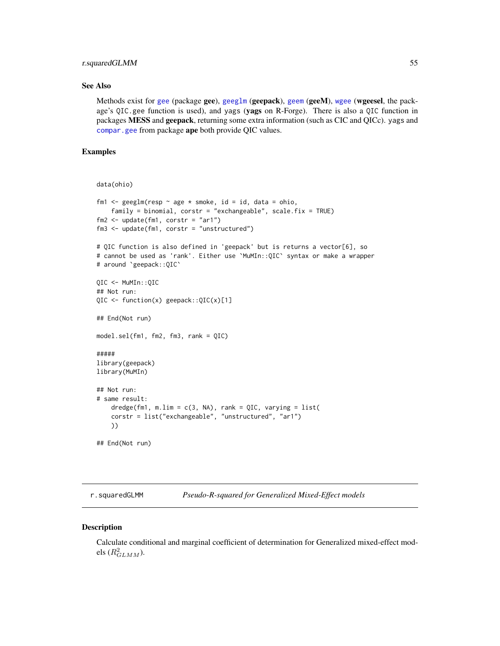# r.squaredGLMM 55

# See Also

Methods exist for [gee](#page-0-0) (package gee), [geeglm](#page-0-0) (geepack), [geem](#page-0-0) (geeM), [wgee](#page-0-0) (wgeesel, the package's QIC.gee function is used), and yags (yags on R-Forge). There is also a QIC function in packages MESS and geepack, returning some extra information (such as CIC and QICc). yags and [compar.gee](#page-0-0) from package ape both provide QIC values.

# Examples

```
data(ohio)
fm1 <- geeglm(resp \sim age * smoke, id = id, data = ohio,
    family = binomial, corstr = "exchangeable", scale.fix = TRUE)
fm2 <- update(fm1, corstr = "ar1")
fm3 <- update(fm1, corstr = "unstructured")
# QIC function is also defined in 'geepack' but is returns a vector[6], so
# cannot be used as 'rank'. Either use `MuMIn::QIC` syntax or make a wrapper
# around `geepack::QIC`
QIC <- MuMIn::QIC
## Not run:
QIC <- function(x) geepack::QIC(x)[1]
## End(Not run)
model.sel(fm1, fm2, fm3, rank = QIC)
#####
library(geepack)
library(MuMIn)
## Not run:
# same result:
   dredge(fm1, m.lim = c(3, NA), rank = QIC, varying = list(
   corstr = list("exchangeable", "unstructured", "ar1")
   ))
## End(Not run)
```
<span id="page-54-0"></span>r.squaredGLMM *Pseudo-R-squared for Generalized Mixed-Effect models*

#### **Description**

Calculate conditional and marginal coefficient of determination for Generalized mixed-effect models  $(R_{GLMM}^2)$ .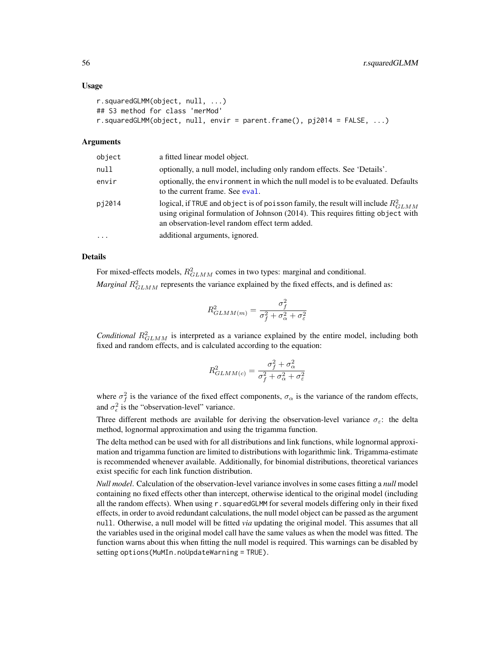#### Usage

```
r.squaredGLMM(object, null, ...)
## S3 method for class 'merMod'
r.squaredGLMM(object, null, envir = parent.frame(), pj2014 = FALSE, ...)
```
#### Arguments

| object   | a fitted linear model object.                                                                                                                                                                                               |
|----------|-----------------------------------------------------------------------------------------------------------------------------------------------------------------------------------------------------------------------------|
| null     | optionally, a null model, including only random effects. See 'Details'.                                                                                                                                                     |
| envir    | optionally, the environment in which the null model is to be evaluated. Defaults<br>to the current frame. See eval.                                                                                                         |
| pj2014   | logical, if TRUE and object is of poisson family, the result will include $R_{GLMM}^2$<br>using original formulation of Johnson (2014). This requires fitting object with<br>an observation-level random effect term added. |
| $\ddots$ | additional arguments, ignored.                                                                                                                                                                                              |

# Details

For mixed-effects models,  $R_{GLMM}^2$  comes in two types: marginal and conditional. *Marginal*  $R_{GLMM}^2$  represents the variance explained by the fixed effects, and is defined as:

$$
R_{GLMM(m)}^2 = \frac{\sigma_f^2}{\sigma_f^2 + \sigma_\alpha^2 + \sigma_\varepsilon^2}
$$

*Conditional*  $R_{GLMM}^2$  is interpreted as a variance explained by the entire model, including both fixed and random effects, and is calculated according to the equation:

$$
R_{GLMM(c)}^2 = \frac{\sigma_f^2 + \sigma_\alpha^2}{\sigma_f^2 + \sigma_\alpha^2 + \sigma_\varepsilon^2}
$$

where  $\sigma_f^2$  is the variance of the fixed effect components,  $\sigma_\alpha$  is the variance of the random effects, and  $\sigma_{\epsilon}^2$  is the "observation-level" variance.

Three different methods are available for deriving the observation-level variance  $\sigma_{\epsilon}$ : the delta method, lognormal approximation and using the trigamma function.

The delta method can be used with for all distributions and link functions, while lognormal approximation and trigamma function are limited to distributions with logarithmic link. Trigamma-estimate is recommended whenever available. Additionally, for binomial distributions, theoretical variances exist specific for each link function distribution.

*Null model*. Calculation of the observation-level variance involves in some cases fitting a *null* model containing no fixed effects other than intercept, otherwise identical to the original model (including all the random effects). When using  $r$ , squaredGLMM for several models differing only in their fixed effects, in order to avoid redundant calculations, the null model object can be passed as the argument null. Otherwise, a null model will be fitted *via* updating the original model. This assumes that all the variables used in the original model call have the same values as when the model was fitted. The function warns about this when fitting the null model is required. This warnings can be disabled by setting options(MuMIn.noUpdateWarning = TRUE).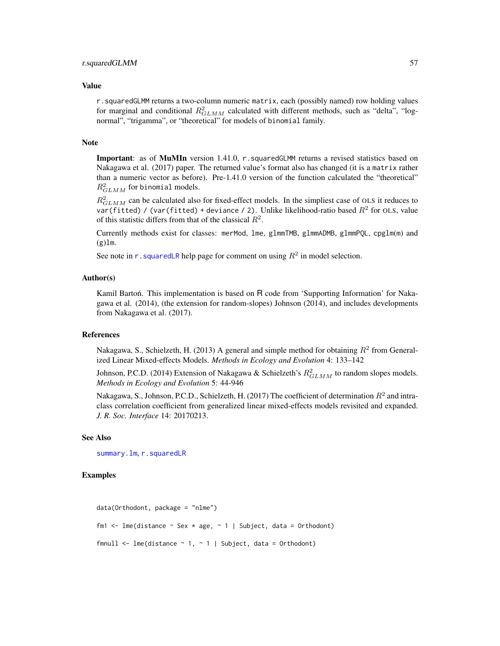#### Value

r.squaredGLMM returns a two-column numeric matrix, each (possibly named) row holding values for marginal and conditional  $R_{GLMM}^2$  calculated with different methods, such as "delta", "lognormal", "trigamma", or "theoretical" for models of binomial family.

#### **Note**

Important: as of MuMIn version 1.41.0, r.squaredGLMM returns a revised statistics based on Nakagawa et al. (2017) paper. The returned value's format also has changed (it is a matrix rather than a numeric vector as before). Pre-1.41.0 version of the function calculated the "theoretical"  $R_{GLMM}^2$  for binomial models.

 $R_{GLMM}^2$  can be calculated also for fixed-effect models. In the simpliest case of OLS it reduces to var(fitted) / (var(fitted) + deviance / 2). Unlike likelihood-ratio based  $R^2$  for OLS, value of this statistic differs from that of the classical  $R^2$ .

Currently methods exist for classes: merMod, lme, glmmTMB, glmmADMB, glmmPQL, cpglm(m) and  $(g)$ lm.

See note in r. squaredLR help page for comment on using  $R^2$  in model selection.

## Author(s)

Kamil Barton. This implementation is based on  $R$  code from 'Supporting Information' for Nakagawa et al. (2014), (the extension for random-slopes) Johnson (2014), and includes developments from Nakagawa et al. (2017).

## References

Nakagawa, S., Schielzeth, H. (2013) A general and simple method for obtaining  $R^2$  from Generalized Linear Mixed-effects Models. *Methods in Ecology and Evolution* 4: 133–142

Johnson, P.C.D. (2014) Extension of Nakagawa & Schielzeth's  $R_{GLMM}^2$  to random slopes models. *Methods in Ecology and Evolution* 5: 44-946

Nakagawa, S., Johnson, P.C.D., Schielzeth, H. (2017) The coefficient of determination  $R^2$  and intraclass correlation coefficient from generalized linear mixed-effects models revisited and expanded. *J. R. Soc. Interface* 14: 20170213.

# See Also

[summary.lm](#page-0-0), [r.squaredLR](#page-57-0)

# Examples

```
data(Orthodont, package = "nlme")
fm1 <- lme(distance \sim Sex \star age, \sim 1 | Subject, data = Orthodont)
fmnull \leq lme(distance \sim 1, \sim 1 | Subject, data = Orthodont)
```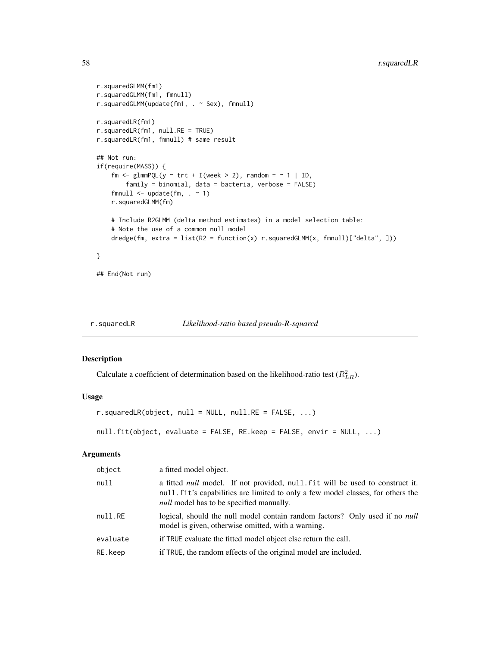```
r.squaredGLMM(fm1)
r.squaredGLMM(fm1, fmnull)
r.squaredGLMM(update(fm1, . ~ Sex), fmnull)
r.squaredLR(fm1)
r.squaredLR(fm1, null.RE = TRUE)
r.squaredLR(fm1, fmnull) # same result
## Not run:
if(require(MASS)) {
    fm \le glmmPQL(y \sim trt + I(week > 2), random = \sim 1 | ID,
        family = binomial, data = bacteria, verbose = FALSE)
    fmnull \leq update(fm, \leq 1)
    r.squaredGLMM(fm)
   # Include R2GLMM (delta method estimates) in a model selection table:
   # Note the use of a common null model
   dredge(fm, extra = list(R2 = function(x) r.squaredGLMM(x, fmnull)["delta", ]))
}
## End(Not run)
```
<span id="page-57-0"></span>r.squaredLR *Likelihood-ratio based pseudo-R-squared*

# Description

Calculate a coefficient of determination based on the likelihood-ratio test  $(R_{LR}^2)$ .

# Usage

```
r.\squaresquaredLR(object, null = NULL, null.RE = FALSE, ...)
```

```
null.fit(object, evaluate = FALSE, RE.keep = FALSE, envir = NULL, ...)
```
# Arguments

| object   | a fitted model object.                                                                                                                                                                                                    |
|----------|---------------------------------------------------------------------------------------------------------------------------------------------------------------------------------------------------------------------------|
| null     | a fitted <i>null</i> model. If not provided, null fit will be used to construct it.<br>null fit's capabilities are limited to only a few model classes, for others the<br><i>null</i> model has to be specified manually. |
| null.RE  | logical, should the null model contain random factors? Only used if no <i>null</i><br>model is given, otherwise omitted, with a warning.                                                                                  |
| evaluate | if TRUE evaluate the fitted model object else return the call.                                                                                                                                                            |
| RE.keep  | if TRUE, the random effects of the original model are included.                                                                                                                                                           |
|          |                                                                                                                                                                                                                           |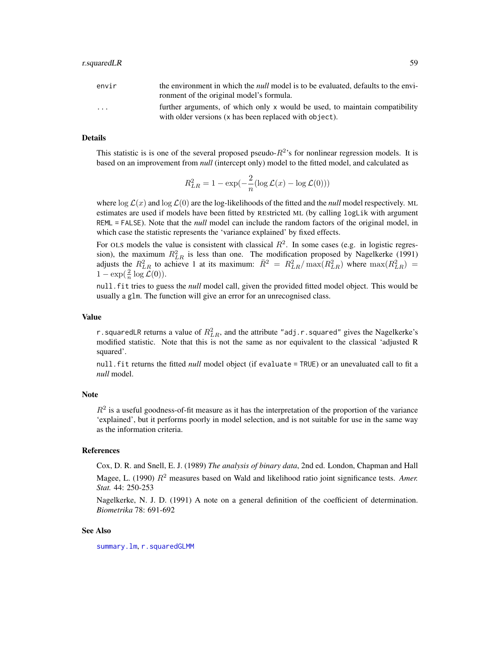| envir   | the environment in which the <i>null</i> model is to be evaluated, defaults to the envi- |
|---------|------------------------------------------------------------------------------------------|
|         | ronment of the original model's formula.                                                 |
| $\cdot$ | further arguments, of which only x would be used, to maintain compatibility              |
|         | with older versions (x has been replaced with object).                                   |

## Details

This statistic is is one of the several proposed pseudo- $R^2$ 's for nonlinear regression models. It is based on an improvement from *null* (intercept only) model to the fitted model, and calculated as

$$
R_{LR}^2 = 1 - \exp(-\frac{2}{n} (\log \mathcal{L}(x) - \log \mathcal{L}(0)))
$$

where  $\log \mathcal{L}(x)$  and  $\log \mathcal{L}(0)$  are the log-likelihoods of the fitted and the *null* model respectively. ML estimates are used if models have been fitted by REstricted ML (by calling logLik with argument REML = FALSE). Note that the *null* model can include the random factors of the original model, in which case the statistic represents the 'variance explained' by fixed effects.

For OLS models the value is consistent with classical  $R^2$ . In some cases (e.g. in logistic regression), the maximum  $R_{LR}^2$  is less than one. The modification proposed by Nagelkerke (1991) adjusts the  $R_{LR}^2$  to achieve 1 at its maximum:  $\bar{R}^2 = R_{LR}^2 / \max(R_{LR}^2)$  where  $\max(R_{LR}^2) =$  $1 - \exp(\frac{2}{n} \log \mathcal{L}(0)).$ 

null.fit tries to guess the *null* model call, given the provided fitted model object. This would be usually a glm. The function will give an error for an unrecognised class.

#### Value

r.squaredLR returns a value of  $R_{LR}^2$ , and the attribute "adj.r.squared" gives the Nagelkerke's modified statistic. Note that this is not the same as nor equivalent to the classical 'adjusted R squared'.

null.fit returns the fitted *null* model object (if evaluate = TRUE) or an unevaluated call to fit a *null* model.

# **Note**

 $R<sup>2</sup>$  is a useful goodness-of-fit measure as it has the interpretation of the proportion of the variance 'explained', but it performs poorly in model selection, and is not suitable for use in the same way as the information criteria.

# References

Cox, D. R. and Snell, E. J. (1989) *The analysis of binary data*, 2nd ed. London, Chapman and Hall Magee, L.  $(1990)$   $R^2$  measures based on Wald and likelihood ratio joint significance tests. *Amer. Stat.* 44: 250-253

Nagelkerke, N. J. D. (1991) A note on a general definition of the coefficient of determination. *Biometrika* 78: 691-692

### See Also

[summary.lm](#page-0-0), [r.squaredGLMM](#page-54-0)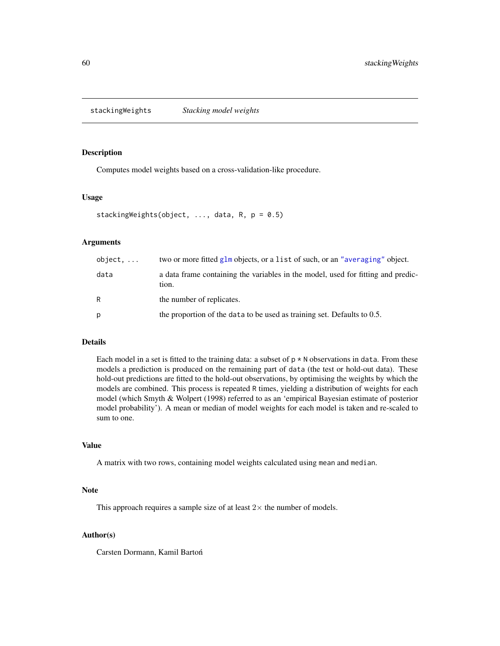stackingWeights *Stacking model weights*

# Description

Computes model weights based on a cross-validation-like procedure.

# Usage

```
stackingWeights(object, ..., data, R, p = 0.5)
```
# Arguments

| $object. \ldots$ | two or more fitted glm objects, or a list of such, or an "averaging" object.              |
|------------------|-------------------------------------------------------------------------------------------|
| data             | a data frame containing the variables in the model, used for fitting and predic-<br>tion. |
| R                | the number of replicates.                                                                 |
| р                | the proportion of the data to be used as training set. Defaults to 0.5.                   |

# Details

Each model in a set is fitted to the training data: a subset of  $p \star N$  observations in data. From these models a prediction is produced on the remaining part of data (the test or hold-out data). These hold-out predictions are fitted to the hold-out observations, by optimising the weights by which the models are combined. This process is repeated R times, yielding a distribution of weights for each model (which Smyth & Wolpert (1998) referred to as an 'empirical Bayesian estimate of posterior model probability'). A mean or median of model weights for each model is taken and re-scaled to sum to one.

# Value

A matrix with two rows, containing model weights calculated using mean and median.

# Note

This approach requires a sample size of at least  $2\times$  the number of models.

# Author(s)

Carsten Dormann, Kamil Barton´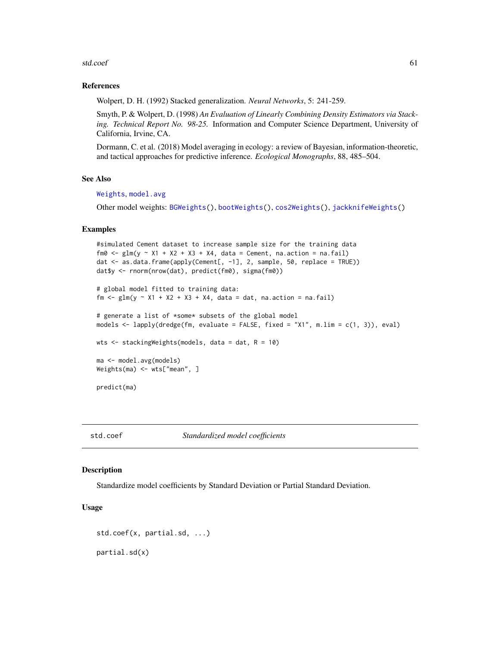#### std.coef 61

## References

Wolpert, D. H. (1992) Stacked generalization. *Neural Networks*, 5: 241-259.

Smyth, P. & Wolpert, D. (1998) *An Evaluation of Linearly Combining Density Estimators via Stacking. Technical Report No. 98-25.* Information and Computer Science Department, University of California, Irvine, CA.

Dormann, C. et al. (2018) Model averaging in ecology: a review of Bayesian, information-theoretic, and tactical approaches for predictive inference. *Ecological Monographs*, 88, 485–504.

# See Also

[Weights](#page-72-0), [model.avg](#page-34-0)

Other model weights: [BGWeights\(](#page-8-0)), [bootWeights\(](#page-10-0)), [cos2Weights\(](#page-15-0)), [jackknifeWeights\(](#page-28-0))

## Examples

```
#simulated Cement dataset to increase sample size for the training data
fm0 \leq glm(y \approx X1 + X2 + X3 + X4, data = Cement, na. action = na. fail)dat <- as.data.frame(apply(Cement[, -1], 2, sample, 50, replace = TRUE))
dat$y <- rnorm(nrow(dat), predict(fm0), sigma(fm0))
# global model fitted to training data:
fm \leq glm(y \approx X1 + X2 + X3 + X4, data = dat, na.action = na.fail)# generate a list of *some* subsets of the global model
models <- lapply(dredge(fm, evaluate = FALSE, fixed = "X1", m.lim = c(1, 3)), eval)
wts <- stackingWeights(models, data = dat, R = 10)
ma <- model.avg(models)
Weights(ma) <- wts["mean", ]
predict(ma)
```
<span id="page-60-0"></span>std.coef *Standardized model coefficients*

# Description

Standardize model coefficients by Standard Deviation or Partial Standard Deviation.

# Usage

```
std.coef(x, partial.sd, ...)
partial.sd(x)
```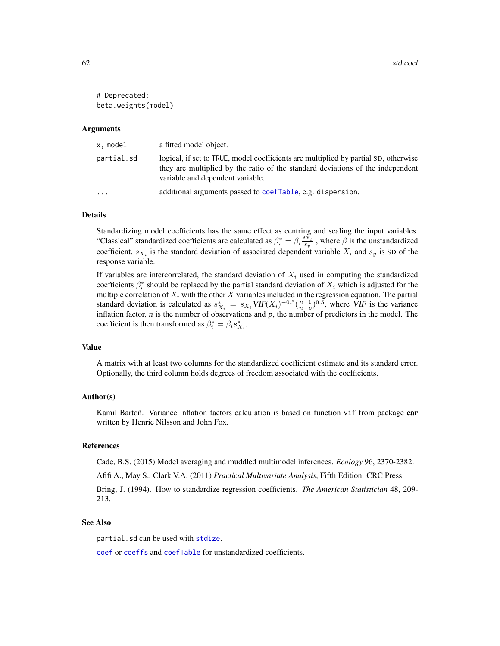```
# Deprecated:
beta.weights(model)
```
## Arguments

| x.model    | a fitted model object.                                                                                                                                                                                    |
|------------|-----------------------------------------------------------------------------------------------------------------------------------------------------------------------------------------------------------|
| partial.sd | logical, if set to TRUE, model coefficients are multiplied by partial SD, otherwise<br>they are multiplied by the ratio of the standard deviations of the independent<br>variable and dependent variable. |
| $\cdots$   | additional arguments passed to coefTable, e.g. dispersion.                                                                                                                                                |

## Details

Standardizing model coefficients has the same effect as centring and scaling the input variables. "Classical" standardized coefficients are calculated as  $\beta_i^* = \beta_i \frac{s_{x_i}}{s_y}$ , where  $\beta$  is the unstandardized coefficient,  $s_{X_i}$  is the standard deviation of associated dependent variable  $X_i$  and  $s_y$  is SD of the response variable.

If variables are intercorrelated, the standard deviation of  $X_i$  used in computing the standardized coefficients  $\beta_i^*$  should be replaced by the partial standard deviation of  $X_i$  which is adjusted for the multiple correlation of  $X_i$  with the other X variables included in the regression equation. The partial standard deviation is calculated as  $s_{X_i}^* = s_{X_i} VIF(X_i)^{-0.5}(\frac{n-1}{n-p})^{0.5}$ , where VIF is the variance inflation factor,  $n$  is the number of observations and  $p$ , the number of predictors in the model. The coefficient is then transformed as  $\beta_i^* = \beta_i s_{X_i}^*$ .

#### Value

A matrix with at least two columns for the standardized coefficient estimate and its standard error. Optionally, the third column holds degrees of freedom associated with the coefficients.

# Author(s)

Kamil Barton. Variance inflation factors calculation is based on function vif from package car written by Henric Nilsson and John Fox.

#### References

Cade, B.S. (2015) Model averaging and muddled multimodel inferences. *Ecology* 96, 2370-2382.

Afifi A., May S., Clark V.A. (2011) *Practical Multivariate Analysis*, Fifth Edition. CRC Press. Bring, J. (1994). How to standardize regression coefficients. *The American Statistician* 48, 209- 213.

#### See Also

partial.sd can be used with [stdize](#page-62-0).

[coef](#page-0-0) or [coeffs](#page-32-0) and [coefTable](#page-32-0) for unstandardized coefficients.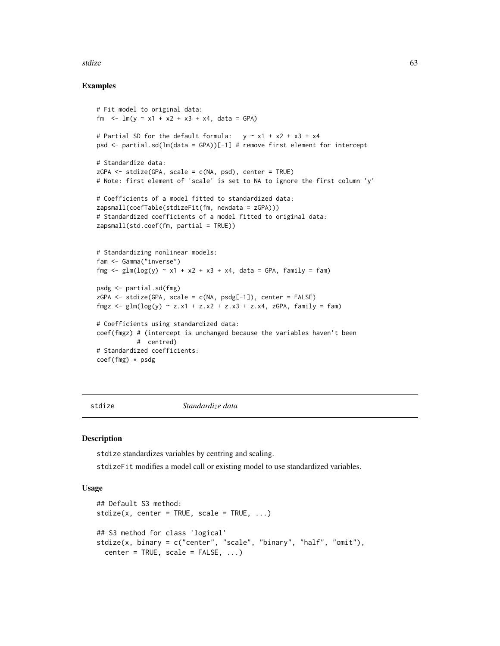#### stdize 63

# Examples

```
# Fit model to original data:
fm \leq \ln(y \sim x1 + x2 + x3 + x4, data = GPA)
# Partial SD for the default formula: y \sim x1 + x2 + x3 + x4psd <- partial.sd(lm(data = GPA))[-1] # remove first element for intercept
# Standardize data:
ZGPA \leq stdize(GPA, scale = c(NA, psd), center = TRUE)
# Note: first element of 'scale' is set to NA to ignore the first column 'y'
# Coefficients of a model fitted to standardized data:
zapsmall(coefTable(stdizeFit(fm, newdata = zGPA)))
# Standardized coefficients of a model fitted to original data:
zapsmall(std.coef(fm, partial = TRUE))
# Standardizing nonlinear models:
fam <- Gamma("inverse")
fmg \le glm(log(y) \sim x1 + x2 + x3 + x4, data = GPA, family = fam)
psdg <- partial.sd(fmg)
zGPA \leq -stdize(GPA, scale = c(NA, psdg[-1]), center = FALSE)fmgz \le glm(log(y) \sim z.x1 + z.x2 + z.x3 + z.x4, zGPA, family = fam)
# Coefficients using standardized data:
coef(fmgz) # (intercept is unchanged because the variables haven't been
           # centred)
# Standardized coefficients:
coef(fmg) * psdg
```
stdize *Standardize data*

# **Description**

stdize standardizes variables by centring and scaling.

stdizeFit modifies a model call or existing model to use standardized variables.

# Usage

```
## Default S3 method:
stdize(x, center = TRUE, scale = TRUE, ...)## S3 method for class 'logical'
stdize(x, binary = c("center", "scale", "binary", "half", "omit"),
 center = TRUE, scale = FALSE, ...)
```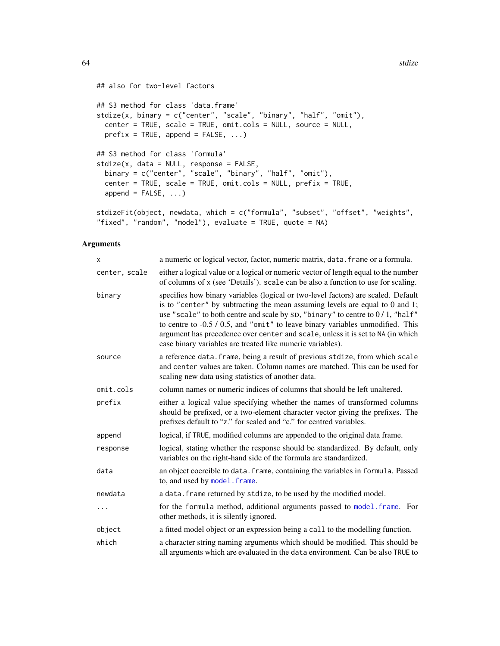```
## also for two-level factors
## S3 method for class 'data.frame'
stdize(x, binary = c("center", "scale", "binary", "half", "omit"),
 center = TRUE, scale = TRUE, omit.cols = NULL, source = NULL,
 prefix = TRUE, append = FALSE, ...)## S3 method for class 'formula'
stdize(x, data = NULL, response = FALSE,
 binary = c("center", "scale", "binary", "half", "omit"),
 center = TRUE, scale = TRUE, omit.cols = NULL, prefix = TRUE,
 append = FALSE, \ldots)stdizeFit(object, newdata, which = c("formula", "subset", "offset", "weights",
"fixed", "random", "model"), evaluate = TRUE, quote = NA)
```
# Arguments

| x             | a numeric or logical vector, factor, numeric matrix, data. frame or a formula.                                                                                                                                                                                                                                                                                                                                                                                                             |
|---------------|--------------------------------------------------------------------------------------------------------------------------------------------------------------------------------------------------------------------------------------------------------------------------------------------------------------------------------------------------------------------------------------------------------------------------------------------------------------------------------------------|
| center, scale | either a logical value or a logical or numeric vector of length equal to the number<br>of columns of x (see 'Details'). scale can be also a function to use for scaling.                                                                                                                                                                                                                                                                                                                   |
| binary        | specifies how binary variables (logical or two-level factors) are scaled. Default<br>is to "center" by subtracting the mean assuming levels are equal to $0$ and $1$ ;<br>use "scale" to both centre and scale by SD, "binary" to centre to 0/1, "half"<br>to centre to -0.5 / 0.5, and "omit" to leave binary variables unmodified. This<br>argument has precedence over center and scale, unless it is set to NA (in which<br>case binary variables are treated like numeric variables). |
| source        | a reference data. frame, being a result of previous stdize, from which scale<br>and center values are taken. Column names are matched. This can be used for<br>scaling new data using statistics of another data.                                                                                                                                                                                                                                                                          |
| omit.cols     | column names or numeric indices of columns that should be left unaltered.                                                                                                                                                                                                                                                                                                                                                                                                                  |
| prefix        | either a logical value specifying whether the names of transformed columns<br>should be prefixed, or a two-element character vector giving the prefixes. The<br>prefixes default to "z." for scaled and "c." for centred variables.                                                                                                                                                                                                                                                        |
| append        | logical, if TRUE, modified columns are appended to the original data frame.                                                                                                                                                                                                                                                                                                                                                                                                                |
| response      | logical, stating whether the response should be standardized. By default, only<br>variables on the right-hand side of the formula are standardized.                                                                                                                                                                                                                                                                                                                                        |
| data          | an object coercible to data. frame, containing the variables in formula. Passed<br>to, and used by model. frame.                                                                                                                                                                                                                                                                                                                                                                           |
| newdata       | a data. frame returned by stdize, to be used by the modified model.                                                                                                                                                                                                                                                                                                                                                                                                                        |
| .             | for the formula method, additional arguments passed to model. frame. For<br>other methods, it is silently ignored.                                                                                                                                                                                                                                                                                                                                                                         |
| object        | a fitted model object or an expression being a call to the modelling function.                                                                                                                                                                                                                                                                                                                                                                                                             |
| which         | a character string naming arguments which should be modified. This should be<br>all arguments which are evaluated in the data environment. Can be also TRUE to                                                                                                                                                                                                                                                                                                                             |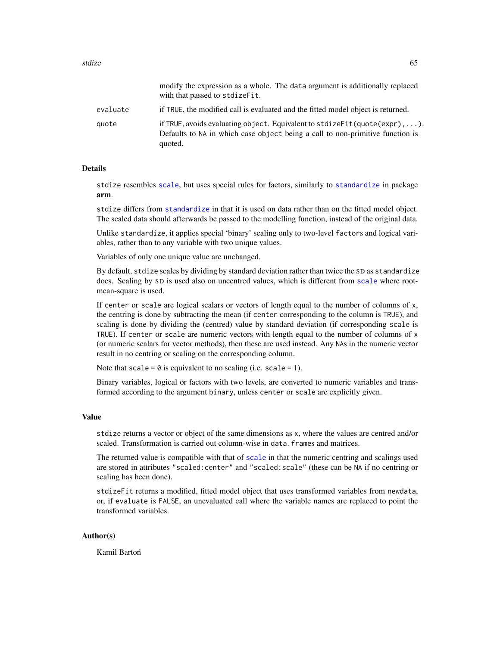|          | modify the expression as a whole. The data argument is additionally replaced<br>with that passed to stdize Fit.                                                                  |
|----------|----------------------------------------------------------------------------------------------------------------------------------------------------------------------------------|
| evaluate | if TRUE, the modified call is evaluated and the fitted model object is returned.                                                                                                 |
| quote    | if TRUE, avoids evaluating object. Equivalent to stdize $Fit( quote(exp), \ldots)$ .<br>Defaults to NA in which case object being a call to non-primitive function is<br>quoted. |

#### Details

stdize resembles [scale](#page-0-0), but uses special rules for factors, similarly to [standardize](#page-0-0) in package arm.

stdize differs from [standardize](#page-0-0) in that it is used on data rather than on the fitted model object. The scaled data should afterwards be passed to the modelling function, instead of the original data.

Unlike standardize, it applies special 'binary' scaling only to two-level factors and logical variables, rather than to any variable with two unique values.

Variables of only one unique value are unchanged.

By default, stdize scales by dividing by standard deviation rather than twice the SD as standardize does. Scaling by SD is used also on uncentred values, which is different from [scale](#page-0-0) where rootmean-square is used.

If center or scale are logical scalars or vectors of length equal to the number of columns of x, the centring is done by subtracting the mean (if center corresponding to the column is TRUE), and scaling is done by dividing the (centred) value by standard deviation (if corresponding scale is TRUE). If center or scale are numeric vectors with length equal to the number of columns of  $x$ (or numeric scalars for vector methods), then these are used instead. Any NAs in the numeric vector result in no centring or scaling on the corresponding column.

Note that scale =  $\theta$  is equivalent to no scaling (i.e. scale = 1).

Binary variables, logical or factors with two levels, are converted to numeric variables and transformed according to the argument binary, unless center or scale are explicitly given.

# Value

stdize returns a vector or object of the same dimensions as x, where the values are centred and/or scaled. Transformation is carried out column-wise in data. frames and matrices.

The returned value is compatible with that of [scale](#page-0-0) in that the numeric centring and scalings used are stored in attributes "scaled:center" and "scaled:scale" (these can be NA if no centring or scaling has been done).

stdizeFit returns a modified, fitted model object that uses transformed variables from newdata, or, if evaluate is FALSE, an unevaluated call where the variable names are replaced to point the transformed variables.

#### Author(s)

Kamil Bartoń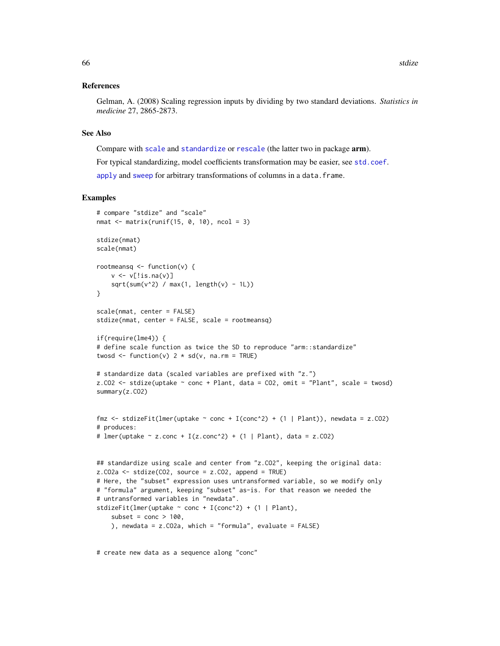# References

Gelman, A. (2008) Scaling regression inputs by dividing by two standard deviations. *Statistics in medicine* 27, 2865-2873.

## See Also

Compare with [scale](#page-0-0) and [standardize](#page-0-0) or [rescale](#page-0-0) (the latter two in package arm).

For typical standardizing, model coefficients transformation may be easier, see [std.coef](#page-60-0).

[apply](#page-0-0) and [sweep](#page-0-0) for arbitrary transformations of columns in a data.frame.

# Examples

```
# compare "stdize" and "scale"
nmat \leq matrix(runif(15, 0, 10), ncol = 3)
stdize(nmat)
scale(nmat)
rootmeansq \leq function(v) {
   v \leftarrow v[!is.na(v)]
    sqrt(x^2) / max(1, length(v) - 1L))}
scale(nmat, center = FALSE)
stdize(nmat, center = FALSE, scale = rootmeansq)
if(require(lme4)) {
# define scale function as twice the SD to reproduce "arm::standardize"
twosd \leq function(v) 2 * sd(v, na.rm = TRUE)# standardize data (scaled variables are prefixed with "z.")
z.CO2 \le stdize(uptake \sim conc + Plant, data = CO2, omit = "Plant", scale = twosd)
summary(z.CO2)
fmz \le stdizeFit(lmer(uptake \sim conc + I(conc^2) + (1 | Plant)), newdata = z.CO2)
# produces:
# lmer(uptake ~ z.conc + I(z-conc^2) + (1 | Plant), data = z.C02)## standardize using scale and center from "z.CO2", keeping the original data:
z.CO2a <- stdize(CO2, source = z.CO2, append = TRUE)
# Here, the "subset" expression uses untransformed variable, so we modify only
# "formula" argument, keeping "subset" as-is. For that reason we needed the
# untransformed variables in "newdata".
stdizeFit(lmer(uptake \sim conc + I(conc^2) + (1 | Plant),
    subset = cone > 100,
    ), newdata = z.CO2a, which = "formula", evaluate = FALSE)
```
# create new data as a sequence along "conc"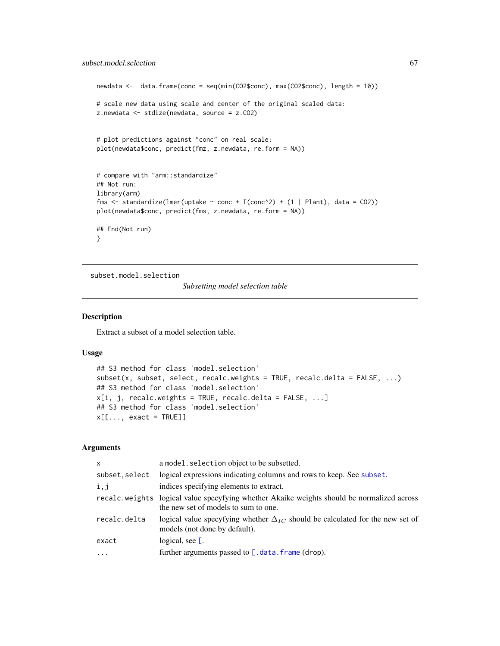```
newdata <- data.frame(conc = seq(min(CO2$conc), max(CO2$conc), length = 10))
# scale new data using scale and center of the original scaled data:
z.newdata <- stdize(newdata, source = z.CO2)
# plot predictions against "conc" on real scale:
plot(newdata$conc, predict(fmz, z.newdata, re.form = NA))
# compare with "arm::standardize"
## Not run:
library(arm)
fms <- standardize(lmer(uptake \sim conc + I(conc^2) + (1 | Plant), data = CO2))
plot(newdata$conc, predict(fms, z.newdata, re.form = NA))
## End(Not run)
}
```
subset.model.selection

*Subsetting model selection table*

## Description

Extract a subset of a model selection table.

# Usage

```
## S3 method for class 'model.selection'
subset(x, subset, select, recalc.weights = TRUE, recalc.delta = FALSE, ...)
## S3 method for class 'model.selection'
x[i, j, recallc.weights = TRUE, recallc.delta = FALSE, ...]## S3 method for class 'model.selection'
x[[..., exact = TRUE]]
```
# Arguments

| $\mathsf{x}$   | a model. selection object to be subsetted.                                                                                         |
|----------------|------------------------------------------------------------------------------------------------------------------------------------|
| subset, select | logical expressions indicating columns and rows to keep. See subset.                                                               |
| i, j           | indices specifying elements to extract.                                                                                            |
|                | recalc weights logical value specyfying whether Akaike weights should be normalized across<br>the new set of models to sum to one. |
| recalc.delta   | logical value specyfying whether $\Delta_{IC}$ should be calculated for the new set of<br>models (not done by default).            |
| exact          | logical, see $\Gamma$ .                                                                                                            |
| $\cdot$        | further arguments passed to [.data.frame (drop).                                                                                   |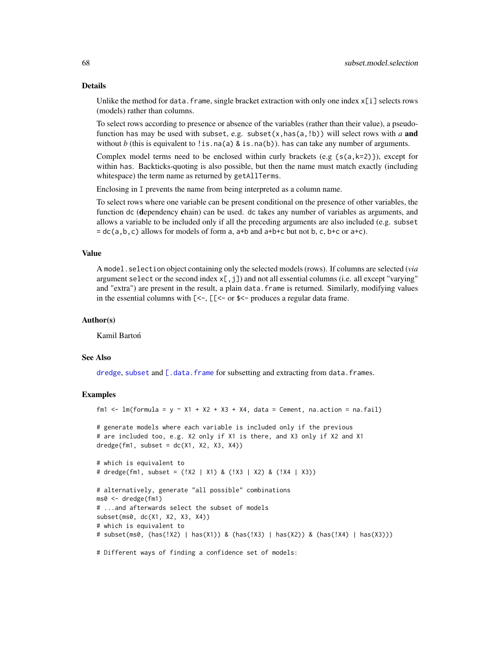#### Details

Unlike the method for data. frame, single bracket extraction with only one index  $x[i]$  selects rows (models) rather than columns.

To select rows according to presence or absence of the variables (rather than their value), a pseudofunction has may be used with subset, e.g. subset $(x, has(a, !b))$  will select rows with *a* and without *b* (this is equivalent to !is.na(a) & is.na(b)). has can take any number of arguments.

Complex model terms need to be enclosed within curly brackets (e.g  $\{s(a,k=2)\}\)$ , except for within has. Backticks-quoting is also possible, but then the name must match exactly (including whitespace) the term name as returned by getAllTerms.

Enclosing in I prevents the name from being interpreted as a column name.

To select rows where one variable can be present conditional on the presence of other variables, the function dc (dependency chain) can be used. dc takes any number of variables as arguments, and allows a variable to be included only if all the preceding arguments are also included (e.g. subset  $=$  dc(a,b,c) allows for models of form a, a+b and a+b+c but not b, c, b+c or a+c).

#### Value

A model.selection object containing only the selected models (rows). If columns are selected (*via* argument select or the second index  $x$ [, j]) and not all essential columns (i.e. all except "varying" and "extra") are present in the result, a plain data.frame is returned. Similarly, modifying values in the essential columns with  $\ll$  =  $\ll$  =  $\ll$  =  $\ll$  =  $\ll$  produces a regular data frame.

#### Author(s)

Kamil Bartoń

# See Also

[dredge](#page-16-0), [subset](#page-0-0) and [\[.data.frame](#page-0-0) for subsetting and extracting from data.frames.

#### Examples

```
fm1 \le - lm(formula = y \sim X1 + X2 + X3 + X4, data = Cement, na.action = na.fail)
# generate models where each variable is included only if the previous
# are included too, e.g. X2 only if X1 is there, and X3 only if X2 and X1
dredge(fm1, subset = dc(X1, X2, X3, X4))# which is equivalent to
# dredge(fm1, subset = (!X2 | X1) & (!X3 | X2) & (!X4 | X3))
# alternatively, generate "all possible" combinations
ms0 <- dredge(fm1)
# ...and afterwards select the subset of models
subset(ms0, dc(X1, X2, X3, X4))
# which is equivalent to
# subset(ms0, (has(!X2) | has(X1)) & (has(!X3) | has(X2)) & (has(!X4) | has(X3)))
```
# Different ways of finding a confidence set of models: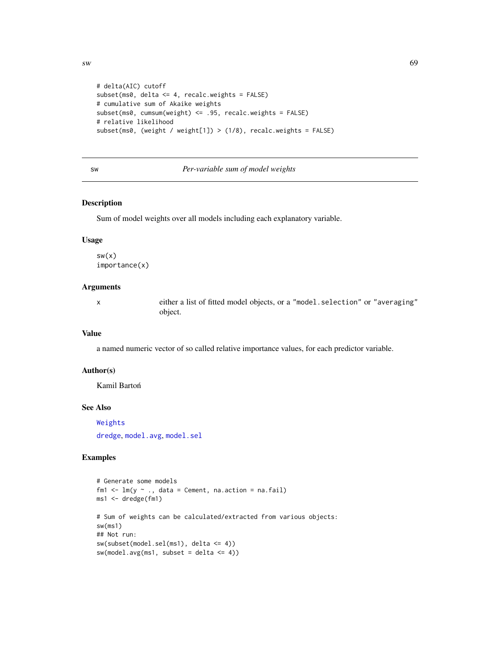```
# delta(AIC) cutoff
subset(ms0, delta <= 4, recalc.weights = FALSE)
# cumulative sum of Akaike weights
subset(ms0, cumsum(weight) <= .95, recalc.weights = FALSE)
# relative likelihood
subset(ms0, (weight / weight[1]) > (1/8), recalc.weights = FALSE)
```
# sw *Per-variable sum of model weights*

# Description

Sum of model weights over all models including each explanatory variable.

#### Usage

sw(x) importance(x)

# Arguments

x either a list of fitted model objects, or a "model.selection" or "averaging" object.

# Value

a named numeric vector of so called relative importance values, for each predictor variable.

# Author(s)

Kamil Bartoń

#### See Also

[Weights](#page-72-0)

[dredge](#page-16-0), [model.avg](#page-34-0), [model.sel](#page-37-0)

# Examples

```
# Generate some models
fm1 \leftarrow lm(y \sim ., data = Cement, na.action = na.fail)
ms1 <- dredge(fm1)
# Sum of weights can be calculated/extracted from various objects:
sw(ms1)
## Not run:
sw(subset(model.sel(ms1), delta <= 4))
sw(model.argv(ms1, subset = delta \le 4))
```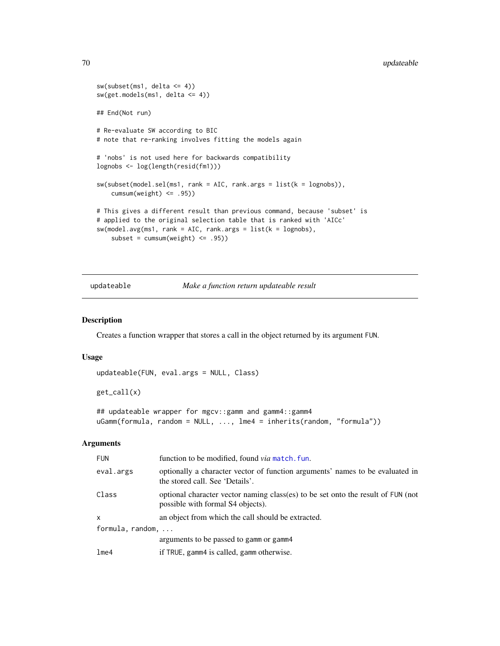```
sw(subset(ms1, delta \leq 4))sw(get.models(ms1, delta <= 4))
## End(Not run)
# Re-evaluate SW according to BIC
# note that re-ranking involves fitting the models again
# 'nobs' is not used here for backwards compatibility
lognobs <- log(length(resid(fm1)))
sw(subset(model.sel(ms1, rank = AIC, rank.args = list(k = lognobs)),
    cumsum(weight) <= .95))
# This gives a different result than previous command, because 'subset' is
# applied to the original selection table that is ranked with 'AICc'
sw(model.argv(ms1, rank = AIC, rank.argv = list(k = lognobs),subset = cumsum(weight) <= .95))
```
updateable *Make a function return updateable result*

# Description

Creates a function wrapper that stores a call in the object returned by its argument FUN.

#### Usage

```
updateable(FUN, eval.args = NULL, Class)
```
get\_call(x)

## updateable wrapper for mgcv::gamm and gamm4::gamm4 uGamm(formula, random = NULL, ..., lme4 = inherits(random, "formula"))

## Arguments

| <b>FUN</b>                | function to be modified, found <i>via</i> match, fun.                                                                 |
|---------------------------|-----------------------------------------------------------------------------------------------------------------------|
| eval.args                 | optionally a character vector of function arguments' names to be evaluated in<br>the stored call. See 'Details'.      |
| Class                     | optional character vector naming class(es) to be set onto the result of FUN (not<br>possible with formal S4 objects). |
| $\mathsf{x}$              | an object from which the call should be extracted.                                                                    |
| formula, random, $\ldots$ |                                                                                                                       |
|                           | arguments to be passed to gamm or gamm4                                                                               |
| lm <sub>e4</sub>          | if TRUE, gamm4 is called, gamm otherwise.                                                                             |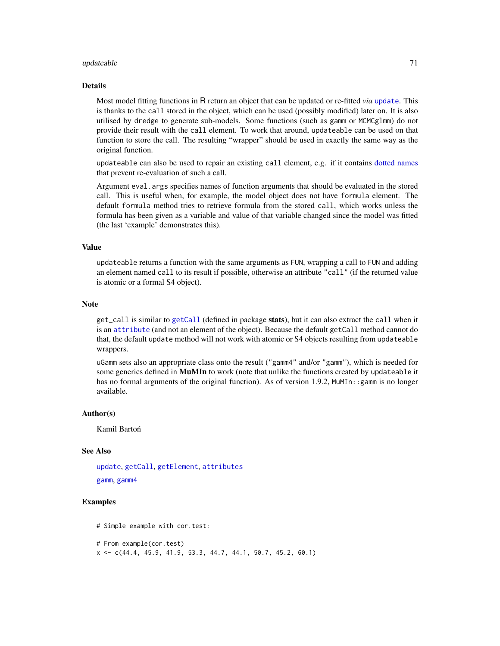#### updateable 71

#### Details

Most model fitting functions in R return an object that can be updated or re-fitted *via* [update](#page-0-0). This is thanks to the call stored in the object, which can be used (possibly modified) later on. It is also utilised by dredge to generate sub-models. Some functions (such as gamm or MCMCglmm) do not provide their result with the call element. To work that around, updateable can be used on that function to store the call. The resulting "wrapper" should be used in exactly the same way as the original function.

updateable can also be used to repair an existing call element, e.g. if it contains [dotted names](#page-0-0) that prevent re-evaluation of such a call.

Argument eval.args specifies names of function arguments that should be evaluated in the stored call. This is useful when, for example, the model object does not have formula element. The default formula method tries to retrieve formula from the stored call, which works unless the formula has been given as a variable and value of that variable changed since the model was fitted (the last 'example' demonstrates this).

# Value

updateable returns a function with the same arguments as FUN, wrapping a call to FUN and adding an element named call to its result if possible, otherwise an attribute "call" (if the returned value is atomic or a formal S4 object).

# **Note**

get\_call is similar to [getCall](#page-0-0) (defined in package stats), but it can also extract the call when it is an [attribute](#page-0-0) (and not an element of the object). Because the default getCall method cannot do that, the default update method will not work with atomic or S4 objects resulting from updateable wrappers.

uGamm sets also an appropriate class onto the result ("gamm4" and/or "gamm"), which is needed for some generics defined in MuMIn to work (note that unlike the functions created by updateable it has no formal arguments of the original function). As of version 1.9.2, MuMIn::gamm is no longer available.

# Author(s)

Kamil Bartoń

## See Also

[update](#page-0-0), [getCall](#page-0-0), [getElement](#page-0-0), [attributes](#page-0-0)

[gamm](#page-0-0), [gamm4](#page-0-0)

# Examples

```
# Simple example with cor.test:
```

```
# From example(cor.test)
```

```
x <- c(44.4, 45.9, 41.9, 53.3, 44.7, 44.1, 50.7, 45.2, 60.1)
```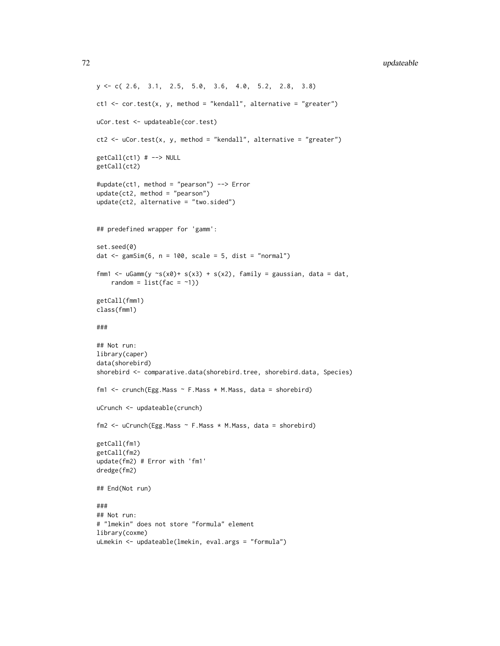```
y <- c( 2.6, 3.1, 2.5, 5.0, 3.6, 4.0, 5.2, 2.8, 3.8)
ct1 \le cor.test(x, y, method = "kendall", alternative = "greater")
uCor.test <- updateable(cor.test)
ct2 \le - uCor.test(x, y, method = "kendall", alternative = "greater")
getCall(ct1) # --> NULL
getCall(ct2)
#update(ct1, method = "pearson") --> Error
update(ct2, method = "pearson")
update(ct2, alternative = "two.sided")
## predefined wrapper for 'gamm':
set.seed(0)
dat \le gamSim(6, n = 100, scale = 5, dist = "normal")
fmm1 <- uGamm(y \sim s(x0)+ s(x3) + s(x2), family = gaussian, data = dat,
    random = list(fac = ~1))getCall(fmm1)
class(fmm1)
###
## Not run:
library(caper)
data(shorebird)
shorebird <- comparative.data(shorebird.tree, shorebird.data, Species)
fm1 <- crunch(Egg.Mass ~ F.Mass * M.Mass, data = shorebird)
uCrunch <- updateable(crunch)
fm2 <- uCrunch(Egg.Mass ~ F.Mass * M.Mass, data = shorebird)
getCall(fm1)
getCall(fm2)
update(fm2) # Error with 'fm1'
dredge(fm2)
## End(Not run)
###
## Not run:
# "lmekin" does not store "formula" element
library(coxme)
```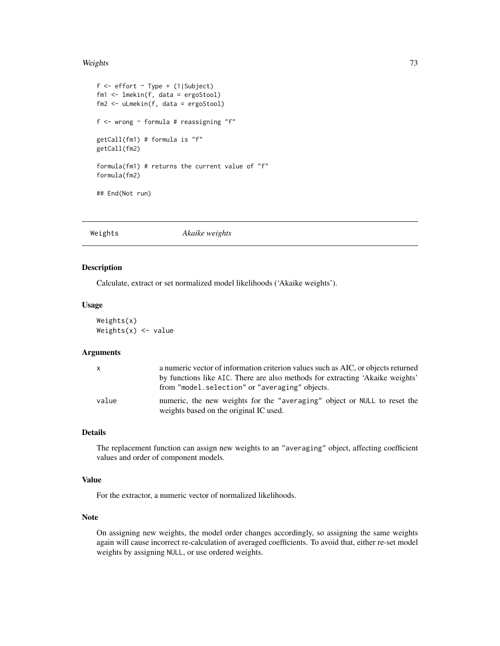#### <span id="page-72-0"></span>Weights 73

```
f \leftarrow \text{effort} \sim \text{Type} + (1 | \text{Subject})fm1 <- lmekin(f, data = ergoStool)
fm2 <- uLmekin(f, data = ergoStool)
f <- wrong ~ formula # reassigning "f"
getCall(fm1) # formula is "f"
getCall(fm2)
formula(fm1) # returns the current value of "f"
formula(fm2)
## End(Not run)
```
Weights *Akaike weights*

#### Description

Calculate, extract or set normalized model likelihoods ('Akaike weights').

#### Usage

Weights(x) Weights $(x)$  <- value

#### Arguments

| $\mathsf{x}$ | a numeric vector of information criterion values such as AIC, or objects returned                                  |
|--------------|--------------------------------------------------------------------------------------------------------------------|
|              | by functions like AIC. There are also methods for extracting 'Akaike weights'                                      |
|              | from "model.selection" or "averaging" objects.                                                                     |
| value        | numeric, the new weights for the "averaging" object or NULL to reset the<br>weights based on the original IC used. |
|              |                                                                                                                    |

#### Details

The replacement function can assign new weights to an "averaging" object, affecting coefficient values and order of component models.

## Value

For the extractor, a numeric vector of normalized likelihoods.

#### Note

On assigning new weights, the model order changes accordingly, so assigning the same weights again will cause incorrect re-calculation of averaged coefficients. To avoid that, either re-set model weights by assigning NULL, or use ordered weights.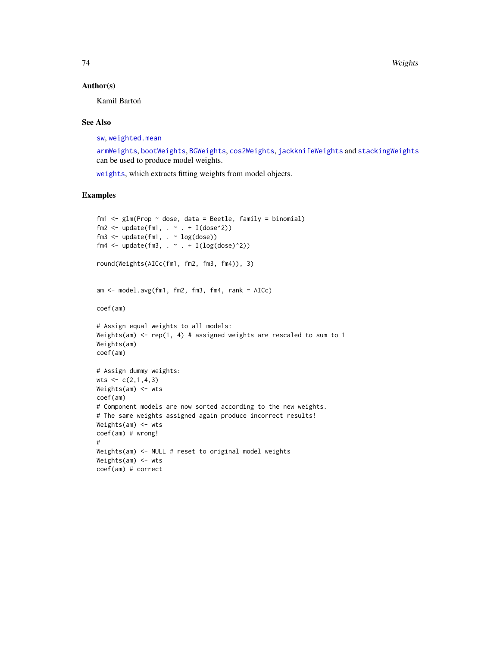#### <span id="page-73-0"></span>Author(s)

Kamil Bartoń

#### See Also

[sw](#page-68-0), [weighted.mean](#page-0-0)

[armWeights](#page-5-0), [bootWeights](#page-10-0), [BGWeights](#page-8-0), [cos2Weights](#page-15-0), [jackknifeWeights](#page-28-0) and [stackingWeights](#page-59-0) can be used to produce model weights.

[weights](#page-0-0), which extracts fitting weights from model objects.

## Examples

```
fm1 \leq glm(Prop \sim dose, data = Beetle, family = binomial)
fm2 <- update(fm1, \cdot \sim \cdot + I(dose^2))
fm3 <- update(fm1, . ~ log(dose))
fm4 <- update(fm3, \cdot \sim \cdot + I(log(dose)^2))
round(Weights(AICc(fm1, fm2, fm3, fm4)), 3)
am <- model.avg(fm1, fm2, fm3, fm4, rank = AICc)
coef(am)
# Assign equal weights to all models:
Weights(am) <- rep(1, 4) # assigned weights are rescaled to sum to 1
Weights(am)
coef(am)
# Assign dummy weights:
wts < -c(2,1,4,3)Weights(am) <- wts
coef(am)
# Component models are now sorted according to the new weights.
# The same weights assigned again produce incorrect results!
Weights(am) <- wts
coef(am) # wrong!
#
Weights(am) <- NULL # reset to original model weights
Weights(am) <- wts
coef(am) # correct
```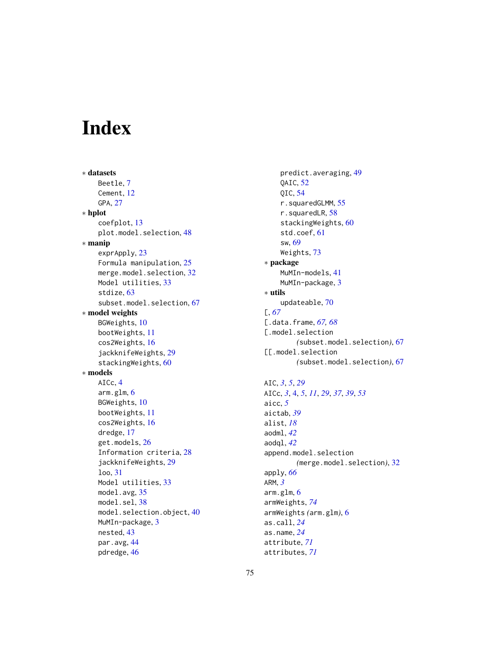# Index

∗ datasets Beetle, [7](#page-6-0) Cement, [12](#page-11-0) GPA, [27](#page-26-0) ∗ hplot coefplot, [13](#page-12-0) plot.model.selection, [48](#page-47-0) ∗ manip exprApply, [23](#page-22-0) Formula manipulation, [25](#page-24-0) merge.model.selection, [32](#page-31-0) Model utilities, [33](#page-32-0) stdize, [63](#page-62-0) subset.model.selection, [67](#page-66-0) ∗ model weights BGWeights, [10](#page-9-0) bootWeights, [11](#page-10-1) cos2Weights, [16](#page-15-1) jackknifeWeights, [29](#page-28-1) stackingWeights, [60](#page-59-1) ∗ models AICc, [4](#page-3-0) arm.glm, [6](#page-5-1) BGWeights, [10](#page-9-0) bootWeights, [11](#page-10-1) cos2Weights, [16](#page-15-1) dredge, [17](#page-16-0) get.models, [26](#page-25-0) Information criteria, [28](#page-27-0) jackknifeWeights, [29](#page-28-1) loo, [31](#page-30-0) Model utilities, [33](#page-32-0) model.avg, [35](#page-34-0) model.sel, [38](#page-37-0) model.selection.object, [40](#page-39-0) MuMIn-package, [3](#page-2-0) nested, [43](#page-42-0) par.avg, [44](#page-43-0) pdredge, [46](#page-45-0)

predict.averaging, [49](#page-48-0) QAIC, [52](#page-51-0) QIC, [54](#page-53-0) r.squaredGLMM, [55](#page-54-0) r.squaredLR, [58](#page-57-0) stackingWeights, [60](#page-59-1) std.coef, [61](#page-60-0) sw, [69](#page-68-1) Weights, [73](#page-72-0) ∗ package MuMIn-models, [41](#page-40-0) MuMIn-package, [3](#page-2-0) ∗ utils updateable, [70](#page-69-0) [, *[67](#page-66-0)* [.data.frame, *[67,](#page-66-0) [68](#page-67-0)* [.model.selection *(*subset.model.selection*)*, [67](#page-66-0) [[.model.selection *(*subset.model.selection*)*, [67](#page-66-0) AIC, *[3](#page-2-0)*, *[5](#page-4-0)*, *[29](#page-28-1)* AICc, *[3](#page-2-0)*, [4,](#page-3-0) *[5](#page-4-0)*, *[11](#page-10-1)*, *[29](#page-28-1)*, *[37](#page-36-0)*, *[39](#page-38-0)*, *[53](#page-52-0)* aicc, *[5](#page-4-0)* aictab, *[39](#page-38-0)* alist, *[18](#page-17-0)* aodml, *[42](#page-41-0)* aodql, *[42](#page-41-0)* append.model.selection *(*merge.model.selection*)*, [32](#page-31-0) apply, *[66](#page-65-0)* ARM, *[3](#page-2-0)* arm.glm, [6](#page-5-1)

armWeights, *[74](#page-73-0)*

as.call, *[24](#page-23-0)* as.name, *[24](#page-23-0)* attribute, *[71](#page-70-0)* attributes, *[71](#page-70-0)*

armWeights *(*arm.glm*)*, [6](#page-5-1)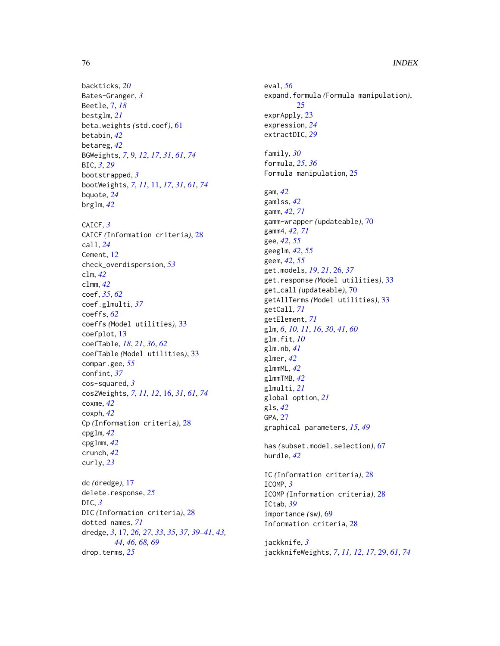backticks, *[20](#page-19-0)* Bates-Granger, *[3](#page-2-0)* Beetle, [7,](#page-6-0) *[18](#page-17-0)* bestglm, *[21](#page-20-0)* beta.weights *(*std.coef*)*, [61](#page-60-0) betabin, *[42](#page-41-0)* betareg, *[42](#page-41-0)* BGWeights, *[7](#page-6-0)*, [9,](#page-8-1) *[12](#page-11-0)*, *[17](#page-16-0)*, *[31](#page-30-0)*, *[61](#page-60-0)*, *[74](#page-73-0)* BIC, *[3](#page-2-0)*, *[29](#page-28-1)* bootstrapped, *[3](#page-2-0)* bootWeights, *[7](#page-6-0)*, *[11](#page-10-1)*, [11,](#page-10-1) *[17](#page-16-0)*, *[31](#page-30-0)*, *[61](#page-60-0)*, *[74](#page-73-0)* bquote, *[24](#page-23-0)* brglm, *[42](#page-41-0)* CAICF, *[3](#page-2-0)* CAICF *(*Information criteria*)*, [28](#page-27-0) call, *[24](#page-23-0)* Cement, [12](#page-11-0) check\_overdispersion, *[53](#page-52-0)* clm, *[42](#page-41-0)* clmm, *[42](#page-41-0)* coef, *[35](#page-34-0)*, *[62](#page-61-0)* coef.glmulti, *[37](#page-36-0)* coeffs, *[62](#page-61-0)* coeffs *(*Model utilities*)*, [33](#page-32-0) coefplot, [13](#page-12-0) coefTable, *[18](#page-17-0)*, *[21](#page-20-0)*, *[36](#page-35-0)*, *[62](#page-61-0)* coefTable *(*Model utilities*)*, [33](#page-32-0) compar.gee, *[55](#page-54-0)* confint, *[37](#page-36-0)* cos-squared, *[3](#page-2-0)* cos2Weights, *[7](#page-6-0)*, *[11,](#page-10-1) [12](#page-11-0)*, [16,](#page-15-1) *[31](#page-30-0)*, *[61](#page-60-0)*, *[74](#page-73-0)* coxme, *[42](#page-41-0)* coxph, *[42](#page-41-0)* Cp *(*Information criteria*)*, [28](#page-27-0) cpglm, *[42](#page-41-0)* cpglmm, *[42](#page-41-0)* crunch, *[42](#page-41-0)* curly, *[23](#page-22-0)* dc *(*dredge*)*, [17](#page-16-0)

delete.response, *[25](#page-24-0)* DIC, *[3](#page-2-0)* DIC *(*Information criteria*)*, [28](#page-27-0) dotted names, *[71](#page-70-0)* dredge, *[3](#page-2-0)*, [17,](#page-16-0) *[26,](#page-25-0) [27](#page-26-0)*, *[33](#page-32-0)*, *[35](#page-34-0)*, *[37](#page-36-0)*, *[39–](#page-38-0)[41](#page-40-0)*, *[43,](#page-42-0) [44](#page-43-0)*, *[46](#page-45-0)*, *[68,](#page-67-0) [69](#page-68-1)* drop.terms, *[25](#page-24-0)*

eval, *[56](#page-55-0)* expand.formula *(*Formula manipulation*)*, [25](#page-24-0) exprApply, [23](#page-22-0) expression, *[24](#page-23-0)* extractDIC, *[29](#page-28-1)* family, *[30](#page-29-0)* formula, *[25](#page-24-0)*, *[36](#page-35-0)* Formula manipulation, [25](#page-24-0) gam, *[42](#page-41-0)* gamlss, *[42](#page-41-0)* gamm, *[42](#page-41-0)*, *[71](#page-70-0)* gamm-wrapper *(*updateable*)*, [70](#page-69-0) gamm4, *[42](#page-41-0)*, *[71](#page-70-0)* gee, *[42](#page-41-0)*, *[55](#page-54-0)* geeglm, *[42](#page-41-0)*, *[55](#page-54-0)* geem, *[42](#page-41-0)*, *[55](#page-54-0)* get.models, *[19](#page-18-0)*, *[21](#page-20-0)*, [26,](#page-25-0) *[37](#page-36-0)* get.response *(*Model utilities*)*, [33](#page-32-0) get\_call *(*updateable*)*, [70](#page-69-0) getAllTerms *(*Model utilities*)*, [33](#page-32-0) getCall, *[71](#page-70-0)* getElement, *[71](#page-70-0)* glm, *[6](#page-5-1)*, *[10,](#page-9-0) [11](#page-10-1)*, *[16](#page-15-1)*, *[30](#page-29-0)*, *[41](#page-40-0)*, *[60](#page-59-1)* glm.fit, *[10](#page-9-0)* glm.nb, *[41](#page-40-0)* glmer, *[42](#page-41-0)* glmmML, *[42](#page-41-0)* glmmTMB, *[42](#page-41-0)* glmulti, *[21](#page-20-0)* global option, *[21](#page-20-0)* gls, *[42](#page-41-0)* GPA, [27](#page-26-0) graphical parameters, *[15](#page-14-0)*, *[49](#page-48-0)* has *(*subset.model.selection*)*, [67](#page-66-0) hurdle, *[42](#page-41-0)* IC *(*Information criteria*)*, [28](#page-27-0) ICOMP, *[3](#page-2-0)* ICOMP *(*Information criteria*)*, [28](#page-27-0)

Information criteria, [28](#page-27-0) jackknife, *[3](#page-2-0)*

ICtab, *[39](#page-38-0)*

importance *(*sw*)*, [69](#page-68-1)

jackknifeWeights, *[7](#page-6-0)*, *[11,](#page-10-1) [12](#page-11-0)*, *[17](#page-16-0)*, [29,](#page-28-1) *[61](#page-60-0)*, *[74](#page-73-0)*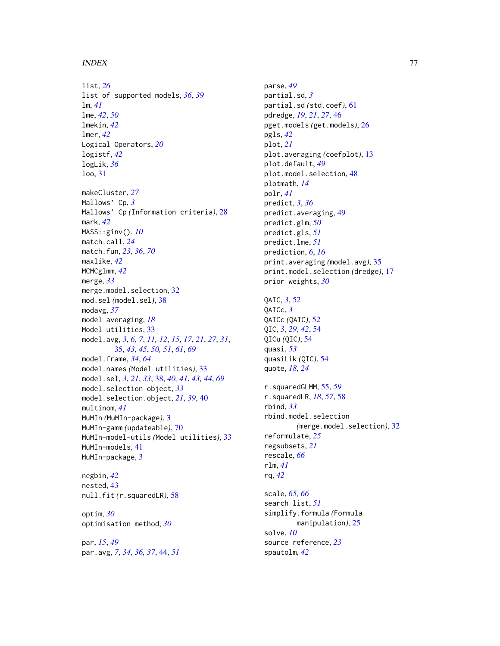#### INDEX 277

list, *[26](#page-25-0)* list of supported models, *[36](#page-35-0)*, *[39](#page-38-0)* lm, *[41](#page-40-0)* lme, *[42](#page-41-0)*, *[50](#page-49-0)* lmekin, *[42](#page-41-0)* lmer, *[42](#page-41-0)* Logical Operators, *[20](#page-19-0)* logistf, *[42](#page-41-0)* logLik, *[36](#page-35-0)* loo, [31](#page-30-0) makeCluster, *[27](#page-26-0)* Mallows' Cp, *[3](#page-2-0)* Mallows' Cp *(*Information criteria*)*, [28](#page-27-0) mark, *[42](#page-41-0)* MASS::ginv(), *[10](#page-9-0)* match.call, *[24](#page-23-0)* match.fun, *[23](#page-22-0)*, *[36](#page-35-0)*, *[70](#page-69-0)* maxlike, *[42](#page-41-0)* MCMCglmm, *[42](#page-41-0)* merge, *[33](#page-32-0)* merge.model.selection, [32](#page-31-0) mod.sel *(*model.sel*)*, [38](#page-37-0) modavg, *[37](#page-36-0)* model averaging, *[18](#page-17-0)* Model utilities, [33](#page-32-0) model.avg, *[3](#page-2-0)*, *[6,](#page-5-1) [7](#page-6-0)*, *[11,](#page-10-1) [12](#page-11-0)*, *[15](#page-14-0)*, *[17](#page-16-0)*, *[21](#page-20-0)*, *[27](#page-26-0)*, *[31](#page-30-0)*,

[35,](#page-34-0) *[43](#page-42-0)*, *[45](#page-44-0)*, *[50,](#page-49-0) [51](#page-50-0)*, *[61](#page-60-0)*, *[69](#page-68-1)* model.frame, *[34](#page-33-0)*, *[64](#page-63-0)* model.names *(*Model utilities*)*, [33](#page-32-0) model.sel, *[3](#page-2-0)*, *[21](#page-20-0)*, *[33](#page-32-0)*, [38,](#page-37-0) *[40,](#page-39-0) [41](#page-40-0)*, *[43,](#page-42-0) [44](#page-43-0)*, *[69](#page-68-1)* model.selection object, *[33](#page-32-0)* model.selection.object, *[21](#page-20-0)*, *[39](#page-38-0)*, [40](#page-39-0) multinom, *[41](#page-40-0)* MuMIn *(*MuMIn-package*)*, [3](#page-2-0) MuMIn-gamm *(*updateable*)*, [70](#page-69-0) MuMIn-model-utils *(*Model utilities*)*, [33](#page-32-0) MuMIn-models, [41](#page-40-0) MuMIn-package, [3](#page-2-0)

negbin, *[42](#page-41-0)* nested, [43](#page-42-0) null.fit *(*r.squaredLR*)*, [58](#page-57-0)

optim, *[30](#page-29-0)* optimisation method, *[30](#page-29-0)*

par, *[15](#page-14-0)*, *[49](#page-48-0)* par.avg, *[7](#page-6-0)*, *[34](#page-33-0)*, *[36,](#page-35-0) [37](#page-36-0)*, [44,](#page-43-0) *[51](#page-50-0)* parse, *[49](#page-48-0)* partial.sd, *[3](#page-2-0)* partial.sd *(*std.coef*)*, [61](#page-60-0) pdredge, *[19](#page-18-0)*, *[21](#page-20-0)*, *[27](#page-26-0)*, [46](#page-45-0) pget.models *(*get.models*)*, [26](#page-25-0) pgls, *[42](#page-41-0)* plot, *[21](#page-20-0)* plot.averaging *(*coefplot*)*, [13](#page-12-0) plot.default, *[49](#page-48-0)* plot.model.selection, [48](#page-47-0) plotmath, *[14](#page-13-0)* polr, *[41](#page-40-0)* predict, *[3](#page-2-0)*, *[36](#page-35-0)* predict.averaging, [49](#page-48-0) predict.glm, *[50](#page-49-0)* predict.gls, *[51](#page-50-0)* predict.lme, *[51](#page-50-0)* prediction, *[6](#page-5-1)*, *[16](#page-15-1)* print.averaging *(*model.avg*)*, [35](#page-34-0) print.model.selection *(*dredge*)*, [17](#page-16-0) prior weights, *[30](#page-29-0)*

# QAIC, *[3](#page-2-0)*, [52](#page-51-0)

QAICc, *[3](#page-2-0)* QAICc *(*QAIC*)*, [52](#page-51-0) QIC, *[3](#page-2-0)*, *[29](#page-28-1)*, *[42](#page-41-0)*, [54](#page-53-0) QICu *(*QIC*)*, [54](#page-53-0) quasi, *[53](#page-52-0)* quasiLik *(*QIC*)*, [54](#page-53-0) quote, *[18](#page-17-0)*, *[24](#page-23-0)*

r.squaredGLMM, [55,](#page-54-0) *[59](#page-58-0)* r.squaredLR, *[18](#page-17-0)*, *[57](#page-56-0)*, [58](#page-57-0) rbind, *[33](#page-32-0)* rbind.model.selection *(*merge.model.selection*)*, [32](#page-31-0) reformulate, *[25](#page-24-0)* regsubsets, *[21](#page-20-0)* rescale, *[66](#page-65-0)* rlm, *[41](#page-40-0)* rq, *[42](#page-41-0)*

scale, *[65,](#page-64-0) [66](#page-65-0)* search list, *[51](#page-50-0)* simplify.formula *(*Formula manipulation*)*, [25](#page-24-0) solve, *[10](#page-9-0)* source reference, *[23](#page-22-0)* spautolm, *[42](#page-41-0)*